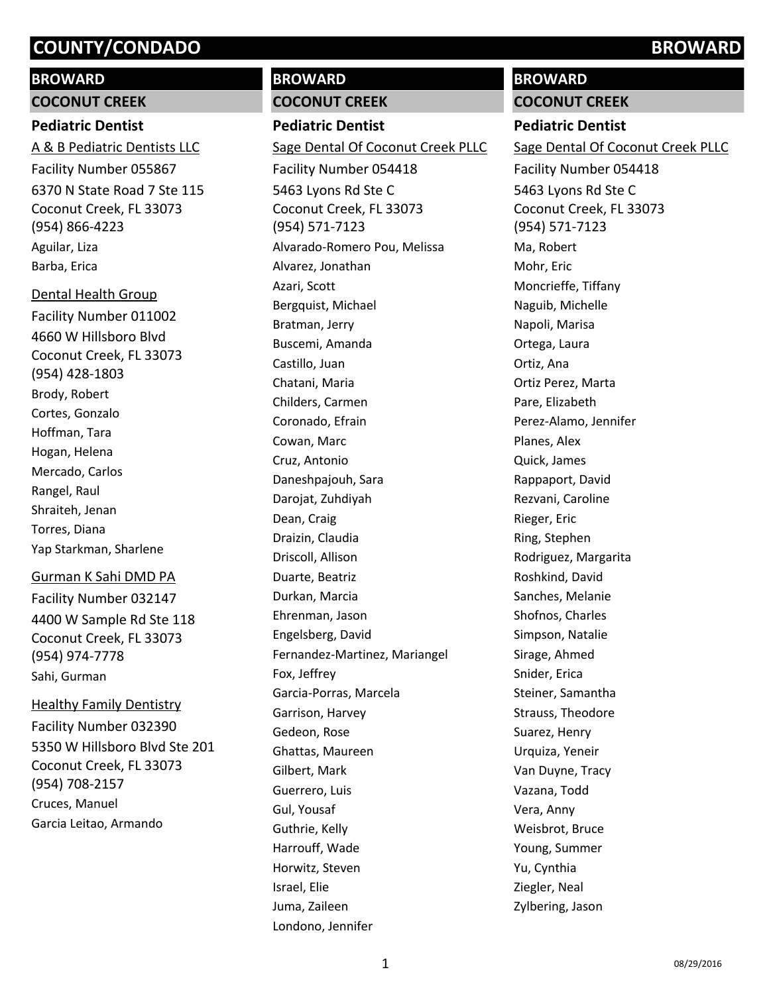# **BROWARD**

**COCONUT CREEK**

# **Pediatric Dentist**

6370 N State Road 7 Ste 115 Coconut Creek, FL 33073 (954) 866-4223 A & B Pediatric Dentists LLC Facility Number 055867 Aguilar, Liza Barba, Erica

4660 W Hillsboro Blvd Coconut Creek, FL 33073 (954) 428-1803 Dental Health Group Facility Number 011002 Brody, Robert Cortes, Gonzalo Hoffman, Tara Hogan, Helena Mercado, Carlos Rangel, Raul Shraiteh, Jenan Torres, Diana Yap Starkman, Sharlene

# Gurman K Sahi DMD PA

4400 W Sample Rd Ste 118 Coconut Creek, FL 33073 (954) 974-7778 Facility Number 032147 Sahi, Gurman

5350 W Hillsboro Blvd Ste 201 Coconut Creek, FL 33073 (954) 708-2157 Healthy Family Dentistry Facility Number 032390 Cruces, Manuel Garcia Leitao, Armando

# **BROWARD**

#### **COCONUT CREEK**

**Pediatric Dentist** 5463 Lyons Rd Ste C Coconut Creek, FL 33073 (954) 571-7123 Sage Dental Of Coconut Creek PLLC Facility Number 054418 Alvarado-Romero Pou, Melissa Alvarez, Jonathan Azari, Scott Bergquist, Michael Bratman, Jerry Buscemi, Amanda Castillo, Juan Chatani, Maria Childers, Carmen Coronado, Efrain Cowan, Marc Cruz, Antonio Daneshpajouh, Sara Darojat, Zuhdiyah Dean, Craig Draizin, Claudia Driscoll, Allison Duarte, Beatriz Durkan, Marcia Ehrenman, Jason Engelsberg, David Fernandez-Martinez, Mariangel Fox, Jeffrey Garcia-Porras, Marcela Garrison, Harvey Gedeon, Rose Ghattas, Maureen Gilbert, Mark Guerrero, Luis Gul, Yousaf Guthrie, Kelly Harrouff, Wade Horwitz, Steven Israel, Elie Juma, Zaileen Londono, Jennifer

# **BROWARD**

**COCONUT CREEK**

# **Pediatric Dentist**

5463 Lyons Rd Ste C Coconut Creek, FL 33073 (954) 571-7123 Sage Dental Of Coconut Creek PLLC Facility Number 054418 Ma, Robert Mohr, Eric Moncrieffe, Tiffany Naguib, Michelle Napoli, Marisa Ortega, Laura Ortiz, Ana Ortiz Perez, Marta Pare, Elizabeth Perez-Alamo, Jennifer Planes, Alex Quick, James Rappaport, David Rezvani, Caroline Rieger, Eric Ring, Stephen Rodriguez, Margarita Roshkind, David Sanches, Melanie Shofnos, Charles Simpson, Natalie Sirage, Ahmed Snider, Erica Steiner, Samantha Strauss, Theodore Suarez, Henry Urquiza, Yeneir Van Duyne, Tracy Vazana, Todd Vera, Anny Weisbrot, Bruce Young, Summer Yu, Cynthia Ziegler, Neal Zylbering, Jason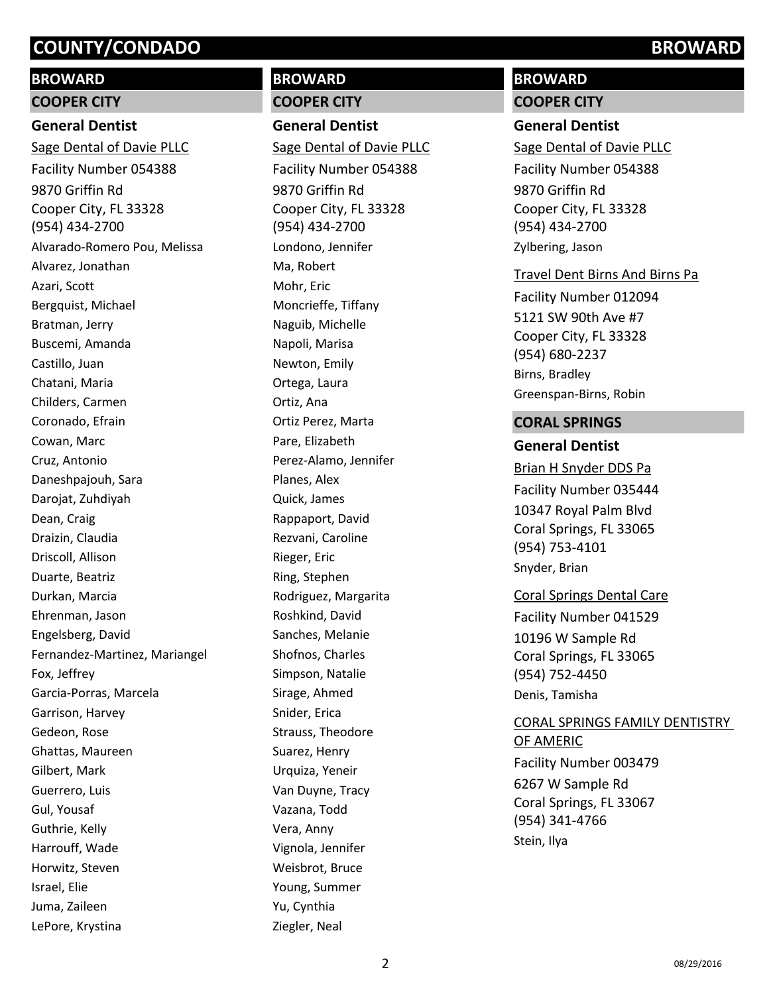# **BROWARD**

# **COOPER CITY**

# **General Dentist**

9870 Griffin Rd Cooper City, FL 33328 (954) 434-2700 Sage Dental of Davie PLLC Facility Number 054388 Alvarado-Romero Pou, Melissa Alvarez, Jonathan Azari, Scott Bergquist, Michael Bratman, Jerry Buscemi, Amanda Castillo, Juan Chatani, Maria Childers, Carmen Coronado, Efrain Cowan, Marc Cruz, Antonio Daneshpajouh, Sara Darojat, Zuhdiyah Dean, Craig Draizin, Claudia Driscoll, Allison Duarte, Beatriz Durkan, Marcia Ehrenman, Jason Engelsberg, David Fernandez-Martinez, Mariangel Fox, Jeffrey Garcia-Porras, Marcela Garrison, Harvey Gedeon, Rose Ghattas, Maureen Gilbert, Mark Guerrero, Luis Gul, Yousaf Guthrie, Kelly Harrouff, Wade Horwitz, Steven Israel, Elie Juma, Zaileen LePore, Krystina

# **BROWARD COOPER CITY**

**General Dentist**

9870 Griffin Rd Cooper City, FL 33328 (954) 434-2700 Sage Dental of Davie PLLC Facility Number 054388 Londono, Jennifer Ma, Robert Mohr, Eric Moncrieffe, Tiffany Naguib, Michelle Napoli, Marisa Newton, Emily Ortega, Laura Ortiz, Ana Ortiz Perez, Marta Pare, Elizabeth Perez-Alamo, Jennifer Planes, Alex Quick, James Rappaport, David Rezvani, Caroline Rieger, Eric Ring, Stephen Rodriguez, Margarita Roshkind, David Sanches, Melanie Shofnos, Charles Simpson, Natalie Sirage, Ahmed Snider, Erica Strauss, Theodore Suarez, Henry Urquiza, Yeneir Van Duyne, Tracy Vazana, Todd Vera, Anny Vignola, Jennifer Weisbrot, Bruce Young, Summer Yu, Cynthia Ziegler, Neal

# **BROWARD**

# **COOPER CITY**

#### **General Dentist**

9870 Griffin Rd Cooper City, FL 33328 (954) 434-2700 Sage Dental of Davie PLLC Facility Number 054388 Zylbering, Jason

#### Travel Dent Birns And Birns Pa

5121 SW 90th Ave #7 Cooper City, FL 33328 (954) 680-2237 Facility Number 012094 Birns, Bradley Greenspan-Birns, Robin

### **CORAL SPRINGS**

## **General Dentist**

10347 Royal Palm Blvd Coral Springs, FL 33065 (954) 753-4101 Brian H Snyder DDS Pa Facility Number 035444 Snyder, Brian

## Coral Springs Dental Care

10196 W Sample Rd Coral Springs, FL 33065 (954) 752-4450 Facility Number 041529 Denis, Tamisha

# CORAL SPRINGS FAMILY DENTISTRY OF AMERIC

6267 W Sample Rd Coral Springs, FL 33067 (954) 341-4766 Facility Number 003479 Stein, Ilya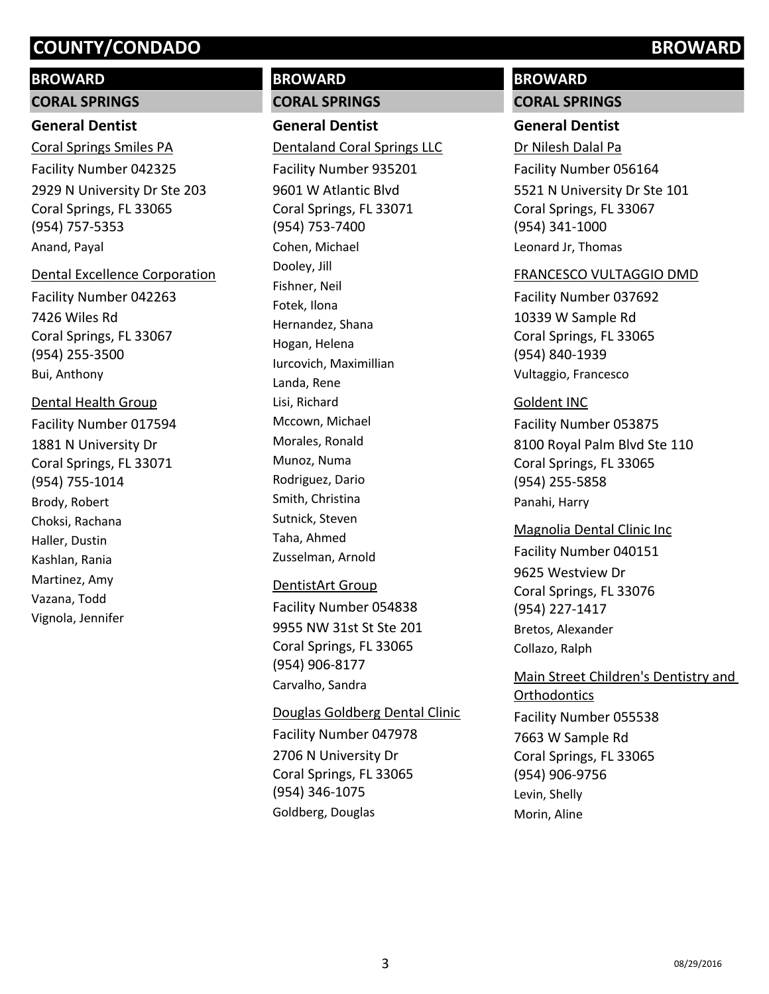## **BROWARD**

#### **CORAL SPRINGS**

## **General Dentist**

2929 N University Dr Ste 203 Coral Springs, FL 33065 (954) 757-5353 Coral Springs Smiles PA Facility Number 042325 Anand, Payal

#### Dental Excellence Corporation

7426 Wiles Rd Coral Springs, FL 33067 (954) 255-3500 Facility Number 042263 Bui, Anthony

# Dental Health Group

1881 N University Dr Coral Springs, FL 33071 (954) 755-1014 Facility Number 017594 Brody, Robert Choksi, Rachana Haller, Dustin Kashlan, Rania Martinez, Amy Vazana, Todd Vignola, Jennifer

# **BROWARD**

# **CORAL SPRINGS**

**General Dentist**

9601 W Atlantic Blvd Coral Springs, FL 33071 (954) 753-7400 Dentaland Coral Springs LLC Facility Number 935201 Cohen, Michael Dooley, Jill Fishner, Neil Fotek, Ilona Hernandez, Shana Hogan, Helena Iurcovich, Maximillian Landa, Rene Lisi, Richard Mccown, Michael Morales, Ronald Munoz, Numa Rodriguez, Dario Smith, Christina Sutnick, Steven Taha, Ahmed Zusselman, Arnold

#### DentistArt Group

9955 NW 31st St Ste 201 Coral Springs, FL 33065 (954) 906-8177 Facility Number 054838 Carvalho, Sandra

# Douglas Goldberg Dental Clinic Facility Number 047978

2706 N University Dr Coral Springs, FL 33065 (954) 346-1075 Goldberg, Douglas

# **BROWARD**

**CORAL SPRINGS**

# **General Dentist**

5521 N University Dr Ste 101 Coral Springs, FL 33067 (954) 341-1000 Dr Nilesh Dalal Pa Facility Number 056164 Leonard Jr, Thomas

#### FRANCESCO VULTAGGIO DMD

10339 W Sample Rd Coral Springs, FL 33065 (954) 840-1939 Facility Number 037692 Vultaggio, Francesco

### Goldent INC

8100 Royal Palm Blvd Ste 110 Coral Springs, FL 33065 (954) 255-5858 Facility Number 053875 Panahi, Harry

#### Magnolia Dental Clinic Inc

9625 Westview Dr Coral Springs, FL 33076 (954) 227-1417 Facility Number 040151 Bretos, Alexander Collazo, Ralph

# Main Street Children's Dentistry and **Orthodontics**

7663 W Sample Rd Coral Springs, FL 33065 (954) 906-9756 Facility Number 055538 Levin, Shelly Morin, Aline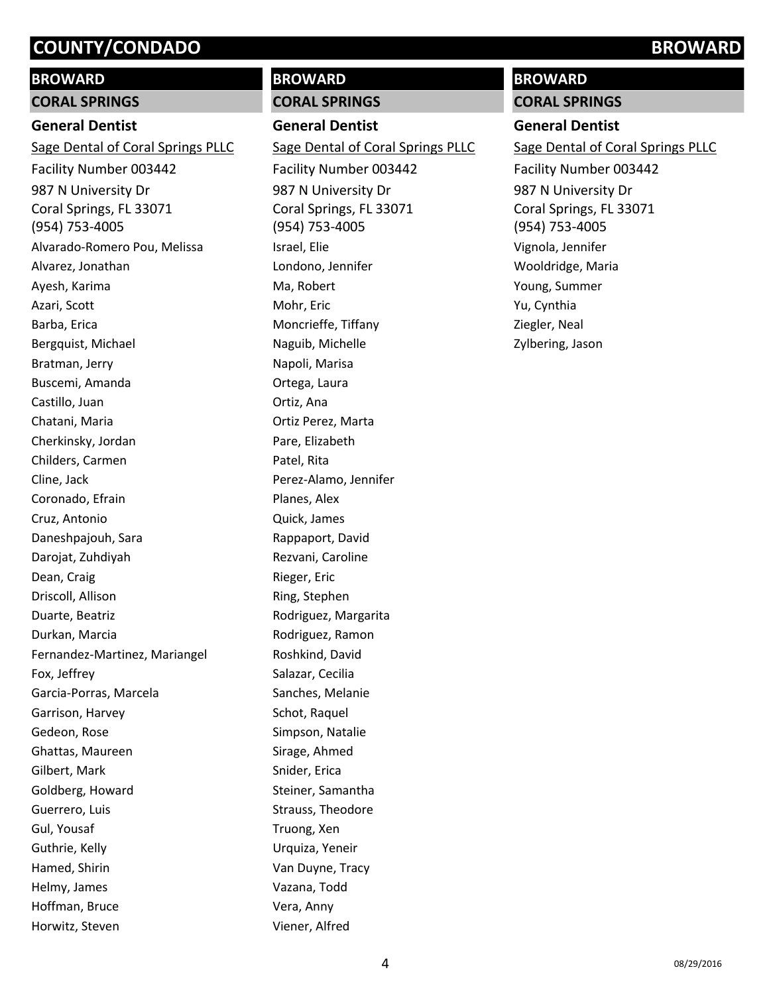# **BROWARD**

# **CORAL SPRINGS**

# **General Dentist**

987 N University Dr Coral Springs, FL 33071 (954) 753-4005 Sage Dental of Coral Springs PLLC Facility Number 003442 Alvarado-Romero Pou, Melissa Alvarez, Jonathan Ayesh, Karima Azari, Scott Barba, Erica Bergquist, Michael Bratman, Jerry Buscemi, Amanda Castillo, Juan Chatani, Maria Cherkinsky, Jordan Childers, Carmen Cline, Jack Coronado, Efrain Cruz, Antonio Daneshpajouh, Sara Darojat, Zuhdiyah Dean, Craig Driscoll, Allison Duarte, Beatriz Durkan, Marcia Fernandez-Martinez, Mariangel Fox, Jeffrey Garcia-Porras, Marcela Garrison, Harvey Gedeon, Rose Ghattas, Maureen Gilbert, Mark Goldberg, Howard Guerrero, Luis Gul, Yousaf Guthrie, Kelly Hamed, Shirin Helmy, James Hoffman, Bruce Horwitz, Steven

# **BROWARD**

## **CORAL SPRINGS**

**General Dentist** 987 N University Dr Coral Springs, FL 33071 (954) 753-4005 Sage Dental of Coral Springs PLLC Facility Number 003442 Israel, Elie Londono, Jennifer Ma, Robert Mohr, Eric Moncrieffe, Tiffany Naguib, Michelle Napoli, Marisa Ortega, Laura Ortiz, Ana Ortiz Perez, Marta Pare, Elizabeth Patel, Rita Perez-Alamo, Jennifer Planes, Alex Quick, James Rappaport, David Rezvani, Caroline Rieger, Eric Ring, Stephen Rodriguez, Margarita Rodriguez, Ramon Roshkind, David Salazar, Cecilia Sanches, Melanie Schot, Raquel Simpson, Natalie Sirage, Ahmed Snider, Erica Steiner, Samantha Strauss, Theodore Truong, Xen Urquiza, Yeneir Van Duyne, Tracy Vazana, Todd Vera, Anny Viener, Alfred

# **BROWARD**

**CORAL SPRINGS**

# **General Dentist**

987 N University Dr Coral Springs, FL 33071 (954) 753-4005 Sage Dental of Coral Springs PLLC Facility Number 003442 Vignola, Jennifer Wooldridge, Maria Young, Summer Yu, Cynthia Ziegler, Neal Zylbering, Jason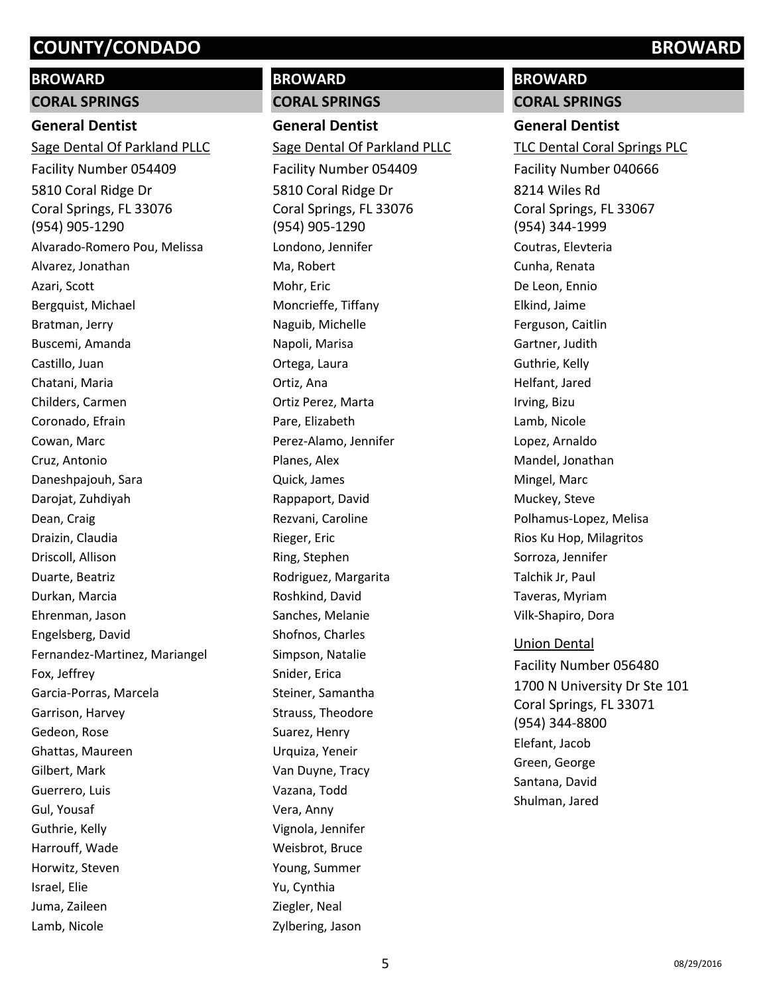### **BROWARD**

#### **CORAL SPRINGS**

#### **General Dentist**

5810 Coral Ridge Dr Coral Springs, FL 33076 (954) 905-1290 Sage Dental Of Parkland PLLC Facility Number 054409 Alvarado-Romero Pou, Melissa Alvarez, Jonathan Azari, Scott Bergquist, Michael Bratman, Jerry Buscemi, Amanda Castillo, Juan Chatani, Maria Childers, Carmen Coronado, Efrain Cowan, Marc Cruz, Antonio Daneshpajouh, Sara Darojat, Zuhdiyah Dean, Craig Draizin, Claudia Driscoll, Allison Duarte, Beatriz Durkan, Marcia Ehrenman, Jason Engelsberg, David Fernandez-Martinez, Mariangel Fox, Jeffrey Garcia-Porras, Marcela Garrison, Harvey Gedeon, Rose Ghattas, Maureen Gilbert, Mark Guerrero, Luis Gul, Yousaf Guthrie, Kelly Harrouff, Wade Horwitz, Steven Israel, Elie Juma, Zaileen Lamb, Nicole

# **BROWARD**

#### **CORAL SPRINGS**

**General Dentist** 5810 Coral Ridge Dr Coral Springs, FL 33076 (954) 905-1290 Sage Dental Of Parkland PLLC Facility Number 054409 Londono, Jennifer Ma, Robert Mohr, Eric Moncrieffe, Tiffany Naguib, Michelle Napoli, Marisa Ortega, Laura Ortiz, Ana Ortiz Perez, Marta Pare, Elizabeth Perez-Alamo, Jennifer Planes, Alex Quick, James Rappaport, David Rezvani, Caroline Rieger, Eric Ring, Stephen Rodriguez, Margarita Roshkind, David Sanches, Melanie Shofnos, Charles Simpson, Natalie Snider, Erica Steiner, Samantha Strauss, Theodore Suarez, Henry Urquiza, Yeneir Van Duyne, Tracy Vazana, Todd Vera, Anny Vignola, Jennifer Weisbrot, Bruce Young, Summer Yu, Cynthia Ziegler, Neal Zylbering, Jason

# **BROWARD**

**CORAL SPRINGS**

#### **General Dentist**

8214 Wiles Rd Coral Springs, FL 33067 (954) 344-1999 TLC Dental Coral Springs PLC Facility Number 040666 Coutras, Elevteria Cunha, Renata De Leon, Ennio Elkind, Jaime Ferguson, Caitlin Gartner, Judith Guthrie, Kelly Helfant, Jared Irving, Bizu Lamb, Nicole Lopez, Arnaldo Mandel, Jonathan Mingel, Marc Muckey, Steve Polhamus-Lopez, Melisa Rios Ku Hop, Milagritos Sorroza, Jennifer Talchik Jr, Paul Taveras, Myriam Vilk-Shapiro, Dora Union Dental Facility Number 056480

1700 N University Dr Ste 101 Coral Springs, FL 33071 (954) 344-8800 Elefant, Jacob Green, George Santana, David Shulman, Jared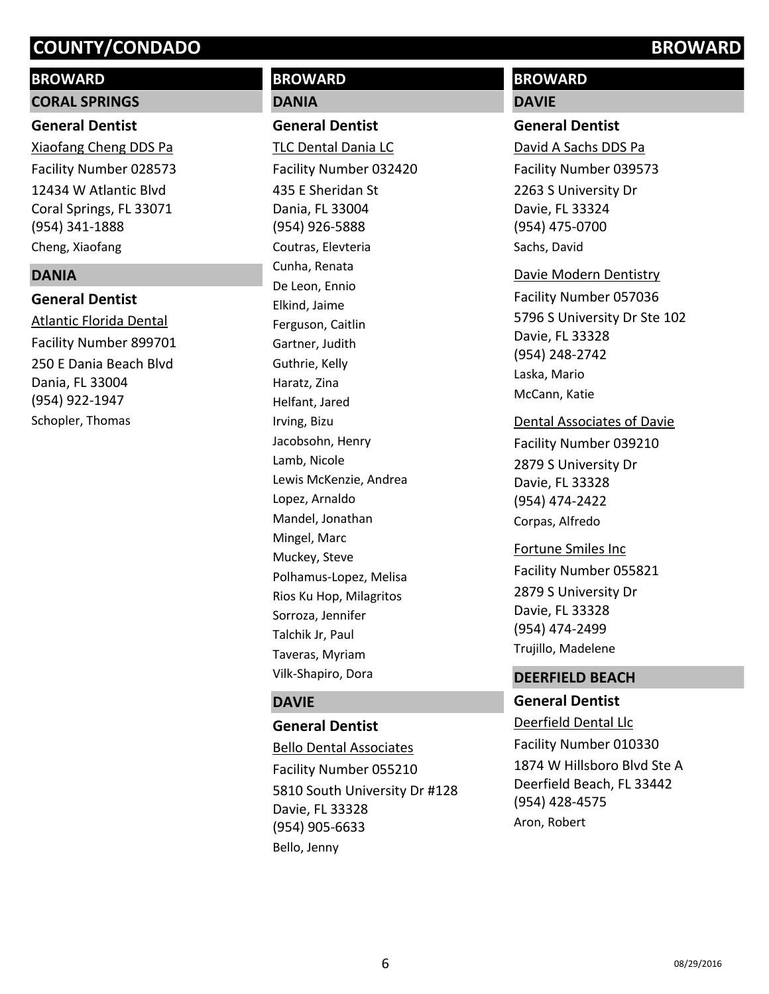## **BROWARD**

#### **CORAL SPRINGS**

### **General Dentist**

12434 W Atlantic Blvd Coral Springs, FL 33071 (954) 341-1888 Xiaofang Cheng DDS Pa Facility Number 028573 Cheng, Xiaofang

#### **DANIA**

# **General Dentist**

250 E Dania Beach Blvd Dania, FL 33004 (954) 922-1947 Atlantic Florida Dental Facility Number 899701 Schopler, Thomas

# **BROWARD DANIA**

### **General Dentist**

435 E Sheridan St Dania, FL 33004 (954) 926-5888 TLC Dental Dania LC Facility Number 032420 Coutras, Elevteria Cunha, Renata De Leon, Ennio Elkind, Jaime Ferguson, Caitlin Gartner, Judith Guthrie, Kelly Haratz, Zina Helfant, Jared Irving, Bizu Jacobsohn, Henry Lamb, Nicole Lewis McKenzie, Andrea Lopez, Arnaldo Mandel, Jonathan Mingel, Marc Muckey, Steve Polhamus-Lopez, Melisa Rios Ku Hop, Milagritos Sorroza, Jennifer Talchik Jr, Paul Taveras, Myriam Vilk-Shapiro, Dora

## **DAVIE**

# **General Dentist**

5810 South University Dr #128 Davie, FL 33328 (954) 905-6633 Bello Dental Associates Facility Number 055210 Bello, Jenny

# **BROWARD**

## **DAVIE**

#### **General Dentist**

2263 S University Dr Davie, FL 33324 (954) 475-0700 David A Sachs DDS Pa Facility Number 039573 Sachs, David

#### Davie Modern Dentistry

5796 S University Dr Ste 102 Davie, FL 33328 (954) 248-2742 Facility Number 057036 Laska, Mario McCann, Katie

#### Dental Associates of Davie

2879 S University Dr Davie, FL 33328 (954) 474-2422 Facility Number 039210 Corpas, Alfredo

2879 S University Dr Davie, FL 33328 (954) 474-2499 Fortune Smiles Inc Facility Number 055821 Trujillo, Madelene

## **DEERFIELD BEACH**

# **General Dentist**

1874 W Hillsboro Blvd Ste A Deerfield Beach, FL 33442 (954) 428-4575 Deerfield Dental Llc Facility Number 010330 Aron, Robert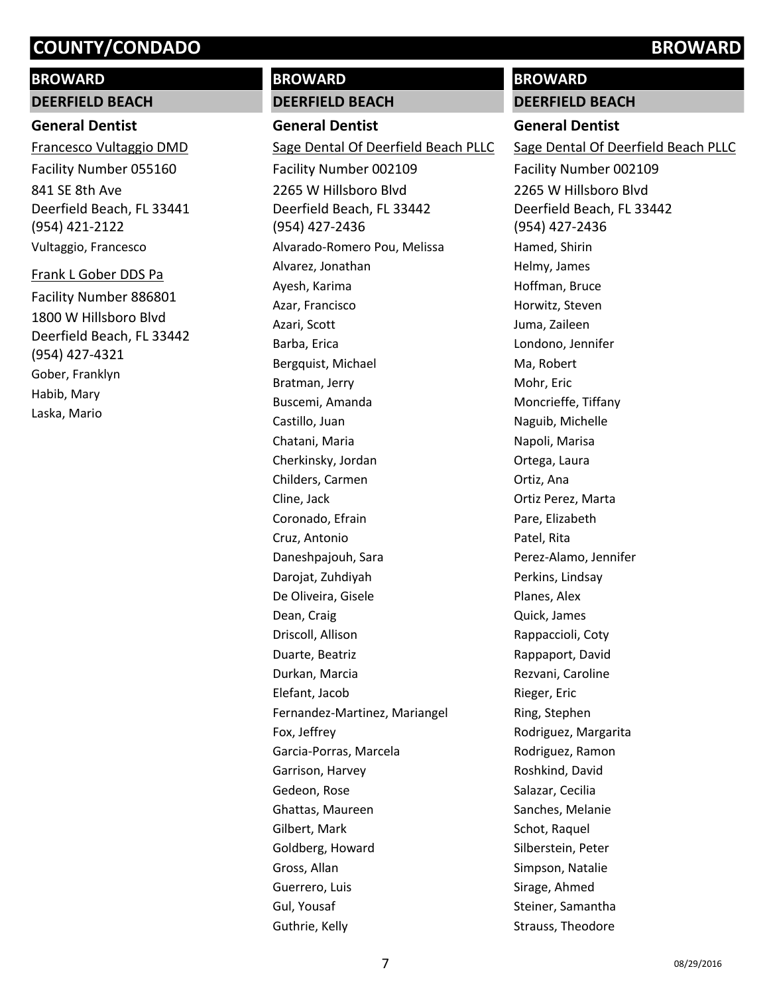# **BROWARD**

**DEERFIELD BEACH**

# **General Dentist**

841 SE 8th Ave Deerfield Beach, FL 33441 (954) 421-2122 Francesco Vultaggio DMD Facility Number 055160 Vultaggio, Francesco

1800 W Hillsboro Blvd Deerfield Beach, FL 33442 (954) 427-4321 Frank L Gober DDS Pa Facility Number 886801 Gober, Franklyn Habib, Mary Laska, Mario

# **BROWARD**

**DEERFIELD BEACH**

**General Dentist** 2265 W Hillsboro Blvd Deerfield Beach, FL 33442 (954) 427-2436 Sage Dental Of Deerfield Beach PLLC Facility Number 002109 Alvarado-Romero Pou, Melissa Alvarez, Jonathan Ayesh, Karima Azar, Francisco Azari, Scott Barba, Erica Bergquist, Michael Bratman, Jerry Buscemi, Amanda Castillo, Juan Chatani, Maria Cherkinsky, Jordan Childers, Carmen Cline, Jack Coronado, Efrain Cruz, Antonio Daneshpajouh, Sara Darojat, Zuhdiyah De Oliveira, Gisele Dean, Craig Driscoll, Allison Duarte, Beatriz Durkan, Marcia Elefant, Jacob Fernandez-Martinez, Mariangel Fox, Jeffrey Garcia-Porras, Marcela Garrison, Harvey Gedeon, Rose Ghattas, Maureen Gilbert, Mark Goldberg, Howard Gross, Allan Guerrero, Luis Gul, Yousaf Guthrie, Kelly

## **BROWARD**

**DEERFIELD BEACH**

### **General Dentist**

2265 W Hillsboro Blvd Deerfield Beach, FL 33442 (954) 427-2436 Sage Dental Of Deerfield Beach PLLC Facility Number 002109 Hamed, Shirin Helmy, James Hoffman, Bruce Horwitz, Steven Juma, Zaileen Londono, Jennifer Ma, Robert Mohr, Eric Moncrieffe, Tiffany Naguib, Michelle Napoli, Marisa Ortega, Laura Ortiz, Ana Ortiz Perez, Marta Pare, Elizabeth Patel, Rita Perez-Alamo, Jennifer Perkins, Lindsay Planes, Alex Quick, James Rappaccioli, Coty Rappaport, David Rezvani, Caroline Rieger, Eric Ring, Stephen Rodriguez, Margarita Rodriguez, Ramon Roshkind, David Salazar, Cecilia Sanches, Melanie Schot, Raquel Silberstein, Peter Simpson, Natalie Sirage, Ahmed Steiner, Samantha Strauss, Theodore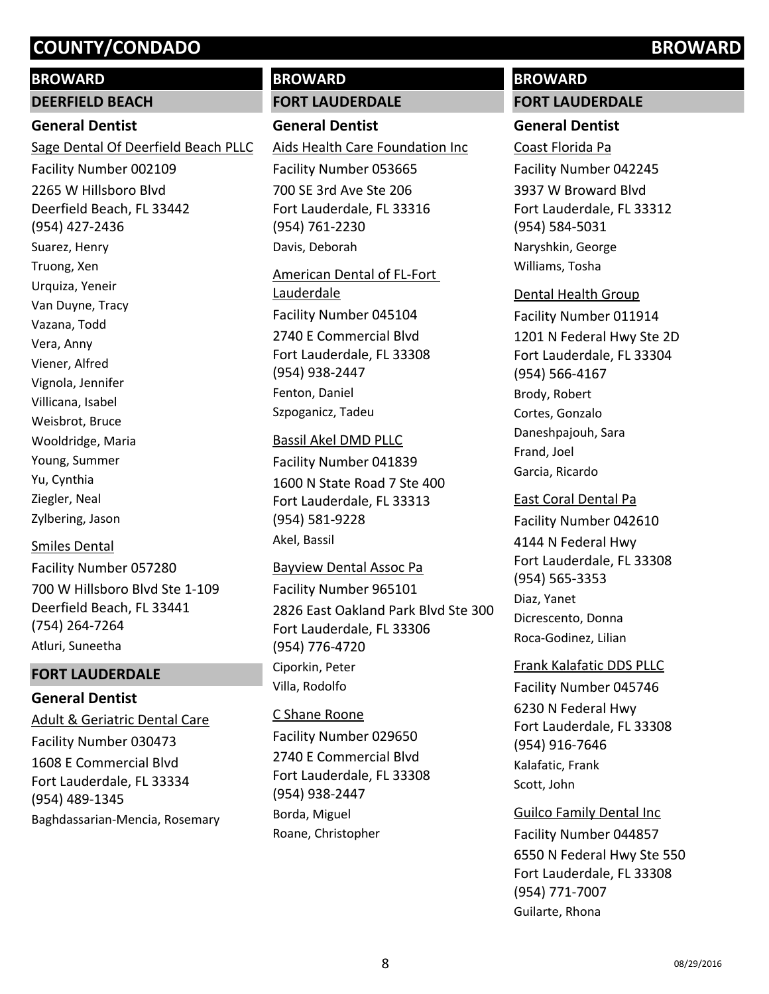#### **BROWARD**

#### **DEERFIELD BEACH**

### **General Dentist**

2265 W Hillsboro Blvd Deerfield Beach, FL 33442 (954) 427-2436 Sage Dental Of Deerfield Beach PLLC Facility Number 002109 Suarez, Henry Truong, Xen Urquiza, Yeneir Van Duyne, Tracy Vazana, Todd Vera, Anny Viener, Alfred Vignola, Jennifer Villicana, Isabel Weisbrot, Bruce Wooldridge, Maria Young, Summer Yu, Cynthia Ziegler, Neal Zylbering, Jason

## Smiles Dental

700 W Hillsboro Blvd Ste 1-109 Deerfield Beach, FL 33441 (754) 264-7264 Facility Number 057280 Atluri, Suneetha

### **FORT LAUDERDALE**

## **General Dentist**

1608 E Commercial Blvd Fort Lauderdale, FL 33334 (954) 489-1345 Adult & Geriatric Dental Care Facility Number 030473 Baghdassarian-Mencia, Rosemary

# **BROWARD**

#### **FORT LAUDERDALE**

# **General Dentist**

700 SE 3rd Ave Ste 206 Fort Lauderdale, FL 33316 (954) 761-2230 Aids Health Care Foundation Inc Facility Number 053665 Davis, Deborah

2740 E Commercial Blvd Fort Lauderdale, FL 33308 (954) 938-2447 American Dental of FL-Fort Lauderdale Facility Number 045104 Fenton, Daniel Szpoganicz, Tadeu

#### Bassil Akel DMD PLLC

1600 N State Road 7 Ste 400 Fort Lauderdale, FL 33313 (954) 581-9228 Facility Number 041839 Akel, Bassil

2826 East Oakland Park Blvd Ste 300 Fort Lauderdale, FL 33306 (954) 776-4720 Bayview Dental Assoc Pa Facility Number 965101 Ciporkin, Peter Villa, Rodolfo

# 2740 E Commercial Blvd Fort Lauderdale, FL 33308 (954) 938-2447 C Shane Roone Facility Number 029650 Borda, Miguel Roane, Christopher

# **BROWARD**

### **FORT LAUDERDALE**

## **General Dentist**

3937 W Broward Blvd Fort Lauderdale, FL 33312 (954) 584-5031 Coast Florida Pa Facility Number 042245 Naryshkin, George Williams, Tosha

#### Dental Health Group

1201 N Federal Hwy Ste 2D Fort Lauderdale, FL 33304 (954) 566-4167 Facility Number 011914 Brody, Robert Cortes, Gonzalo Daneshpajouh, Sara Frand, Joel Garcia, Ricardo

# East Coral Dental Pa

4144 N Federal Hwy Fort Lauderdale, FL 33308 (954) 565-3353 Facility Number 042610 Diaz, Yanet Dicrescento, Donna Roca-Godinez, Lilian

# 6230 N Federal Hwy Fort Lauderdale, FL 33308 (954) 916-7646 Frank Kalafatic DDS PLLC Facility Number 045746 Kalafatic, Frank Scott, John

6550 N Federal Hwy Ste 550 Fort Lauderdale, FL 33308 (954) 771-7007 Guilco Family Dental Inc Facility Number 044857 Guilarte, Rhona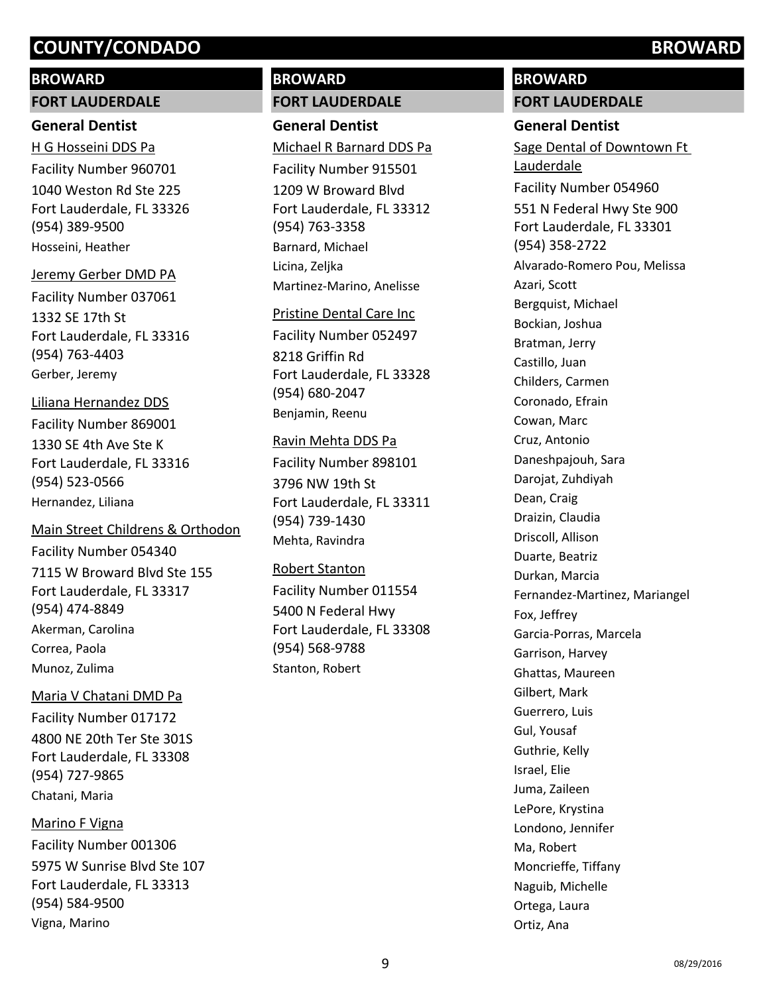# **BROWARD**

#### **FORT LAUDERDALE**

## **General Dentist**

1040 Weston Rd Ste 225 Fort Lauderdale, FL 33326 (954) 389-9500 H G Hosseini DDS Pa Facility Number 960701 Hosseini, Heather

#### Jeremy Gerber DMD PA

1332 SE 17th St Fort Lauderdale, FL 33316 (954) 763-4403 Facility Number 037061 Gerber, Jeremy

# Liliana Hernandez DDS

1330 SE 4th Ave Ste K Fort Lauderdale, FL 33316 (954) 523-0566 Facility Number 869001 Hernandez, Liliana

## Main Street Childrens & Orthodon

7115 W Broward Blvd Ste 155 Fort Lauderdale, FL 33317 (954) 474-8849 Facility Number 054340 Akerman, Carolina Correa, Paola Munoz, Zulima

## Maria V Chatani DMD Pa

4800 NE 20th Ter Ste 301S Fort Lauderdale, FL 33308 (954) 727-9865 Facility Number 017172 Chatani, Maria

# Marino F Vigna

5975 W Sunrise Blvd Ste 107 Fort Lauderdale, FL 33313 (954) 584-9500 Facility Number 001306 Vigna, Marino

# **BROWARD**

# **FORT LAUDERDALE**

**General Dentist** 1209 W Broward Blvd Fort Lauderdale, FL 33312 (954) 763-3358 Michael R Barnard DDS Pa Facility Number 915501 Barnard, Michael Licina, Zeljka Martinez-Marino, Anelisse

#### Pristine Dental Care Inc

8218 Griffin Rd Fort Lauderdale, FL 33328 (954) 680-2047 Facility Number 052497 Benjamin, Reenu

#### Ravin Mehta DDS Pa

3796 NW 19th St Fort Lauderdale, FL 33311 (954) 739-1430 Facility Number 898101 Mehta, Ravindra

#### Robert Stanton

5400 N Federal Hwy Fort Lauderdale, FL 33308 (954) 568-9788 Facility Number 011554 Stanton, Robert

# **BROWARD**

**FORT LAUDERDALE**

# **General Dentist**

551 N Federal Hwy Ste 900 Fort Lauderdale, FL 33301 (954) 358-2722 Sage Dental of Downtown Ft Lauderdale Facility Number 054960 Alvarado-Romero Pou, Melissa Azari, Scott Bergquist, Michael Bockian, Joshua Bratman, Jerry Castillo, Juan Childers, Carmen Coronado, Efrain Cowan, Marc Cruz, Antonio Daneshpajouh, Sara Darojat, Zuhdiyah Dean, Craig Draizin, Claudia Driscoll, Allison Duarte, Beatriz Durkan, Marcia Fernandez-Martinez, Mariangel Fox, Jeffrey Garcia-Porras, Marcela Garrison, Harvey Ghattas, Maureen Gilbert, Mark Guerrero, Luis Gul, Yousaf Guthrie, Kelly Israel, Elie Juma, Zaileen LePore, Krystina Londono, Jennifer Ma, Robert Moncrieffe, Tiffany Naguib, Michelle Ortega, Laura Ortiz, Ana

# **9** os/29/2016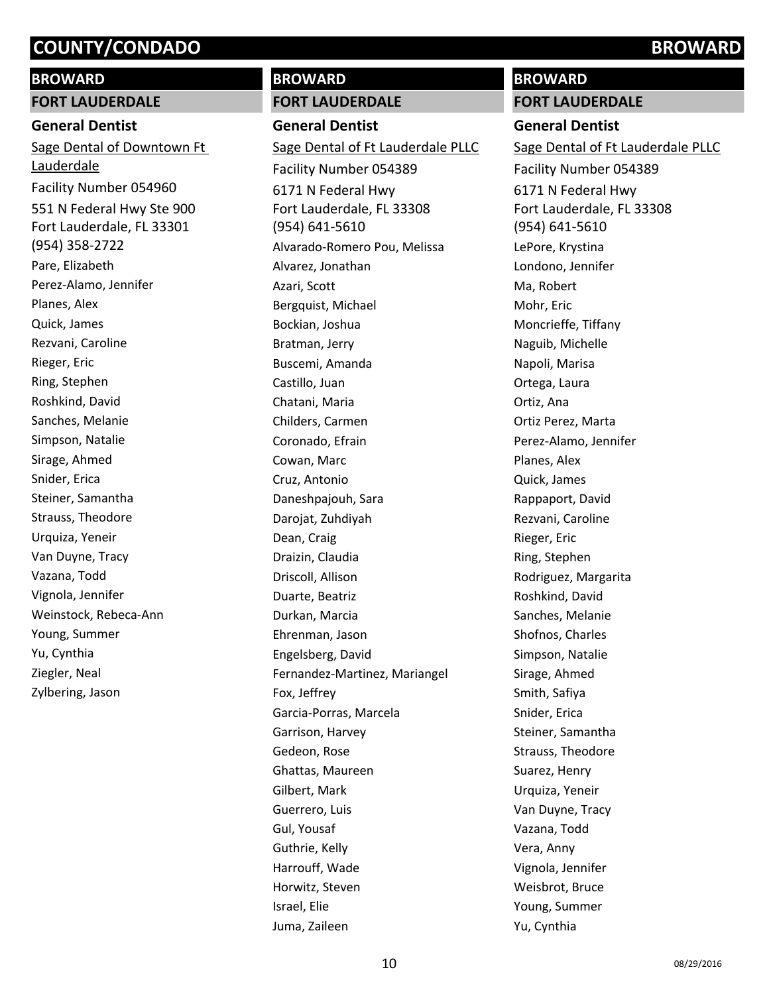#### **BROWARD**

#### **FORT LAUDERDALE**

### **General Dentist**

551 N Federal Hwy Ste 900 Fort Lauderdale, FL 33301 (954) 358-2722 Sage Dental of Downtown Ft Lauderdale Facility Number 054960 Pare, Elizabeth Perez-Alamo, Jennifer Planes, Alex Quick, James Rezvani, Caroline Rieger, Eric Ring, Stephen Roshkind, David Sanches, Melanie Simpson, Natalie Sirage, Ahmed Snider, Erica Steiner, Samantha Strauss, Theodore Urquiza, Yeneir Van Duyne, Tracy Vazana, Todd Vignola, Jennifer Weinstock, Rebeca-Ann Young, Summer Yu, Cynthia Ziegler, Neal Zylbering, Jason

# **BROWARD**

## **FORT LAUDERDALE**

**General Dentist** 6171 N Federal Hwy Fort Lauderdale, FL 33308 (954) 641-5610 Sage Dental of Ft Lauderdale PLLC Facility Number 054389 Alvarado-Romero Pou, Melissa Alvarez, Jonathan Azari, Scott Bergquist, Michael Bockian, Joshua Bratman, Jerry Buscemi, Amanda Castillo, Juan Chatani, Maria Childers, Carmen Coronado, Efrain Cowan, Marc Cruz, Antonio Daneshpajouh, Sara Darojat, Zuhdiyah Dean, Craig Draizin, Claudia Driscoll, Allison Duarte, Beatriz Durkan, Marcia Ehrenman, Jason Engelsberg, David Fernandez-Martinez, Mariangel Fox, Jeffrey Garcia-Porras, Marcela Garrison, Harvey Gedeon, Rose Ghattas, Maureen Gilbert, Mark Guerrero, Luis Gul, Yousaf Guthrie, Kelly Harrouff, Wade Horwitz, Steven Israel, Elie Juma, Zaileen

# **BROWARD**

**FORT LAUDERDALE**

#### **General Dentist**

6171 N Federal Hwy Fort Lauderdale, FL 33308 (954) 641-5610 Sage Dental of Ft Lauderdale PLLC Facility Number 054389 LePore, Krystina Londono, Jennifer Ma, Robert Mohr, Eric Moncrieffe, Tiffany Naguib, Michelle Napoli, Marisa Ortega, Laura Ortiz, Ana Ortiz Perez, Marta Perez-Alamo, Jennifer Planes, Alex Quick, James Rappaport, David Rezvani, Caroline Rieger, Eric Ring, Stephen Rodriguez, Margarita Roshkind, David Sanches, Melanie Shofnos, Charles Simpson, Natalie Sirage, Ahmed Smith, Safiya Snider, Erica Steiner, Samantha Strauss, Theodore Suarez, Henry Urquiza, Yeneir Van Duyne, Tracy Vazana, Todd Vera, Anny Vignola, Jennifer Weisbrot, Bruce Young, Summer Yu, Cynthia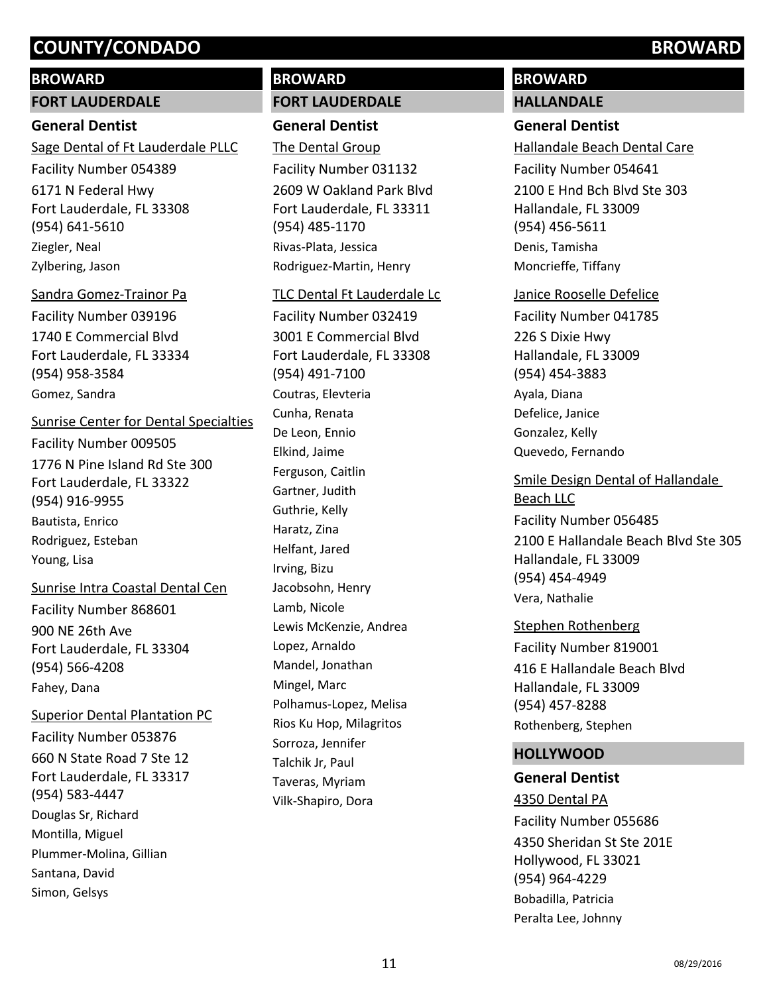## **BROWARD**

### **FORT LAUDERDALE**

## **General Dentist**

6171 N Federal Hwy Fort Lauderdale, FL 33308 (954) 641-5610 Sage Dental of Ft Lauderdale PLLC Facility Number 054389 Ziegler, Neal Zylbering, Jason

1740 E Commercial Blvd Fort Lauderdale, FL 33334 (954) 958-3584 Sandra Gomez-Trainor Pa Facility Number 039196 Gomez, Sandra

#### Sunrise Center for Dental Specialties

1776 N Pine Island Rd Ste 300 Fort Lauderdale, FL 33322 (954) 916-9955 Facility Number 009505 Bautista, Enrico Rodriguez, Esteban Young, Lisa

#### Sunrise Intra Coastal Dental Cen

900 NE 26th Ave Fort Lauderdale, FL 33304 (954) 566-4208 Facility Number 868601 Fahey, Dana

660 N State Road 7 Ste 12 Fort Lauderdale, FL 33317 (954) 583-4447 Superior Dental Plantation PC Facility Number 053876 Douglas Sr, Richard Montilla, Miguel Plummer-Molina, Gillian Santana, David Simon, Gelsys

# **BROWARD**

# **FORT LAUDERDALE**

# **General Dentist**

2609 W Oakland Park Blvd Fort Lauderdale, FL 33311 (954) 485-1170 The Dental Group Facility Number 031132 Rivas-Plata, Jessica Rodriguez-Martin, Henry

3001 E Commercial Blvd Fort Lauderdale, FL 33308 (954) 491-7100 TLC Dental Ft Lauderdale Lc Facility Number 032419 Coutras, Elevteria Cunha, Renata De Leon, Ennio Elkind, Jaime Ferguson, Caitlin Gartner, Judith Guthrie, Kelly Haratz, Zina Helfant, Jared Irving, Bizu Jacobsohn, Henry Lamb, Nicole Lewis McKenzie, Andrea Lopez, Arnaldo Mandel, Jonathan Mingel, Marc Polhamus-Lopez, Melisa Rios Ku Hop, Milagritos Sorroza, Jennifer Talchik Jr, Paul Taveras, Myriam Vilk-Shapiro, Dora

# **BROWARD HALLANDALE**

# **General Dentist**

2100 E Hnd Bch Blvd Ste 303 Hallandale, FL 33009 (954) 456-5611 Hallandale Beach Dental Care Facility Number 054641 Denis, Tamisha Moncrieffe, Tiffany

#### Janice Rooselle Defelice

226 S Dixie Hwy Hallandale, FL 33009 (954) 454-3883 Facility Number 041785 Ayala, Diana Defelice, Janice Gonzalez, Kelly Quevedo, Fernando

2100 E Hallandale Beach Blvd Ste 305 Hallandale, FL 33009 (954) 454-4949 Smile Design Dental of Hallandale Beach LLC Facility Number 056485 Vera, Nathalie

# 416 E Hallandale Beach Blvd Hallandale, FL 33009 (954) 457-8288 Stephen Rothenberg Facility Number 819001 Rothenberg, Stephen

## **HOLLYWOOD**

## **General Dentist**

4350 Sheridan St Ste 201E Hollywood, FL 33021 (954) 964-4229 4350 Dental PA Facility Number 055686 Bobadilla, Patricia Peralta Lee, Johnny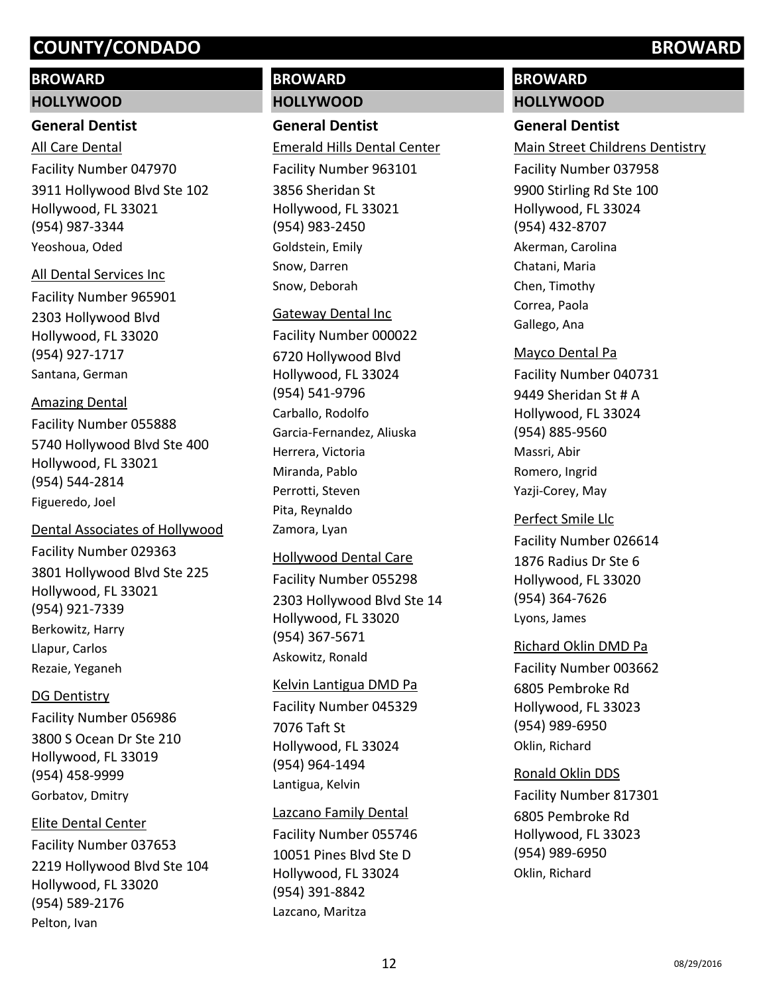# **BROWARD**

#### **HOLLYWOOD**

# **General Dentist**

3911 Hollywood Blvd Ste 102 Hollywood, FL 33021 (954) 987-3344 All Care Dental Facility Number 047970 Yeoshoua, Oded

2303 Hollywood Blvd Hollywood, FL 33020 (954) 927-1717 All Dental Services Inc Facility Number 965901 Santana, German

5740 Hollywood Blvd Ste 400 Hollywood, FL 33021 (954) 544-2814 Amazing Dental Facility Number 055888 Figueredo, Joel

#### Dental Associates of Hollywood

3801 Hollywood Blvd Ste 225 Hollywood, FL 33021 (954) 921-7339 Facility Number 029363 Berkowitz, Harry Llapur, Carlos Rezaie, Yeganeh

## DG Dentistry

3800 S Ocean Dr Ste 210 Hollywood, FL 33019 (954) 458-9999 Facility Number 056986 Gorbatov, Dmitry

# Elite Dental Center

2219 Hollywood Blvd Ste 104 Hollywood, FL 33020 (954) 589-2176 Facility Number 037653 Pelton, Ivan

# **BROWARD**

# **HOLLYWOOD**

**General Dentist**

3856 Sheridan St Hollywood, FL 33021 (954) 983-2450 Emerald Hills Dental Center Facility Number 963101 Goldstein, Emily Snow, Darren Snow, Deborah

6720 Hollywood Blvd Hollywood, FL 33024 (954) 541-9796 Gateway Dental Inc Facility Number 000022 Carballo, Rodolfo Garcia-Fernandez, Aliuska Herrera, Victoria Miranda, Pablo Perrotti, Steven Pita, Reynaldo Zamora, Lyan

# Hollywood Dental Care

2303 Hollywood Blvd Ste 14 Hollywood, FL 33020 (954) 367-5671 Facility Number 055298 Askowitz, Ronald

## Kelvin Lantigua DMD Pa

7076 Taft St Hollywood, FL 33024 (954) 964-1494 Facility Number 045329 Lantigua, Kelvin

# Lazcano Family Dental

10051 Pines Blvd Ste D Hollywood, FL 33024 (954) 391-8842 Facility Number 055746 Lazcano, Maritza

# **BROWARD**

**HOLLYWOOD**

# **General Dentist**

9900 Stirling Rd Ste 100 Hollywood, FL 33024 (954) 432-8707 Main Street Childrens Dentistry Facility Number 037958 Akerman, Carolina Chatani, Maria Chen, Timothy Correa, Paola Gallego, Ana

9449 Sheridan St # A Hollywood, FL 33024 (954) 885-9560 Mayco Dental Pa Facility Number 040731 Massri, Abir Romero, Ingrid Yazji-Corey, May

1876 Radius Dr Ste 6 Hollywood, FL 33020 (954) 364-7626 Perfect Smile Llc Facility Number 026614 Lyons, James

## Richard Oklin DMD Pa

6805 Pembroke Rd Hollywood, FL 33023 (954) 989-6950 Facility Number 003662 Oklin, Richard

## Ronald Oklin DDS

6805 Pembroke Rd Hollywood, FL 33023 (954) 989-6950 Facility Number 817301 Oklin, Richard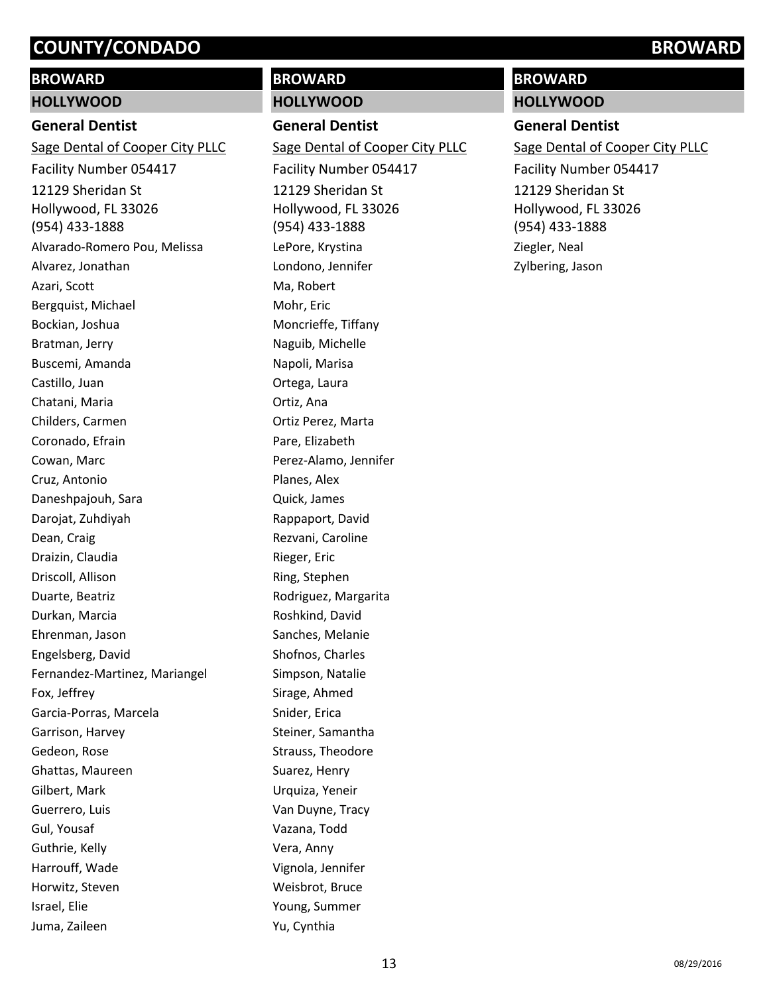# **BROWARD**

#### **HOLLYWOOD**

### **General Dentist**

12129 Sheridan St Hollywood, FL 33026 (954) 433-1888 Sage Dental of Cooper City PLLC Facility Number 054417 Alvarado-Romero Pou, Melissa Alvarez, Jonathan Azari, Scott Bergquist, Michael Bockian, Joshua Bratman, Jerry Buscemi, Amanda Castillo, Juan Chatani, Maria Childers, Carmen Coronado, Efrain Cowan, Marc Cruz, Antonio Daneshpajouh, Sara Darojat, Zuhdiyah Dean, Craig Draizin, Claudia Driscoll, Allison Duarte, Beatriz Durkan, Marcia Ehrenman, Jason Engelsberg, David Fernandez-Martinez, Mariangel Fox, Jeffrey Garcia-Porras, Marcela Garrison, Harvey Gedeon, Rose Ghattas, Maureen Gilbert, Mark Guerrero, Luis Gul, Yousaf Guthrie, Kelly Harrouff, Wade Horwitz, Steven Israel, Elie Juma, Zaileen

# **BROWARD**

# **HOLLYWOOD**

**General Dentist**

12129 Sheridan St Hollywood, FL 33026 (954) 433-1888 Sage Dental of Cooper City PLLC Facility Number 054417 LePore, Krystina Londono, Jennifer Ma, Robert Mohr, Eric Moncrieffe, Tiffany Naguib, Michelle Napoli, Marisa Ortega, Laura Ortiz, Ana Ortiz Perez, Marta Pare, Elizabeth Perez-Alamo, Jennifer Planes, Alex Quick, James Rappaport, David Rezvani, Caroline Rieger, Eric Ring, Stephen Rodriguez, Margarita Roshkind, David Sanches, Melanie Shofnos, Charles Simpson, Natalie Sirage, Ahmed Snider, Erica Steiner, Samantha Strauss, Theodore Suarez, Henry Urquiza, Yeneir Van Duyne, Tracy Vazana, Todd Vera, Anny Vignola, Jennifer Weisbrot, Bruce Young, Summer Yu, Cynthia

# **BROWARD**

**HOLLYWOOD**

# **General Dentist**

12129 Sheridan St Hollywood, FL 33026 (954) 433-1888 Sage Dental of Cooper City PLLC Facility Number 054417 Ziegler, Neal Zylbering, Jason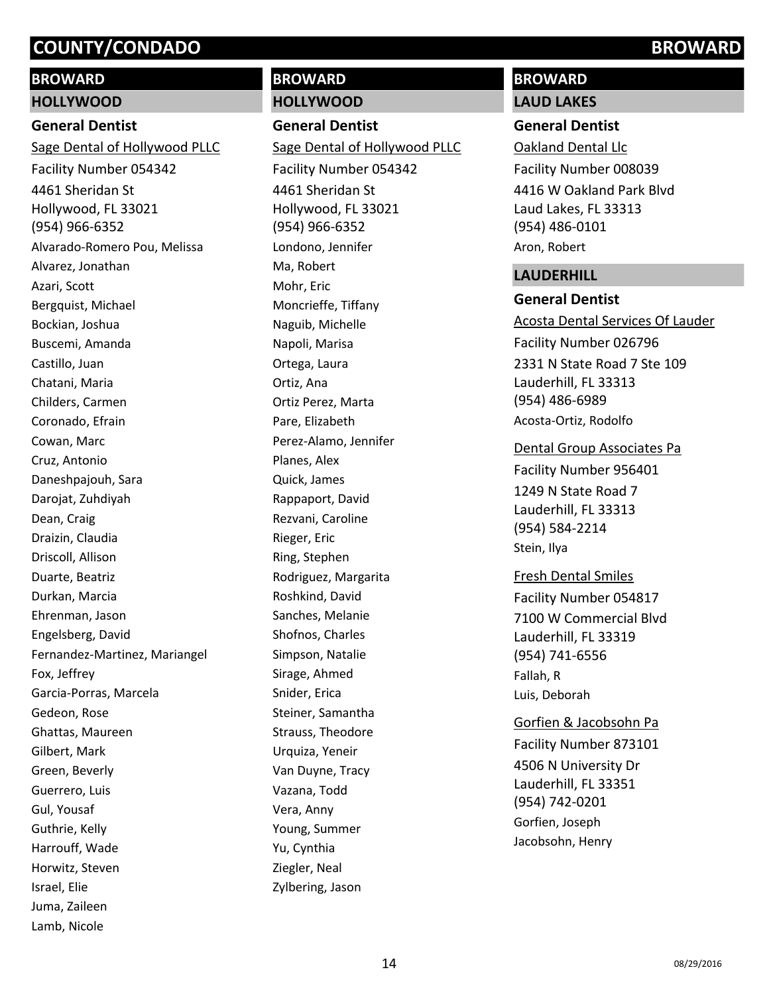# **BROWARD**

# **HOLLYWOOD**

# **General Dentist**

4461 Sheridan St Hollywood, FL 33021 (954) 966-6352 Sage Dental of Hollywood PLLC Facility Number 054342 Alvarado-Romero Pou, Melissa Alvarez, Jonathan Azari, Scott Bergquist, Michael Bockian, Joshua Buscemi, Amanda Castillo, Juan Chatani, Maria Childers, Carmen Coronado, Efrain Cowan, Marc Cruz, Antonio Daneshpajouh, Sara Darojat, Zuhdiyah Dean, Craig Draizin, Claudia Driscoll, Allison Duarte, Beatriz Durkan, Marcia Ehrenman, Jason Engelsberg, David Fernandez-Martinez, Mariangel Fox, Jeffrey Garcia-Porras, Marcela Gedeon, Rose Ghattas, Maureen Gilbert, Mark Green, Beverly Guerrero, Luis Gul, Yousaf Guthrie, Kelly Harrouff, Wade Horwitz, Steven Israel, Elie Juma, Zaileen Lamb, Nicole

# **BROWARD HOLLYWOOD**

# **General Dentist**

4461 Sheridan St Hollywood, FL 33021 (954) 966-6352 Sage Dental of Hollywood PLLC Facility Number 054342 Londono, Jennifer Ma, Robert Mohr, Eric Moncrieffe, Tiffany Naguib, Michelle Napoli, Marisa Ortega, Laura Ortiz, Ana Ortiz Perez, Marta Pare, Elizabeth Perez-Alamo, Jennifer Planes, Alex Quick, James Rappaport, David Rezvani, Caroline Rieger, Eric Ring, Stephen Rodriguez, Margarita Roshkind, David Sanches, Melanie Shofnos, Charles Simpson, Natalie Sirage, Ahmed Snider, Erica Steiner, Samantha Strauss, Theodore Urquiza, Yeneir Van Duyne, Tracy Vazana, Todd Vera, Anny Young, Summer Yu, Cynthia Ziegler, Neal Zylbering, Jason

# **BROWARD**

# **LAUD LAKES**

# **General Dentist**

4416 W Oakland Park Blvd Laud Lakes, FL 33313 (954) 486-0101 Oakland Dental Llc Facility Number 008039 Aron, Robert

## **LAUDERHILL**

## **General Dentist**

#### Acosta Dental Services Of Lauder

2331 N State Road 7 Ste 109 Lauderhill, FL 33313 (954) 486-6989 Facility Number 026796 Acosta-Ortiz, Rodolfo

#### Dental Group Associates Pa

1249 N State Road 7 Lauderhill, FL 33313 (954) 584-2214 Facility Number 956401 Stein, Ilya

# Fresh Dental Smiles

7100 W Commercial Blvd Lauderhill, FL 33319 (954) 741-6556 Facility Number 054817 Fallah, R Luis, Deborah

# 4506 N University Dr Lauderhill, FL 33351 (954) 742-0201 Gorfien & Jacobsohn Pa Facility Number 873101 Gorfien, Joseph Jacobsohn, Henry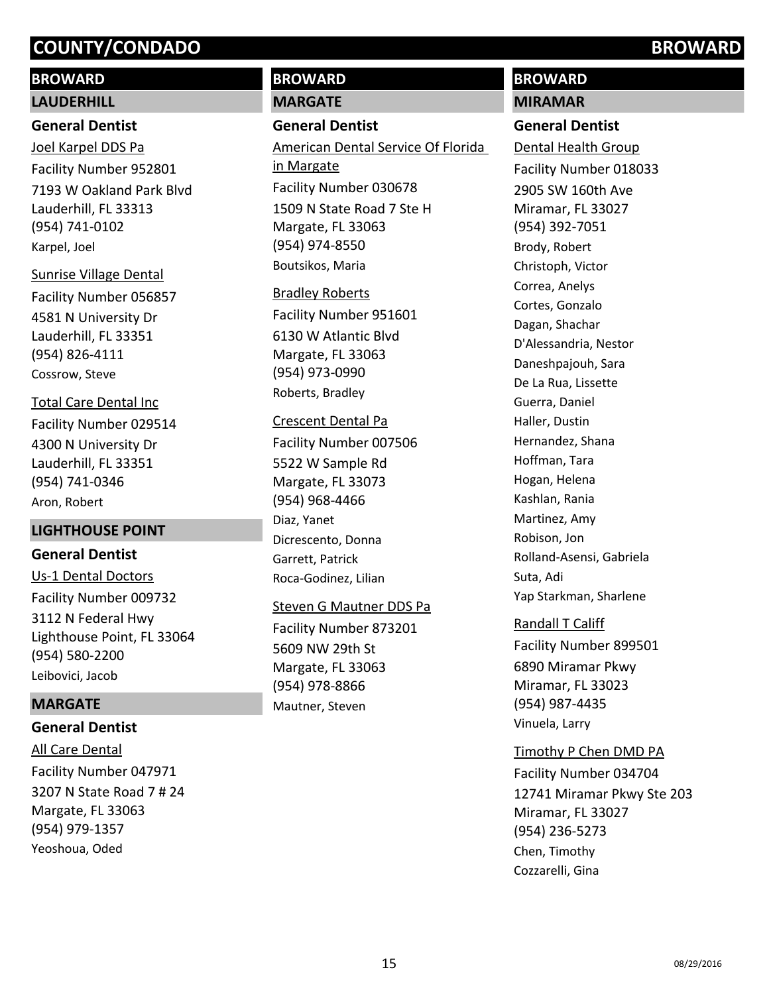# **BROWARD LAUDERHILL**

# **General Dentist**

7193 W Oakland Park Blvd Lauderhill, FL 33313 (954) 741-0102 Joel Karpel DDS Pa Facility Number 952801 Karpel, Joel

4581 N University Dr Lauderhill, FL 33351 (954) 826-4111 Sunrise Village Dental Facility Number 056857 Cossrow, Steve

4300 N University Dr Lauderhill, FL 33351 (954) 741-0346 Total Care Dental Inc Facility Number 029514 Aron, Robert

## **LIGHTHOUSE POINT**

**General Dentist** 3112 N Federal Hwy Lighthouse Point, FL 33064 (954) 580-2200 Us-1 Dental Doctors Facility Number 009732 Leibovici, Jacob

## **MARGATE**

**General Dentist**

3207 N State Road 7 # 24 Margate, FL 33063 (954) 979-1357 All Care Dental Facility Number 047971 Yeoshoua, Oded

# **BROWARD**

# **MARGATE**

# **General Dentist**

1509 N State Road 7 Ste H Margate, FL 33063 (954) 974-8550 American Dental Service Of Florida in Margate Facility Number 030678 Boutsikos, Maria

6130 W Atlantic Blvd Margate, FL 33063 (954) 973-0990 Bradley Roberts Facility Number 951601 Roberts, Bradley

### Crescent Dental Pa

5522 W Sample Rd Margate, FL 33073 (954) 968-4466 Facility Number 007506 Diaz, Yanet Dicrescento, Donna Garrett, Patrick Roca-Godinez, Lilian

Steven G Mautner DDS Pa

5609 NW 29th St Margate, FL 33063 (954) 978-8866 Facility Number 873201 Mautner, Steven

# **BROWARD**

**MIRAMAR**

# **General Dentist**

2905 SW 160th Ave Miramar, FL 33027 (954) 392-7051 Dental Health Group Facility Number 018033 Brody, Robert Christoph, Victor Correa, Anelys Cortes, Gonzalo Dagan, Shachar D'Alessandria, Nestor Daneshpajouh, Sara De La Rua, Lissette Guerra, Daniel Haller, Dustin Hernandez, Shana Hoffman, Tara Hogan, Helena Kashlan, Rania Martinez, Amy Robison, Jon Rolland-Asensi, Gabriela Suta, Adi Yap Starkman, Sharlene Randall T Califf

6890 Miramar Pkwy Miramar, FL 33023 (954) 987-4435 Facility Number 899501 Vinuela, Larry

## Timothy P Chen DMD PA

12741 Miramar Pkwy Ste 203 Miramar, FL 33027 (954) 236-5273 Facility Number 034704 Chen, Timothy Cozzarelli, Gina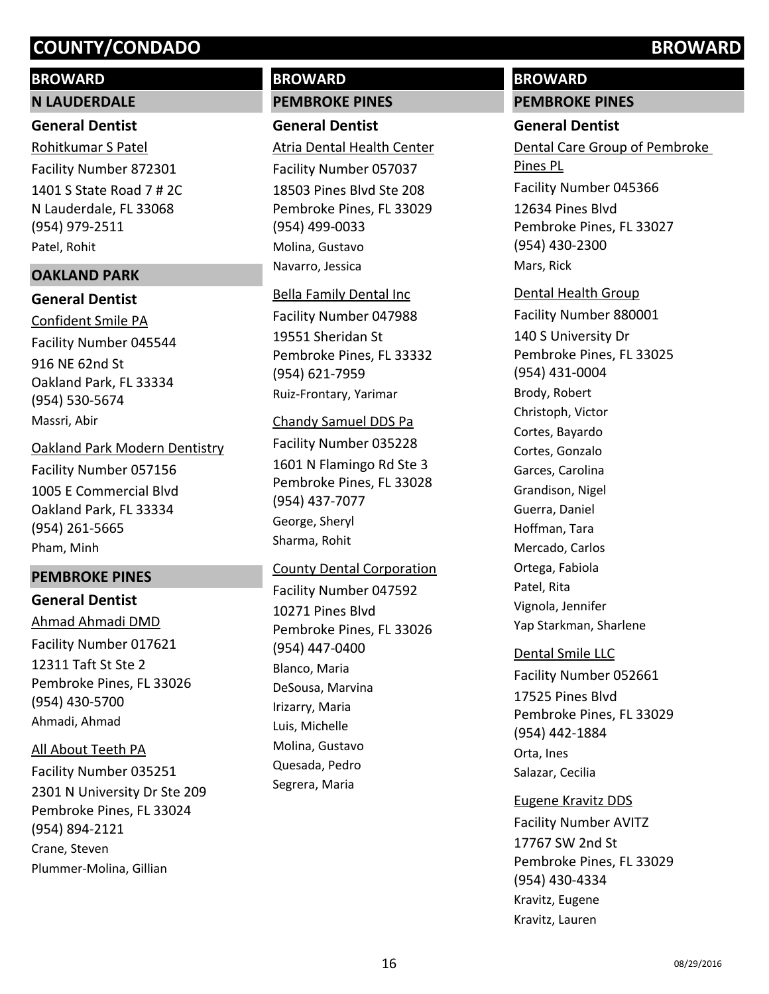# **BROWARD**

#### **N LAUDERDALE**

### **General Dentist**

1401 S State Road 7 # 2C N Lauderdale, FL 33068 (954) 979-2511 Rohitkumar S Patel Facility Number 872301 Patel, Rohit

## **OAKLAND PARK**

## **General Dentist**

916 NE 62nd St Oakland Park, FL 33334 (954) 530-5674 Confident Smile PA Facility Number 045544 Massri, Abir

#### Oakland Park Modern Dentistry

1005 E Commercial Blvd Oakland Park, FL 33334 (954) 261-5665 Facility Number 057156 Pham, Minh

## **PEMBROKE PINES**

# **General Dentist**

12311 Taft St Ste 2 Pembroke Pines, FL 33026 (954) 430-5700 Ahmad Ahmadi DMD Facility Number 017621 Ahmadi, Ahmad

# All About Teeth PA

2301 N University Dr Ste 209 Pembroke Pines, FL 33024 (954) 894-2121 Facility Number 035251 Crane, Steven Plummer-Molina, Gillian

# **BROWARD**

# **PEMBROKE PINES**

# **General Dentist**

18503 Pines Blvd Ste 208 Pembroke Pines, FL 33029 (954) 499-0033 Atria Dental Health Center Facility Number 057037 Molina, Gustavo Navarro, Jessica

# Bella Family Dental Inc

19551 Sheridan St Pembroke Pines, FL 33332 (954) 621-7959 Facility Number 047988 Ruiz-Frontary, Yarimar

## Chandy Samuel DDS Pa

1601 N Flamingo Rd Ste 3 Pembroke Pines, FL 33028 (954) 437-7077 Facility Number 035228 George, Sheryl Sharma, Rohit

## County Dental Corporation

10271 Pines Blvd Pembroke Pines, FL 33026 (954) 447-0400 Facility Number 047592 Blanco, Maria DeSousa, Marvina Irizarry, Maria Luis, Michelle Molina, Gustavo Quesada, Pedro Segrera, Maria

# **BROWARD**

### **PEMBROKE PINES**

# **General Dentist**

12634 Pines Blvd Pembroke Pines, FL 33027 (954) 430-2300 Dental Care Group of Pembroke Pines PL Facility Number 045366 Mars, Rick

# 140 S University Dr Pembroke Pines, FL 33025 (954) 431-0004 Dental Health Group Facility Number 880001 Brody, Robert Christoph, Victor Cortes, Bayardo Cortes, Gonzalo Garces, Carolina Grandison, Nigel Guerra, Daniel Hoffman, Tara Mercado, Carlos Ortega, Fabiola Patel, Rita Vignola, Jennifer Yap Starkman, Sharlene

## Dental Smile LLC

17525 Pines Blvd Pembroke Pines, FL 33029 (954) 442-1884 Facility Number 052661 Orta, Ines Salazar, Cecilia

# Eugene Kravitz DDS

17767 SW 2nd St Pembroke Pines, FL 33029 (954) 430-4334 Facility Number AVITZ Kravitz, Eugene Kravitz, Lauren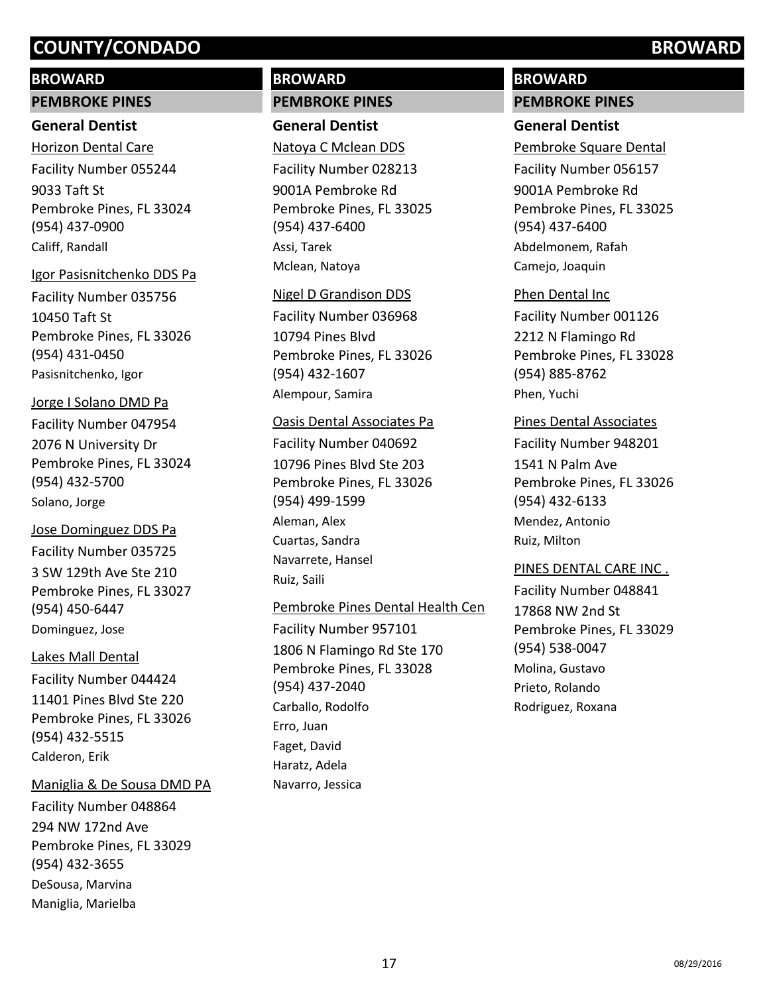# **BROWARD**

## **PEMBROKE PINES**

### **General Dentist**

9033 Taft St Pembroke Pines, FL 33024 (954) 437-0900 Horizon Dental Care Facility Number 055244 Califf, Randall

#### Igor Pasisnitchenko DDS Pa

10450 Taft St Pembroke Pines, FL 33026 (954) 431-0450 Facility Number 035756 Pasisnitchenko, Igor

## Jorge I Solano DMD Pa

2076 N University Dr Pembroke Pines, FL 33024 (954) 432-5700 Facility Number 047954 Solano, Jorge

3 SW 129th Ave Ste 210 Pembroke Pines, FL 33027 (954) 450-6447 Jose Dominguez DDS Pa Facility Number 035725 Dominguez, Jose

# Lakes Mall Dental

11401 Pines Blvd Ste 220 Pembroke Pines, FL 33026 (954) 432-5515 Facility Number 044424 Calderon, Erik

## Maniglia & De Sousa DMD PA

294 NW 172nd Ave Pembroke Pines, FL 33029 (954) 432-3655 Facility Number 048864 DeSousa, Marvina Maniglia, Marielba

# **BROWARD**

# **PEMBROKE PINES**

**General Dentist** 9001A Pembroke Rd Pembroke Pines, FL 33025 (954) 437-6400 Natoya C Mclean DDS Facility Number 028213 Assi, Tarek Mclean, Natoya

#### Nigel D Grandison DDS

10794 Pines Blvd Pembroke Pines, FL 33026 (954) 432-1607 Facility Number 036968 Alempour, Samira

#### Oasis Dental Associates Pa

10796 Pines Blvd Ste 203 Pembroke Pines, FL 33026 (954) 499-1599 Facility Number 040692 Aleman, Alex Cuartas, Sandra Navarrete, Hansel Ruiz, Saili

## Pembroke Pines Dental Health Cen

1806 N Flamingo Rd Ste 170 Pembroke Pines, FL 33028 (954) 437-2040 Facility Number 957101 Carballo, Rodolfo Erro, Juan Faget, David Haratz, Adela Navarro, Jessica

# **BROWARD**

**PEMBROKE PINES**

# **General Dentist**

9001A Pembroke Rd Pembroke Pines, FL 33025 (954) 437-6400 Pembroke Square Dental Facility Number 056157 Abdelmonem, Rafah Camejo, Joaquin

#### Phen Dental Inc

2212 N Flamingo Rd Pembroke Pines, FL 33028 (954) 885-8762 Facility Number 001126 Phen, Yuchi

## Pines Dental Associates

1541 N Palm Ave Pembroke Pines, FL 33026 (954) 432-6133 Facility Number 948201 Mendez, Antonio Ruiz, Milton

## PINES DENTAL CARE INC .

17868 NW 2nd St Pembroke Pines, FL 33029 (954) 538-0047 Facility Number 048841 Molina, Gustavo Prieto, Rolando Rodriguez, Roxana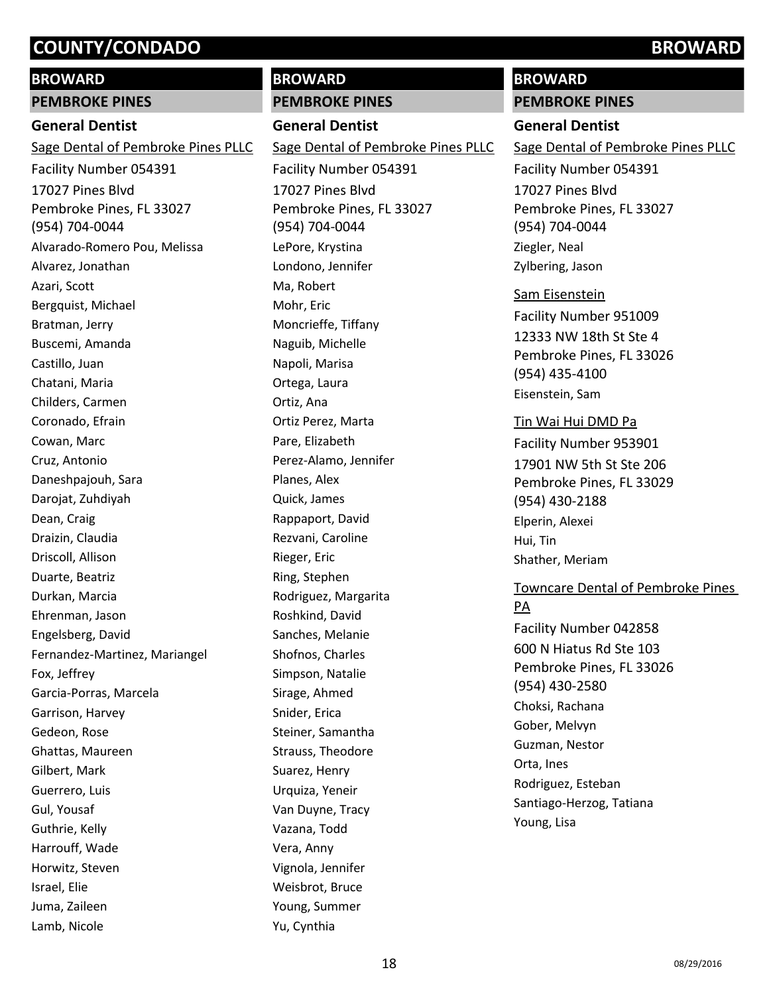# **BROWARD**

# **PEMBROKE PINES**

# **General Dentist**

17027 Pines Blvd Pembroke Pines, FL 33027 (954) 704-0044 Sage Dental of Pembroke Pines PLLC Facility Number 054391 Alvarado-Romero Pou, Melissa Alvarez, Jonathan Azari, Scott Bergquist, Michael Bratman, Jerry Buscemi, Amanda Castillo, Juan Chatani, Maria Childers, Carmen Coronado, Efrain Cowan, Marc Cruz, Antonio Daneshpajouh, Sara Darojat, Zuhdiyah Dean, Craig Draizin, Claudia Driscoll, Allison Duarte, Beatriz Durkan, Marcia Ehrenman, Jason Engelsberg, David Fernandez-Martinez, Mariangel Fox, Jeffrey Garcia-Porras, Marcela Garrison, Harvey Gedeon, Rose Ghattas, Maureen Gilbert, Mark Guerrero, Luis Gul, Yousaf Guthrie, Kelly Harrouff, Wade Horwitz, Steven Israel, Elie Juma, Zaileen Lamb, Nicole

# **BROWARD**

#### **PEMBROKE PINES**

**General Dentist** 17027 Pines Blvd Pembroke Pines, FL 33027 (954) 704-0044 Sage Dental of Pembroke Pines PLLC Facility Number 054391 LePore, Krystina Londono, Jennifer Ma, Robert Mohr, Eric Moncrieffe, Tiffany Naguib, Michelle Napoli, Marisa Ortega, Laura Ortiz, Ana Ortiz Perez, Marta Pare, Elizabeth Perez-Alamo, Jennifer Planes, Alex Quick, James Rappaport, David Rezvani, Caroline Rieger, Eric Ring, Stephen Rodriguez, Margarita Roshkind, David Sanches, Melanie Shofnos, Charles Simpson, Natalie Sirage, Ahmed Snider, Erica Steiner, Samantha Strauss, Theodore Suarez, Henry Urquiza, Yeneir Van Duyne, Tracy Vazana, Todd Vera, Anny Vignola, Jennifer Weisbrot, Bruce Young, Summer Yu, Cynthia

# **BROWARD**

**PEMBROKE PINES**

## **General Dentist**

17027 Pines Blvd Pembroke Pines, FL 33027 (954) 704-0044 Sage Dental of Pembroke Pines PLLC Facility Number 054391 Ziegler, Neal Zylbering, Jason

#### Sam Eisenstein

12333 NW 18th St Ste 4 Pembroke Pines, FL 33026 (954) 435-4100 Facility Number 951009 Eisenstein, Sam

#### Tin Wai Hui DMD Pa

17901 NW 5th St Ste 206 Pembroke Pines, FL 33029 (954) 430-2188 Facility Number 953901 Elperin, Alexei Hui, Tin Shather, Meriam

# Towncare Dental of Pembroke Pines PA Facility Number 042858

600 N Hiatus Rd Ste 103 Pembroke Pines, FL 33026 (954) 430-2580 Choksi, Rachana Gober, Melvyn Guzman, Nestor Orta, Ines Rodriguez, Esteban Santiago-Herzog, Tatiana Young, Lisa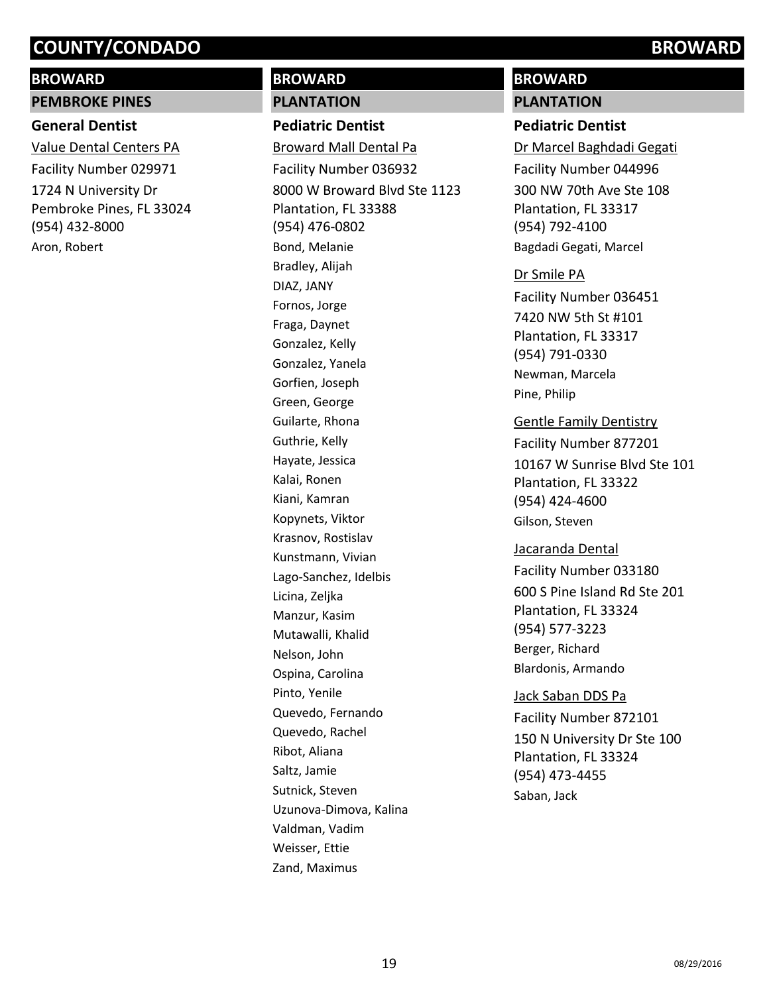# **BROWARD**

# **PEMBROKE PINES**

# **General Dentist**

1724 N University Dr Pembroke Pines, FL 33024 (954) 432-8000 Value Dental Centers PA Facility Number 029971 Aron, Robert

# **BROWARD**

# **PLANTATION**

**Pediatric Dentist** 8000 W Broward Blvd Ste 1123 Plantation, FL 33388 (954) 476-0802 Broward Mall Dental Pa Facility Number 036932 Bond, Melanie Bradley, Alijah DIAZ, JANY Fornos, Jorge Fraga, Daynet Gonzalez, Kelly Gonzalez, Yanela Gorfien, Joseph Green, George Guilarte, Rhona Guthrie, Kelly Hayate, Jessica Kalai, Ronen Kiani, Kamran Kopynets, Viktor Krasnov, Rostislav Kunstmann, Vivian Lago-Sanchez, Idelbis Licina, Zeljka Manzur, Kasim Mutawalli, Khalid Nelson, John Ospina, Carolina Pinto, Yenile Quevedo, Fernando Quevedo, Rachel Ribot, Aliana Saltz, Jamie Sutnick, Steven Uzunova-Dimova, Kalina Valdman, Vadim Weisser, Ettie Zand, Maximus

# **BROWARD**

# **PLANTATION**

# **Pediatric Dentist**

300 NW 70th Ave Ste 108 Plantation, FL 33317 (954) 792-4100 Dr Marcel Baghdadi Gegati Facility Number 044996 Bagdadi Gegati, Marcel

## Dr Smile PA

7420 NW 5th St #101 Plantation, FL 33317 (954) 791-0330 Facility Number 036451 Newman, Marcela Pine, Philip

## Gentle Family Dentistry

10167 W Sunrise Blvd Ste 101 Plantation, FL 33322 (954) 424-4600 Facility Number 877201 Gilson, Steven

#### Jacaranda Dental

600 S Pine Island Rd Ste 201 Plantation, FL 33324 (954) 577-3223 Facility Number 033180 Berger, Richard Blardonis, Armando

150 N University Dr Ste 100 Plantation, FL 33324 (954) 473-4455 Jack Saban DDS Pa Facility Number 872101 Saban, Jack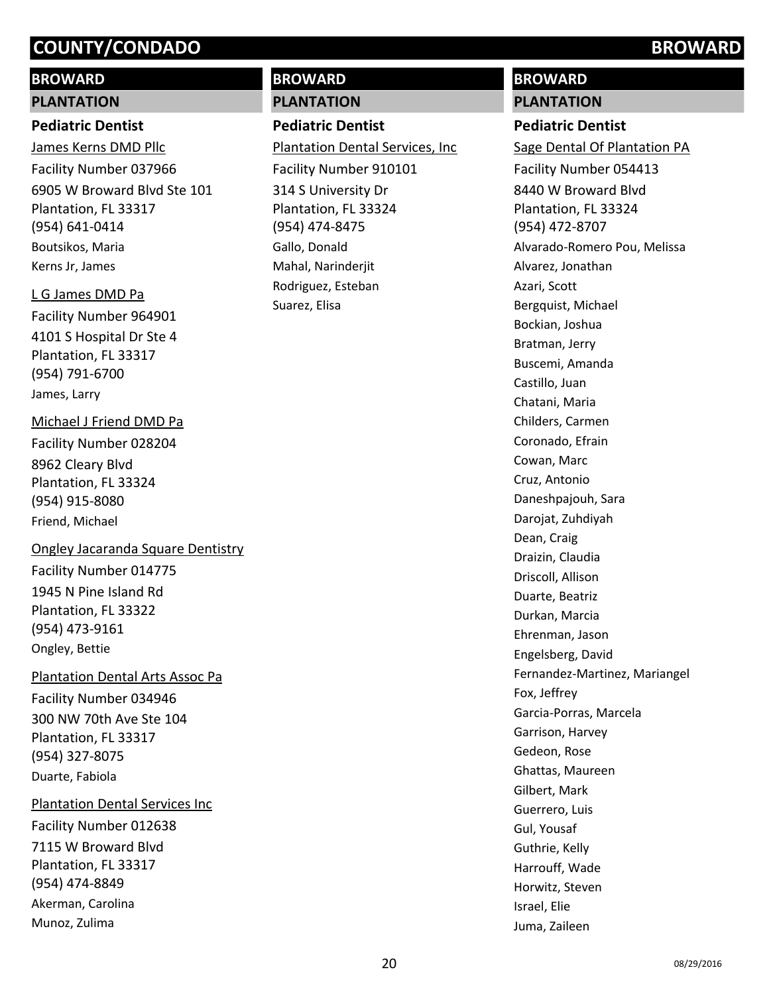# **BROWARD**

# **PLANTATION**

# **Pediatric Dentist**

6905 W Broward Blvd Ste 101 Plantation, FL 33317 (954) 641-0414 James Kerns DMD Pllc Facility Number 037966 Boutsikos, Maria Kerns Jr, James

# L G James DMD Pa

4101 S Hospital Dr Ste 4 Plantation, FL 33317 (954) 791-6700 Facility Number 964901 James, Larry

# Michael J Friend DMD Pa

8962 Cleary Blvd Plantation, FL 33324 (954) 915-8080 Facility Number 028204 Friend, Michael

# Ongley Jacaranda Square Dentistry

1945 N Pine Island Rd Plantation, FL 33322 (954) 473-9161 Facility Number 014775 Ongley, Bettie

# Plantation Dental Arts Assoc Pa

300 NW 70th Ave Ste 104 Plantation, FL 33317 (954) 327-8075 Facility Number 034946 Duarte, Fabiola

# Plantation Dental Services Inc

7115 W Broward Blvd Plantation, FL 33317 (954) 474-8849 Facility Number 012638 Akerman, Carolina Munoz, Zulima

# **BROWARD**

# **PLANTATION**

# **Pediatric Dentist**

314 S University Dr Plantation, FL 33324 (954) 474-8475 Plantation Dental Services, Inc Facility Number 910101 Gallo, Donald Mahal, Narinderjit Rodriguez, Esteban Suarez, Elisa

# **BROWARD**

# **PLANTATION**

# **Pediatric Dentist**

8440 W Broward Blvd Plantation, FL 33324 (954) 472-8707 Sage Dental Of Plantation PA Facility Number 054413 Alvarado-Romero Pou, Melissa Alvarez, Jonathan Azari, Scott Bergquist, Michael Bockian, Joshua Bratman, Jerry Buscemi, Amanda Castillo, Juan Chatani, Maria Childers, Carmen Coronado, Efrain Cowan, Marc Cruz, Antonio Daneshpajouh, Sara Darojat, Zuhdiyah Dean, Craig Draizin, Claudia Driscoll, Allison Duarte, Beatriz Durkan, Marcia Ehrenman, Jason Engelsberg, David Fernandez-Martinez, Mariangel Fox, Jeffrey Garcia-Porras, Marcela Garrison, Harvey Gedeon, Rose Ghattas, Maureen Gilbert, Mark Guerrero, Luis Gul, Yousaf Guthrie, Kelly Harrouff, Wade Horwitz, Steven Israel, Elie Juma, Zaileen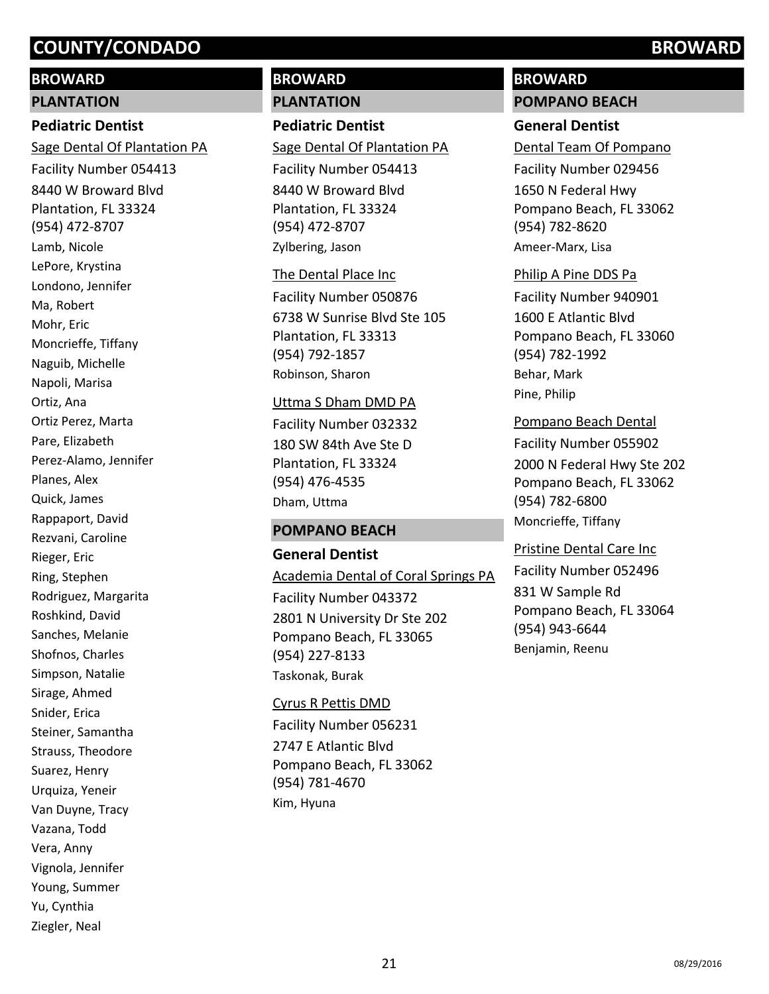# **BROWARD**

#### **PLANTATION**

## **Pediatric Dentist**

8440 W Broward Blvd Plantation, FL 33324 (954) 472-8707 Sage Dental Of Plantation PA Facility Number 054413 Lamb, Nicole LePore, Krystina Londono, Jennifer Ma, Robert Mohr, Eric Moncrieffe, Tiffany Naguib, Michelle Napoli, Marisa Ortiz, Ana Ortiz Perez, Marta Pare, Elizabeth Perez-Alamo, Jennifer Planes, Alex Quick, James Rappaport, David Rezvani, Caroline Rieger, Eric Ring, Stephen Rodriguez, Margarita Roshkind, David Sanches, Melanie Shofnos, Charles Simpson, Natalie Sirage, Ahmed Snider, Erica Steiner, Samantha Strauss, Theodore Suarez, Henry Urquiza, Yeneir Van Duyne, Tracy Vazana, Todd Vera, Anny Vignola, Jennifer Young, Summer Yu, Cynthia Ziegler, Neal

# **BROWARD**

## **PLANTATION**

# **Pediatric Dentist**

8440 W Broward Blvd Plantation, FL 33324 (954) 472-8707 Sage Dental Of Plantation PA Facility Number 054413 Zylbering, Jason

#### The Dental Place Inc

6738 W Sunrise Blvd Ste 105 Plantation, FL 33313 (954) 792-1857 Facility Number 050876 Robinson, Sharon

#### Uttma S Dham DMD PA

180 SW 84th Ave Ste D Plantation, FL 33324 (954) 476-4535 Facility Number 032332 Dham, Uttma

#### **POMPANO BEACH**

**General Dentist** 2801 N University Dr Ste 202 Pompano Beach, FL 33065 (954) 227-8133 Academia Dental of Coral Springs PA Facility Number 043372 Taskonak, Burak

2747 E Atlantic Blvd Pompano Beach, FL 33062 (954) 781-4670 Cyrus R Pettis DMD Facility Number 056231 Kim, Hyuna

# **BROWARD**

**POMPANO BEACH**

# **General Dentist**

1650 N Federal Hwy Pompano Beach, FL 33062 (954) 782-8620 Dental Team Of Pompano Facility Number 029456 Ameer-Marx, Lisa

#### Philip A Pine DDS Pa

1600 E Atlantic Blvd Pompano Beach, FL 33060 (954) 782-1992 Facility Number 940901 Behar, Mark Pine, Philip

#### Pompano Beach Dental

2000 N Federal Hwy Ste 202 Pompano Beach, FL 33062 (954) 782-6800 Facility Number 055902 Moncrieffe, Tiffany

#### Pristine Dental Care Inc

831 W Sample Rd Pompano Beach, FL 33064 (954) 943-6644 Facility Number 052496 Benjamin, Reenu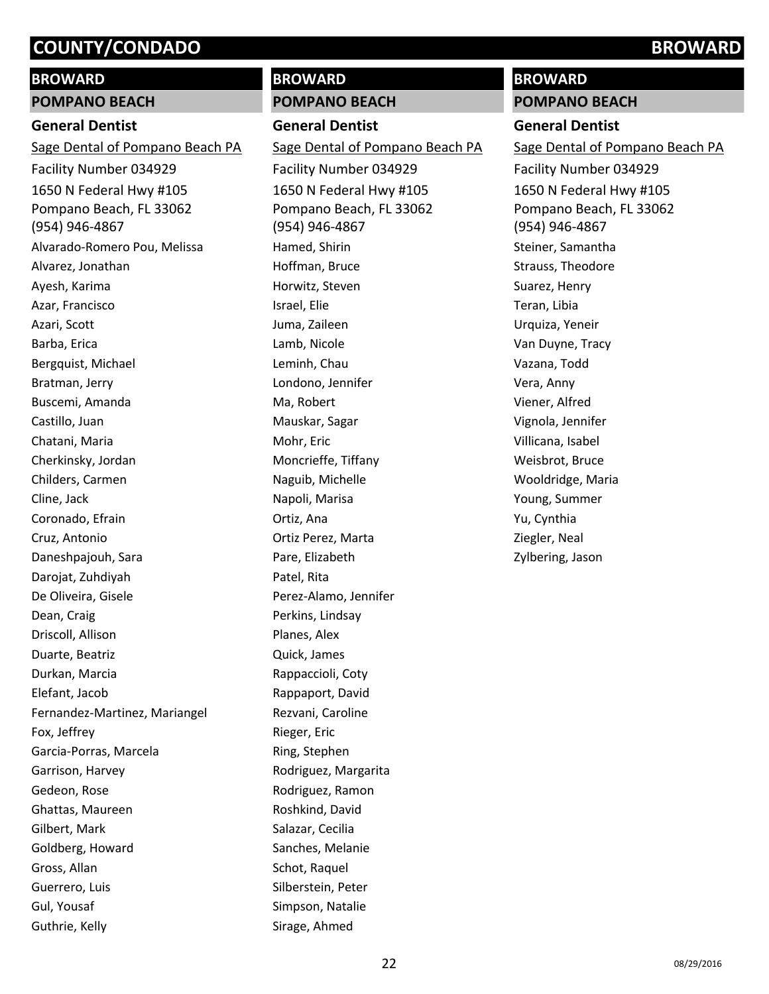# **BROWARD**

#### **POMPANO BEACH**

### **General Dentist**

1650 N Federal Hwy #105 Pompano Beach, FL 33062 (954) 946-4867 Sage Dental of Pompano Beach PA Facility Number 034929 Alvarado-Romero Pou, Melissa Alvarez, Jonathan Ayesh, Karima Azar, Francisco Azari, Scott Barba, Erica Bergquist, Michael Bratman, Jerry Buscemi, Amanda Castillo, Juan Chatani, Maria Cherkinsky, Jordan Childers, Carmen Cline, Jack Coronado, Efrain Cruz, Antonio Daneshpajouh, Sara Darojat, Zuhdiyah De Oliveira, Gisele Dean, Craig Driscoll, Allison Duarte, Beatriz Durkan, Marcia Elefant, Jacob Fernandez-Martinez, Mariangel Fox, Jeffrey Garcia-Porras, Marcela Garrison, Harvey Gedeon, Rose Ghattas, Maureen Gilbert, Mark Goldberg, Howard Gross, Allan Guerrero, Luis Gul, Yousaf Guthrie, Kelly

# **BROWARD**

# **POMPANO BEACH**

**General Dentist** 1650 N Federal Hwy #105 Pompano Beach, FL 33062 (954) 946-4867 Sage Dental of Pompano Beach PA Facility Number 034929 Hamed, Shirin Hoffman, Bruce Horwitz, Steven Israel, Elie Juma, Zaileen Lamb, Nicole Leminh, Chau Londono, Jennifer Ma, Robert Mauskar, Sagar Mohr, Eric Moncrieffe, Tiffany Naguib, Michelle Napoli, Marisa Ortiz, Ana Ortiz Perez, Marta Pare, Elizabeth Patel, Rita Perez-Alamo, Jennifer Perkins, Lindsay Planes, Alex Quick, James Rappaccioli, Coty Rappaport, David Rezvani, Caroline Rieger, Eric Ring, Stephen Rodriguez, Margarita Rodriguez, Ramon Roshkind, David Salazar, Cecilia Sanches, Melanie Schot, Raquel Silberstein, Peter Simpson, Natalie Sirage, Ahmed

# **BROWARD**

**POMPANO BEACH**

## **General Dentist**

1650 N Federal Hwy #105 Pompano Beach, FL 33062 (954) 946-4867 Sage Dental of Pompano Beach PA Facility Number 034929 Steiner, Samantha Strauss, Theodore Suarez, Henry Teran, Libia Urquiza, Yeneir Van Duyne, Tracy Vazana, Todd Vera, Anny Viener, Alfred Vignola, Jennifer Villicana, Isabel Weisbrot, Bruce Wooldridge, Maria Young, Summer Yu, Cynthia Ziegler, Neal Zylbering, Jason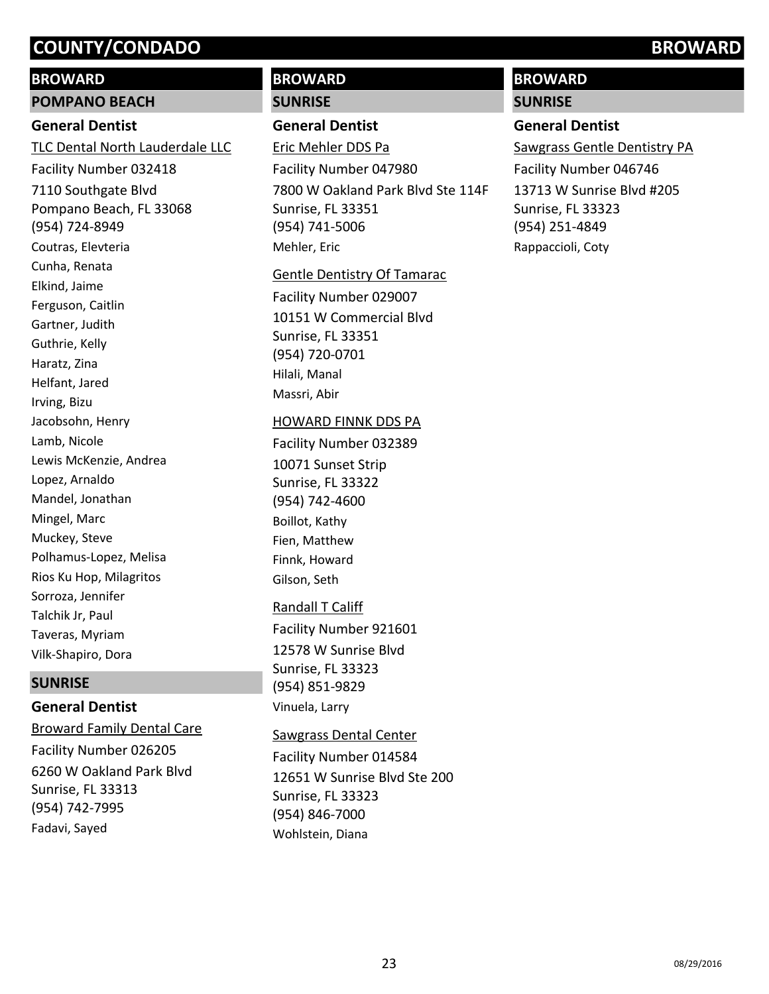### **BROWARD**

#### **POMPANO BEACH**

## **General Dentist**

7110 Southgate Blvd Pompano Beach, FL 33068 (954) 724-8949 TLC Dental North Lauderdale LLC Facility Number 032418 Coutras, Elevteria Cunha, Renata Elkind, Jaime Ferguson, Caitlin Gartner, Judith Guthrie, Kelly Haratz, Zina Helfant, Jared Irving, Bizu Jacobsohn, Henry Lamb, Nicole Lewis McKenzie, Andrea Lopez, Arnaldo Mandel, Jonathan Mingel, Marc Muckey, Steve Polhamus-Lopez, Melisa Rios Ku Hop, Milagritos Sorroza, Jennifer Talchik Jr, Paul Taveras, Myriam Vilk-Shapiro, Dora

#### **SUNRISE**

## **General Dentist**

6260 W Oakland Park Blvd Sunrise, FL 33313 (954) 742-7995 Broward Family Dental Care Facility Number 026205 Fadavi, Sayed

# **BROWARD**

### **SUNRISE**

# **General Dentist**

7800 W Oakland Park Blvd Ste 114F Sunrise, FL 33351 (954) 741-5006 Eric Mehler DDS Pa Facility Number 047980 Mehler, Eric

#### Gentle Dentistry Of Tamarac

10151 W Commercial Blvd Sunrise, FL 33351 (954) 720-0701 Facility Number 029007 Hilali, Manal Massri, Abir

#### HOWARD FINNK DDS PA

10071 Sunset Strip Sunrise, FL 33322 (954) 742-4600 Facility Number 032389 Boillot, Kathy Fien, Matthew Finnk, Howard Gilson, Seth

## Randall T Califf

12578 W Sunrise Blvd Sunrise, FL 33323 (954) 851-9829 Facility Number 921601 Vinuela, Larry

## Sawgrass Dental Center

12651 W Sunrise Blvd Ste 200 Sunrise, FL 33323 (954) 846-7000 Facility Number 014584 Wohlstein, Diana

# **BROWARD**

**SUNRISE**

## **General Dentist**

13713 W Sunrise Blvd #205 Sunrise, FL 33323 (954) 251-4849 Sawgrass Gentle Dentistry PA Facility Number 046746 Rappaccioli, Coty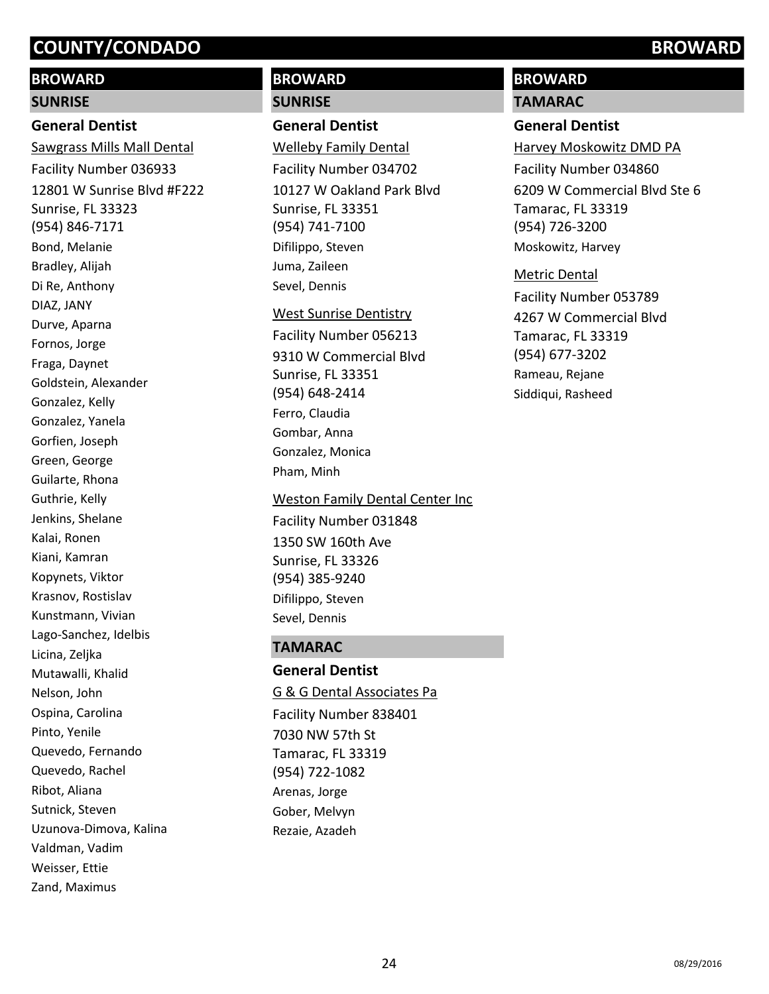# **BROWARD**

#### **SUNRISE**

#### **General Dentist**

12801 W Sunrise Blvd #F222 Sunrise, FL 33323 (954) 846-7171 Sawgrass Mills Mall Dental Facility Number 036933 Bond, Melanie Bradley, Alijah Di Re, Anthony DIAZ, JANY Durve, Aparna Fornos, Jorge Fraga, Daynet Goldstein, Alexander Gonzalez, Kelly Gonzalez, Yanela Gorfien, Joseph Green, George Guilarte, Rhona Guthrie, Kelly Jenkins, Shelane Kalai, Ronen Kiani, Kamran Kopynets, Viktor Krasnov, Rostislav Kunstmann, Vivian Lago-Sanchez, Idelbis Licina, Zeljka Mutawalli, Khalid Nelson, John Ospina, Carolina Pinto, Yenile Quevedo, Fernando Quevedo, Rachel Ribot, Aliana Sutnick, Steven Uzunova-Dimova, Kalina Valdman, Vadim Weisser, Ettie Zand, Maximus

# **BROWARD SUNRISE**

# **General Dentist**

10127 W Oakland Park Blvd Sunrise, FL 33351 (954) 741-7100 Welleby Family Dental Facility Number 034702 Difilippo, Steven Juma, Zaileen Sevel, Dennis

#### West Sunrise Dentistry

9310 W Commercial Blvd Sunrise, FL 33351 (954) 648-2414 Facility Number 056213 Ferro, Claudia Gombar, Anna Gonzalez, Monica Pham, Minh

1350 SW 160th Ave Sunrise, FL 33326 (954) 385-9240 Weston Family Dental Center Inc Facility Number 031848 Difilippo, Steven Sevel, Dennis

# **TAMARAC**

**General Dentist** 7030 NW 57th St Tamarac, FL 33319 (954) 722-1082 G & G Dental Associates Pa Facility Number 838401 Arenas, Jorge Gober, Melvyn Rezaie, Azadeh

# **BROWARD**

**TAMARAC**

# **General Dentist**

6209 W Commercial Blvd Ste 6 Tamarac, FL 33319 (954) 726-3200 Harvey Moskowitz DMD PA Facility Number 034860 Moskowitz, Harvey

#### Metric Dental

4267 W Commercial Blvd Tamarac, FL 33319 (954) 677-3202 Facility Number 053789 Rameau, Rejane Siddiqui, Rasheed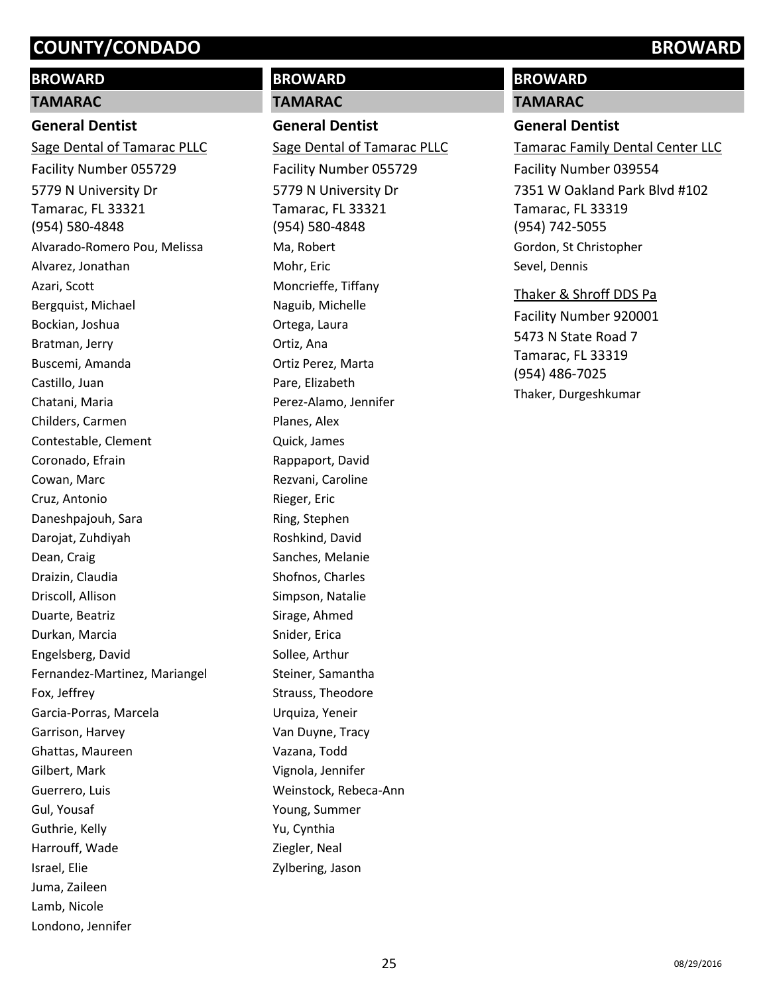# **BROWARD**

#### **TAMARAC**

## **General Dentist**

5779 N University Dr Tamarac, FL 33321 (954) 580-4848 Sage Dental of Tamarac PLLC Facility Number 055729 Alvarado-Romero Pou, Melissa Alvarez, Jonathan Azari, Scott Bergquist, Michael Bockian, Joshua Bratman, Jerry Buscemi, Amanda Castillo, Juan Chatani, Maria Childers, Carmen Contestable, Clement Coronado, Efrain Cowan, Marc Cruz, Antonio Daneshpajouh, Sara Darojat, Zuhdiyah Dean, Craig Draizin, Claudia Driscoll, Allison Duarte, Beatriz Durkan, Marcia Engelsberg, David Fernandez-Martinez, Mariangel Fox, Jeffrey Garcia-Porras, Marcela Garrison, Harvey Ghattas, Maureen Gilbert, Mark Guerrero, Luis Gul, Yousaf Guthrie, Kelly Harrouff, Wade Israel, Elie Juma, Zaileen Lamb, Nicole Londono, Jennifer

# **BROWARD TAMARAC**

# **General Dentist**

5779 N University Dr Tamarac, FL 33321 (954) 580-4848 Sage Dental of Tamarac PLLC Facility Number 055729 Ma, Robert Mohr, Eric Moncrieffe, Tiffany Naguib, Michelle Ortega, Laura Ortiz, Ana Ortiz Perez, Marta Pare, Elizabeth Perez-Alamo, Jennifer Planes, Alex Quick, James Rappaport, David Rezvani, Caroline Rieger, Eric Ring, Stephen Roshkind, David Sanches, Melanie Shofnos, Charles Simpson, Natalie Sirage, Ahmed Snider, Erica Sollee, Arthur Steiner, Samantha Strauss, Theodore Urquiza, Yeneir Van Duyne, Tracy Vazana, Todd Vignola, Jennifer Weinstock, Rebeca-Ann Young, Summer Yu, Cynthia Ziegler, Neal Zylbering, Jason

# **BROWARD**

#### **TAMARAC**

### **General Dentist**

7351 W Oakland Park Blvd #102 Tamarac, FL 33319 (954) 742-5055 Tamarac Family Dental Center LLC Facility Number 039554 Gordon, St Christopher Sevel, Dennis

#### Thaker & Shroff DDS Pa

5473 N State Road 7 Tamarac, FL 33319 (954) 486-7025 Facility Number 920001 Thaker, Durgeshkumar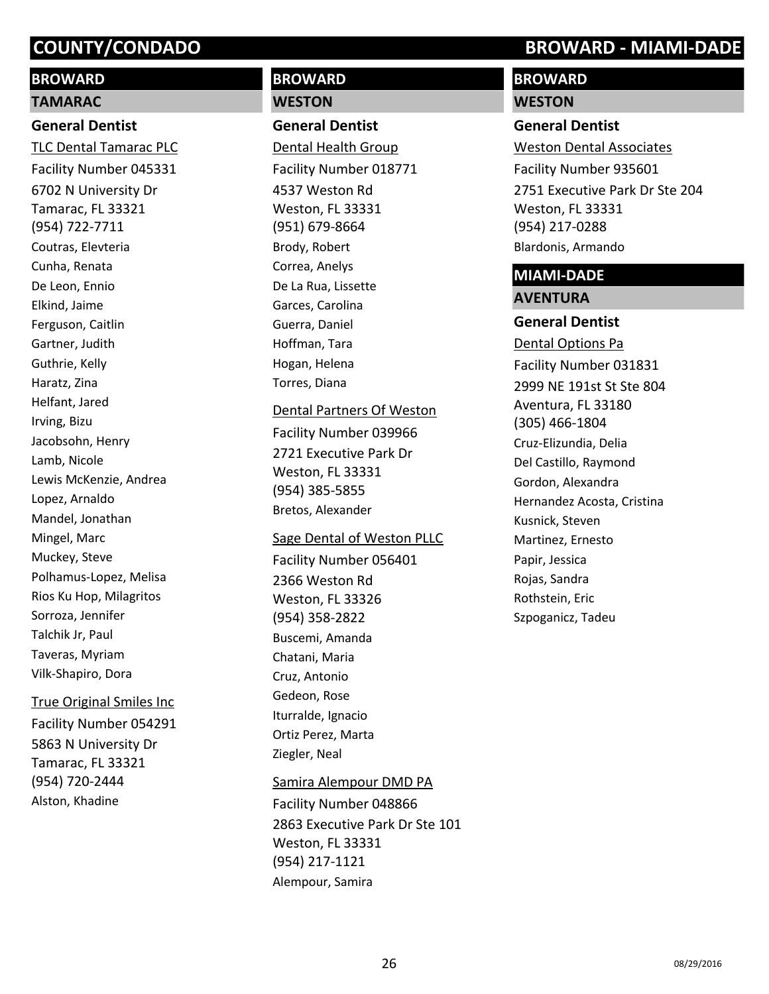# **BROWARD**

# **TAMARAC**

# **General Dentist**

6702 N University Dr Tamarac, FL 33321 (954) 722-7711 TLC Dental Tamarac PLC Facility Number 045331 Coutras, Elevteria Cunha, Renata De Leon, Ennio Elkind, Jaime Ferguson, Caitlin Gartner, Judith Guthrie, Kelly Haratz, Zina Helfant, Jared Irving, Bizu Jacobsohn, Henry Lamb, Nicole Lewis McKenzie, Andrea Lopez, Arnaldo Mandel, Jonathan Mingel, Marc Muckey, Steve Polhamus-Lopez, Melisa Rios Ku Hop, Milagritos Sorroza, Jennifer Talchik Jr, Paul Taveras, Myriam Vilk-Shapiro, Dora

#### True Original Smiles Inc

5863 N University Dr Tamarac, FL 33321 (954) 720-2444 Facility Number 054291 Alston, Khadine

# **BROWARD WESTON**

**General Dentist** 4537 Weston Rd Weston, FL 33331 (951) 679-8664 Dental Health Group Facility Number 018771 Brody, Robert Correa, Anelys De La Rua, Lissette Garces, Carolina Guerra, Daniel Hoffman, Tara Hogan, Helena Torres, Diana

2721 Executive Park Dr Weston, FL 33331 (954) 385-5855 Dental Partners Of Weston Facility Number 039966 Bretos, Alexander

#### Sage Dental of Weston PLLC

2366 Weston Rd Weston, FL 33326 (954) 358-2822 Facility Number 056401 Buscemi, Amanda Chatani, Maria Cruz, Antonio Gedeon, Rose Iturralde, Ignacio Ortiz Perez, Marta Ziegler, Neal

#### Samira Alempour DMD PA

2863 Executive Park Dr Ste 101 Weston, FL 33331 (954) 217-1121 Facility Number 048866 Alempour, Samira

# **COUNTY/CONDADO BROWARD - MIAMI-DADE**

# **BROWARD**

# **WESTON**

# **General Dentist**

2751 Executive Park Dr Ste 204 Weston, FL 33331 (954) 217-0288 Weston Dental Associates Facility Number 935601 Blardonis, Armando

# **MIAMI-DADE**

# **AVENTURA**

**General Dentist** 2999 NE 191st St Ste 804 Aventura, FL 33180 (305) 466-1804 Dental Options Pa Facility Number 031831 Cruz-Elizundia, Delia Del Castillo, Raymond Gordon, Alexandra Hernandez Acosta, Cristina Kusnick, Steven Martinez, Ernesto Papir, Jessica Rojas, Sandra Rothstein, Eric Szpoganicz, Tadeu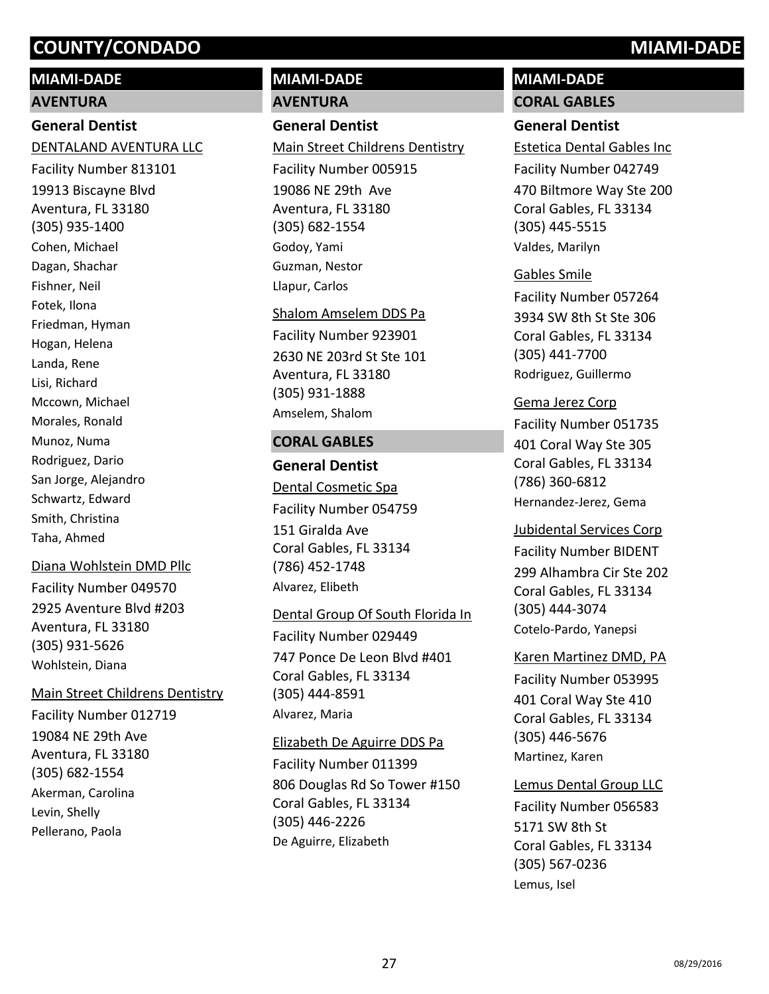# **MIAMI-DADE**

**AVENTURA**

# **General Dentist**

19913 Biscayne Blvd Aventura, FL 33180 (305) 935-1400 DENTALAND AVENTURA LLC Facility Number 813101 Cohen, Michael Dagan, Shachar Fishner, Neil Fotek, Ilona Friedman, Hyman Hogan, Helena Landa, Rene Lisi, Richard Mccown, Michael Morales, Ronald Munoz, Numa Rodriguez, Dario San Jorge, Alejandro Schwartz, Edward Smith, Christina Taha, Ahmed

#### Diana Wohlstein DMD Pllc

2925 Aventure Blvd #203 Aventura, FL 33180 (305) 931-5626 Facility Number 049570 Wohlstein, Diana

#### Main Street Childrens Dentistry

19084 NE 29th Ave Aventura, FL 33180 (305) 682-1554 Facility Number 012719 Akerman, Carolina Levin, Shelly Pellerano, Paola

# **MIAMI-DADE AVENTURA**

### **General Dentist**

19086 NE 29th Ave Aventura, FL 33180 (305) 682-1554 Main Street Childrens Dentistry Facility Number 005915 Godoy, Yami Guzman, Nestor Llapur, Carlos

# 2630 NE 203rd St Ste 101 Aventura, FL 33180 (305) 931-1888 Shalom Amselem DDS Pa Facility Number 923901 Amselem, Shalom

#### **CORAL GABLES**

**General Dentist** 151 Giralda Ave Coral Gables, FL 33134 (786) 452-1748 Dental Cosmetic Spa Facility Number 054759 Alvarez, Elibeth

## Dental Group Of South Florida In

747 Ponce De Leon Blvd #401 Coral Gables, FL 33134 (305) 444-8591 Facility Number 029449 Alvarez, Maria

#### Elizabeth De Aguirre DDS Pa

806 Douglas Rd So Tower #150 Coral Gables, FL 33134 (305) 446-2226 Facility Number 011399 De Aguirre, Elizabeth

# **MIAMI-DADE**

**CORAL GABLES**

# **General Dentist**

470 Biltmore Way Ste 200 Coral Gables, FL 33134 (305) 445-5515 Estetica Dental Gables Inc Facility Number 042749 Valdes, Marilyn

#### Gables Smile

3934 SW 8th St Ste 306 Coral Gables, FL 33134 (305) 441-7700 Facility Number 057264 Rodriguez, Guillermo

#### Gema Jerez Corp

401 Coral Way Ste 305 Coral Gables, FL 33134 (786) 360-6812 Facility Number 051735 Hernandez-Jerez, Gema

#### Jubidental Services Corp

299 Alhambra Cir Ste 202 Coral Gables, FL 33134 (305) 444-3074 Facility Number BIDENT Cotelo-Pardo, Yanepsi

#### Karen Martinez DMD, PA

401 Coral Way Ste 410 Coral Gables, FL 33134 (305) 446-5676 Facility Number 053995 Martinez, Karen

## Lemus Dental Group LLC

5171 SW 8th St Coral Gables, FL 33134 (305) 567-0236 Facility Number 056583 Lemus, Isel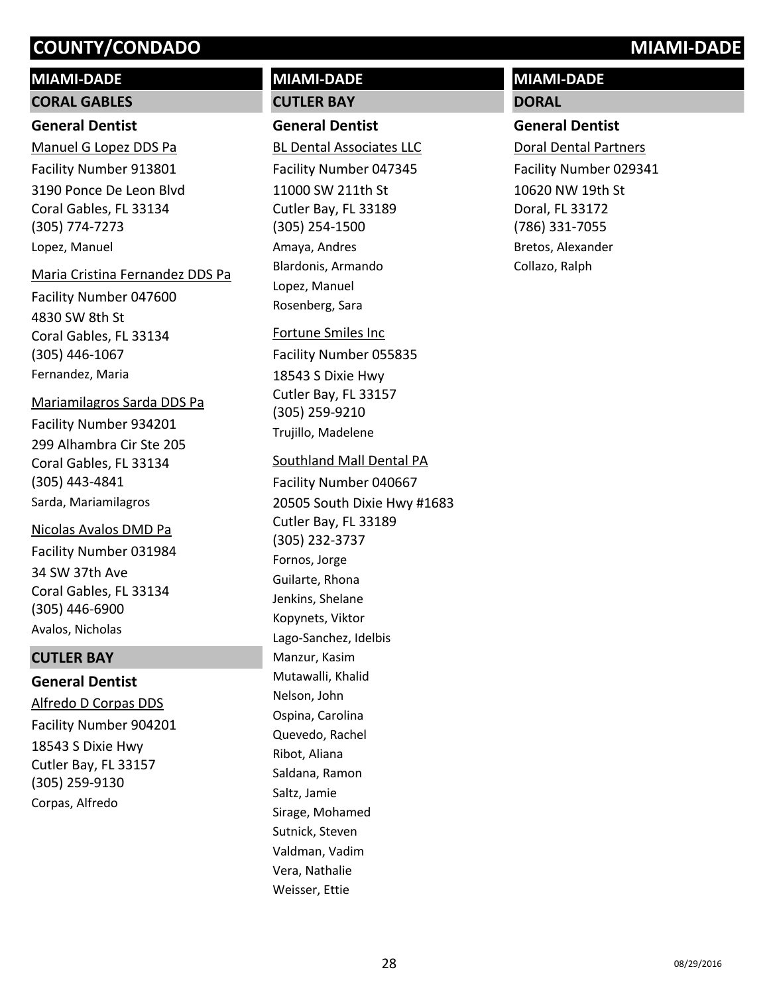# **MIAMI-DADE**

## **CORAL GABLES**

## **General Dentist**

3190 Ponce De Leon Blvd Coral Gables, FL 33134 (305) 774-7273 Manuel G Lopez DDS Pa Facility Number 913801 Lopez, Manuel

#### Maria Cristina Fernandez DDS Pa

4830 SW 8th St Coral Gables, FL 33134 (305) 446-1067 Facility Number 047600 Fernandez, Maria

## Mariamilagros Sarda DDS Pa

299 Alhambra Cir Ste 205 Coral Gables, FL 33134 (305) 443-4841 Facility Number 934201 Sarda, Mariamilagros

## Nicolas Avalos DMD Pa

34 SW 37th Ave Coral Gables, FL 33134 (305) 446-6900 Facility Number 031984 Avalos, Nicholas

# **CUTLER BAY**

# **General Dentist**

18543 S Dixie Hwy Cutler Bay, FL 33157 (305) 259-9130 Alfredo D Corpas DDS Facility Number 904201 Corpas, Alfredo

# **MIAMI-DADE CUTLER BAY**

# **General Dentist**

11000 SW 211th St Cutler Bay, FL 33189 (305) 254-1500 BL Dental Associates LLC Facility Number 047345 Amaya, Andres Blardonis, Armando Lopez, Manuel Rosenberg, Sara

# Fortune Smiles Inc

18543 S Dixie Hwy Cutler Bay, FL 33157 (305) 259-9210 Facility Number 055835 Trujillo, Madelene

# Southland Mall Dental PA

20505 South Dixie Hwy #1683 Cutler Bay, FL 33189 (305) 232-3737 Facility Number 040667 Fornos, Jorge Guilarte, Rhona Jenkins, Shelane Kopynets, Viktor Lago-Sanchez, Idelbis Manzur, Kasim Mutawalli, Khalid Nelson, John Ospina, Carolina Quevedo, Rachel Ribot, Aliana Saldana, Ramon Saltz, Jamie Sirage, Mohamed Sutnick, Steven Valdman, Vadim Vera, Nathalie Weisser, Ettie

# **MIAMI-DADE**

# **DORAL**

# **General Dentist**

10620 NW 19th St Doral, FL 33172 (786) 331-7055 Doral Dental Partners Facility Number 029341 Bretos, Alexander Collazo, Ralph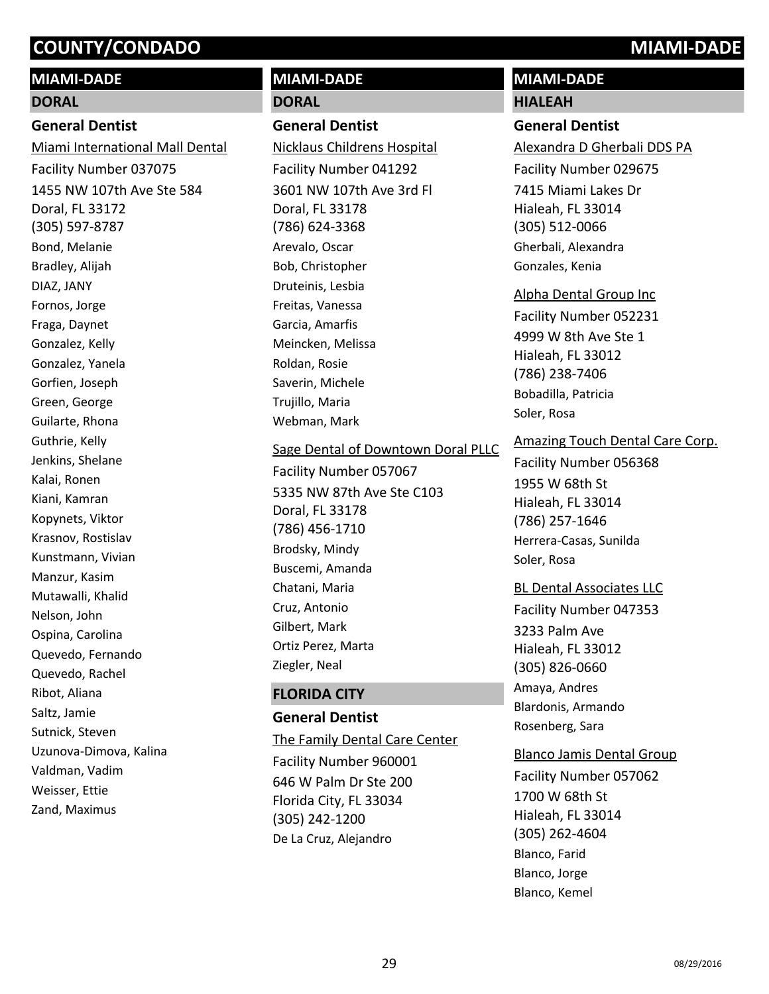# **MIAMI-DADE**

#### **DORAL**

### **General Dentist**

1455 NW 107th Ave Ste 584 Doral, FL 33172 (305) 597-8787 Miami International Mall Dental Facility Number 037075 Bond, Melanie Bradley, Alijah DIAZ, JANY Fornos, Jorge Fraga, Daynet Gonzalez, Kelly Gonzalez, Yanela Gorfien, Joseph Green, George Guilarte, Rhona Guthrie, Kelly Jenkins, Shelane Kalai, Ronen Kiani, Kamran Kopynets, Viktor Krasnov, Rostislav Kunstmann, Vivian Manzur, Kasim Mutawalli, Khalid Nelson, John Ospina, Carolina Quevedo, Fernando Quevedo, Rachel Ribot, Aliana Saltz, Jamie Sutnick, Steven Uzunova-Dimova, Kalina Valdman, Vadim Weisser, Ettie Zand, Maximus

# **MIAMI-DADE DORAL**

# **General Dentist**

3601 NW 107th Ave 3rd Fl Doral, FL 33178 (786) 624-3368 Nicklaus Childrens Hospital Facility Number 041292 Arevalo, Oscar Bob, Christopher Druteinis, Lesbia Freitas, Vanessa Garcia, Amarfis Meincken, Melissa Roldan, Rosie Saverin, Michele Trujillo, Maria Webman, Mark

Sage Dental of Downtown Doral PLLC

5335 NW 87th Ave Ste C103 Doral, FL 33178 (786) 456-1710 Facility Number 057067 Brodsky, Mindy Buscemi, Amanda Chatani, Maria Cruz, Antonio Gilbert, Mark Ortiz Perez, Marta Ziegler, Neal

# **FLORIDA CITY**

**General Dentist** 646 W Palm Dr Ste 200 Florida City, FL 33034 (305) 242-1200 The Family Dental Care Center Facility Number 960001 De La Cruz, Alejandro

# **MIAMI-DADE**

# **HIALEAH**

# **General Dentist**

7415 Miami Lakes Dr Hialeah, FL 33014 (305) 512-0066 Alexandra D Gherbali DDS PA Facility Number 029675 Gherbali, Alexandra Gonzales, Kenia

## Alpha Dental Group Inc

4999 W 8th Ave Ste 1 Hialeah, FL 33012 (786) 238-7406 Facility Number 052231 Bobadilla, Patricia Soler, Rosa

# Amazing Touch Dental Care Corp.

1955 W 68th St Hialeah, FL 33014 (786) 257-1646 Facility Number 056368 Herrera-Casas, Sunilda Soler, Rosa

# BL Dental Associates LLC

3233 Palm Ave Hialeah, FL 33012 (305) 826-0660 Facility Number 047353 Amaya, Andres Blardonis, Armando Rosenberg, Sara

## Blanco Jamis Dental Group

1700 W 68th St Hialeah, FL 33014 (305) 262-4604 Facility Number 057062 Blanco, Farid Blanco, Jorge Blanco, Kemel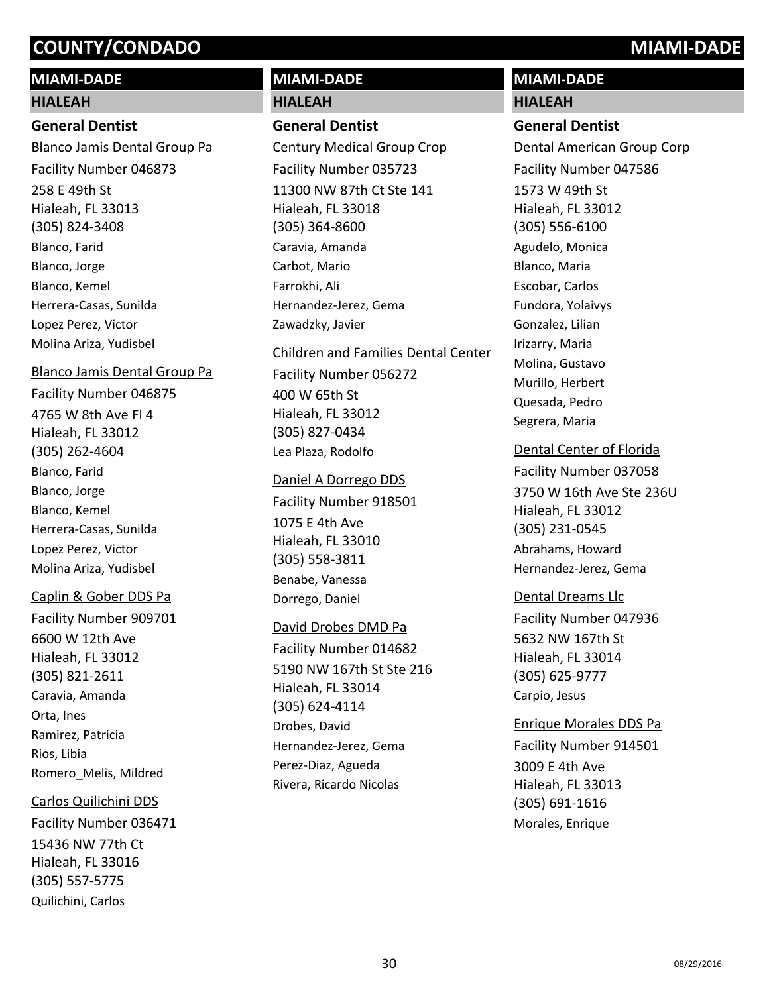# **MIAMI-DADE**

#### **HIALEAH**

## **General Dentist**

258 E 49th St Hialeah, FL 33013 (305) 824-3408 Blanco Jamis Dental Group Pa Facility Number 046873 Blanco, Farid Blanco, Jorge Blanco, Kemel Herrera-Casas, Sunilda Lopez Perez, Victor Molina Ariza, Yudisbel

#### Blanco Jamis Dental Group Pa

4765 W 8th Ave Fl 4 Hialeah, FL 33012 (305) 262-4604 Facility Number 046875 Blanco, Farid Blanco, Jorge Blanco, Kemel Herrera-Casas, Sunilda Lopez Perez, Victor Molina Ariza, Yudisbel

## Caplin & Gober DDS Pa

6600 W 12th Ave Hialeah, FL 33012 (305) 821-2611 Facility Number 909701 Caravia, Amanda Orta, Ines Ramirez, Patricia Rios, Libia Romero\_Melis, Mildred

## Carlos Quilichini DDS

15436 NW 77th Ct Hialeah, FL 33016 (305) 557-5775 Facility Number 036471 Quilichini, Carlos

# **MIAMI-DADE**

# **HIALEAH**

# **General Dentist**

11300 NW 87th Ct Ste 141 Hialeah, FL 33018 (305) 364-8600 Century Medical Group Crop Facility Number 035723 Caravia, Amanda Carbot, Mario Farrokhi, Ali Hernandez-Jerez, Gema Zawadzky, Javier

# Children and Families Dental Center Facility Number 056272

400 W 65th St Hialeah, FL 33012 (305) 827-0434 Lea Plaza, Rodolfo

#### Daniel A Dorrego DDS

1075 E 4th Ave Hialeah, FL 33010 (305) 558-3811 Facility Number 918501 Benabe, Vanessa Dorrego, Daniel

## David Drobes DMD Pa

5190 NW 167th St Ste 216 Hialeah, FL 33014 (305) 624-4114 Facility Number 014682 Drobes, David Hernandez-Jerez, Gema Perez-Diaz, Agueda Rivera, Ricardo Nicolas

# **MIAMI-DADE**

# **HIALEAH**

# **General Dentist**

1573 W 49th St Hialeah, FL 33012 (305) 556-6100 Dental American Group Corp Facility Number 047586 Agudelo, Monica Blanco, Maria Escobar, Carlos Fundora, Yolaivys Gonzalez, Lilian Irizarry, Maria Molina, Gustavo Murillo, Herbert Quesada, Pedro Segrera, Maria

## Dental Center of Florida

3750 W 16th Ave Ste 236U Hialeah, FL 33012 (305) 231-0545 Facility Number 037058 Abrahams, Howard Hernandez-Jerez, Gema

# Dental Dreams Llc

5632 NW 167th St Hialeah, FL 33014 (305) 625-9777 Facility Number 047936 Carpio, Jesus

## Enrique Morales DDS Pa

3009 E 4th Ave Hialeah, FL 33013 (305) 691-1616 Facility Number 914501 Morales, Enrique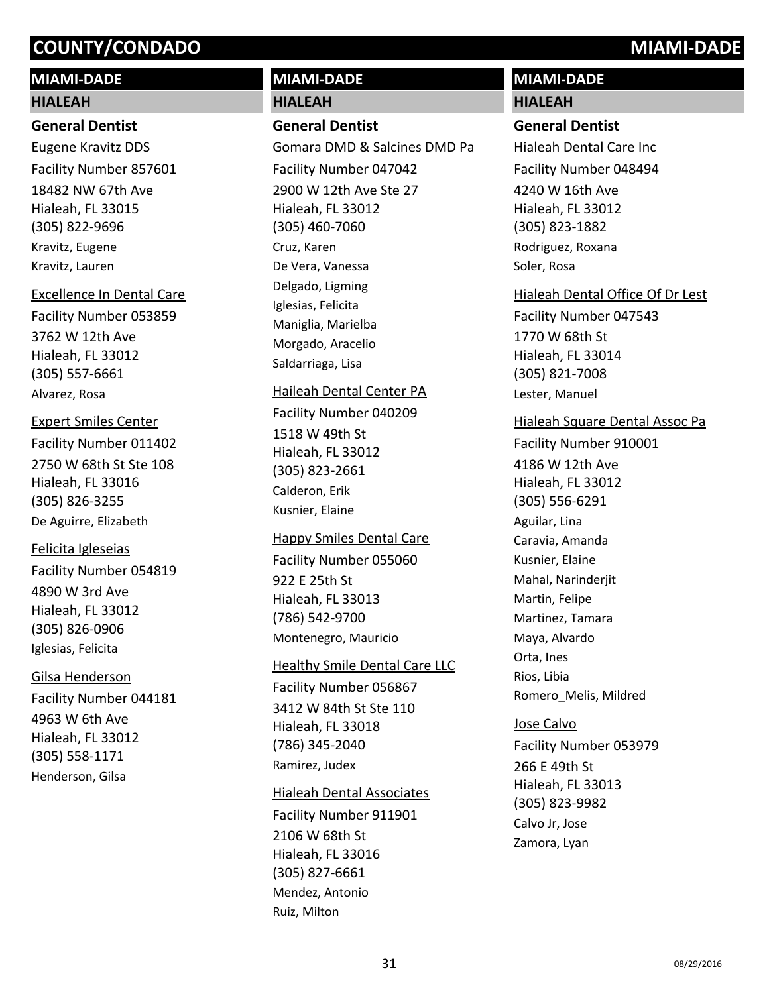# **MIAMI-DADE**

#### **HIALEAH**

#### **General Dentist**

18482 NW 67th Ave Hialeah, FL 33015 (305) 822-9696 Eugene Kravitz DDS Facility Number 857601 Kravitz, Eugene Kravitz, Lauren

#### Excellence In Dental Care

3762 W 12th Ave Hialeah, FL 33012 (305) 557-6661 Facility Number 053859 Alvarez, Rosa

#### Expert Smiles Center

2750 W 68th St Ste 108 Hialeah, FL 33016 (305) 826-3255 Facility Number 011402 De Aguirre, Elizabeth

#### Felicita Igleseias

4890 W 3rd Ave Hialeah, FL 33012 (305) 826-0906 Facility Number 054819 Iglesias, Felicita

## Gilsa Henderson

4963 W 6th Ave Hialeah, FL 33012 (305) 558-1171 Facility Number 044181 Henderson, Gilsa

# **MIAMI-DADE**

**HIALEAH**

## **General Dentist**

2900 W 12th Ave Ste 27 Hialeah, FL 33012 (305) 460-7060 Gomara DMD & Salcines DMD Pa Facility Number 047042 Cruz, Karen De Vera, Vanessa Delgado, Ligming Iglesias, Felicita Maniglia, Marielba Morgado, Aracelio Saldarriaga, Lisa

# Haileah Dental Center PA

Facility Number 040209

1518 W 49th St Hialeah, FL 33012 (305) 823-2661 Calderon, Erik Kusnier, Elaine

## Happy Smiles Dental Care

922 E 25th St Hialeah, FL 33013 (786) 542-9700 Facility Number 055060 Montenegro, Mauricio

#### **Healthy Smile Dental Care LLC**

3412 W 84th St Ste 110 Hialeah, FL 33018 (786) 345-2040 Facility Number 056867 Ramirez, Judex

## Hialeah Dental Associates

2106 W 68th St Hialeah, FL 33016 (305) 827-6661 Facility Number 911901 Mendez, Antonio Ruiz, Milton

# **MIAMI-DADE HIALEAH**

# **General Dentist**

4240 W 16th Ave Hialeah, FL 33012 (305) 823-1882 Hialeah Dental Care Inc Facility Number 048494 Rodriguez, Roxana Soler, Rosa

# Hialeah Dental Office Of Dr Lest

1770 W 68th St Hialeah, FL 33014 (305) 821-7008 Facility Number 047543 Lester, Manuel

## Hialeah Square Dental Assoc Pa

4186 W 12th Ave Hialeah, FL 33012 (305) 556-6291 Facility Number 910001 Aguilar, Lina Caravia, Amanda Kusnier, Elaine Mahal, Narinderjit Martin, Felipe Martinez, Tamara Maya, Alvardo Orta, Ines Rios, Libia Romero\_Melis, Mildred

#### Jose Calvo

266 E 49th St Hialeah, FL 33013 (305) 823-9982 Facility Number 053979 Calvo Jr, Jose Zamora, Lyan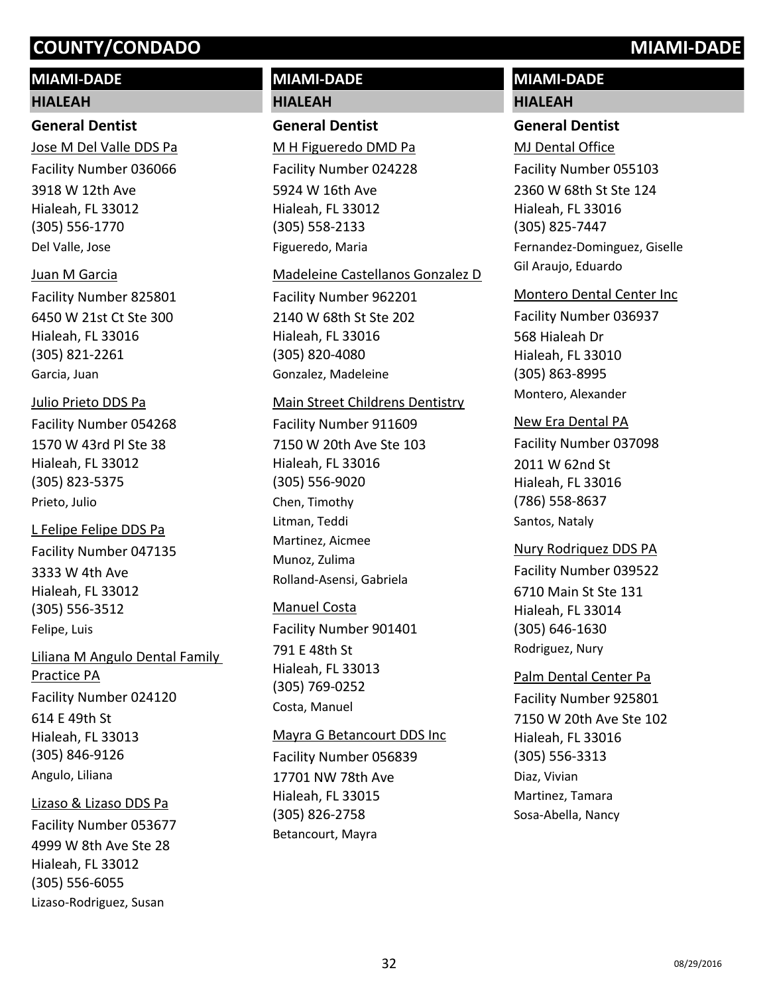# **MIAMI-DADE**

#### **HIALEAH**

### **General Dentist**

3918 W 12th Ave Hialeah, FL 33012 (305) 556-1770 Jose M Del Valle DDS Pa Facility Number 036066 Del Valle, Jose

# Juan M Garcia

6450 W 21st Ct Ste 300 Hialeah, FL 33016 (305) 821-2261 Facility Number 825801 Garcia, Juan

# Julio Prieto DDS Pa

1570 W 43rd Pl Ste 38 Hialeah, FL 33012 (305) 823-5375 Facility Number 054268 Prieto, Julio

# L Felipe Felipe DDS Pa

3333 W 4th Ave Hialeah, FL 33012 (305) 556-3512 Facility Number 047135 Felipe, Luis

614 E 49th St Hialeah, FL 33013 (305) 846-9126 Liliana M Angulo Dental Family Practice PA Facility Number 024120 Angulo, Liliana

## Lizaso & Lizaso DDS Pa

4999 W 8th Ave Ste 28 Hialeah, FL 33012 (305) 556-6055 Facility Number 053677 Lizaso-Rodriguez, Susan

# **MIAMI-DADE HIALEAH**

# **General Dentist**

5924 W 16th Ave Hialeah, FL 33012 (305) 558-2133 M H Figueredo DMD Pa Facility Number 024228 Figueredo, Maria

#### Madeleine Castellanos Gonzalez D

2140 W 68th St Ste 202 Hialeah, FL 33016 (305) 820-4080 Facility Number 962201 Gonzalez, Madeleine

# Main Street Childrens Dentistry

7150 W 20th Ave Ste 103 Hialeah, FL 33016 (305) 556-9020 Facility Number 911609 Chen, Timothy Litman, Teddi Martinez, Aicmee Munoz, Zulima Rolland-Asensi, Gabriela

# Manuel Costa

791 E 48th St Hialeah, FL 33013 (305) 769-0252 Facility Number 901401 Costa, Manuel

#### Mayra G Betancourt DDS Inc

17701 NW 78th Ave Hialeah, FL 33015 (305) 826-2758 Facility Number 056839 Betancourt, Mayra

# **MIAMI-DADE HIALEAH**

# **General Dentist**

2360 W 68th St Ste 124 Hialeah, FL 33016 (305) 825-7447 MJ Dental Office Facility Number 055103 Fernandez-Dominguez, Giselle Gil Araujo, Eduardo

#### Montero Dental Center Inc

568 Hialeah Dr Hialeah, FL 33010 (305) 863-8995 Facility Number 036937 Montero, Alexander

# New Era Dental PA

2011 W 62nd St Hialeah, FL 33016 (786) 558-8637 Facility Number 037098 Santos, Nataly

# 6710 Main St Ste 131 Hialeah, FL 33014 (305) 646-1630 Nury Rodriquez DDS PA Facility Number 039522 Rodriguez, Nury

# 7150 W 20th Ave Ste 102 Hialeah, FL 33016 (305) 556-3313 Palm Dental Center Pa Facility Number 925801 Diaz, Vivian Martinez, Tamara Sosa-Abella, Nancy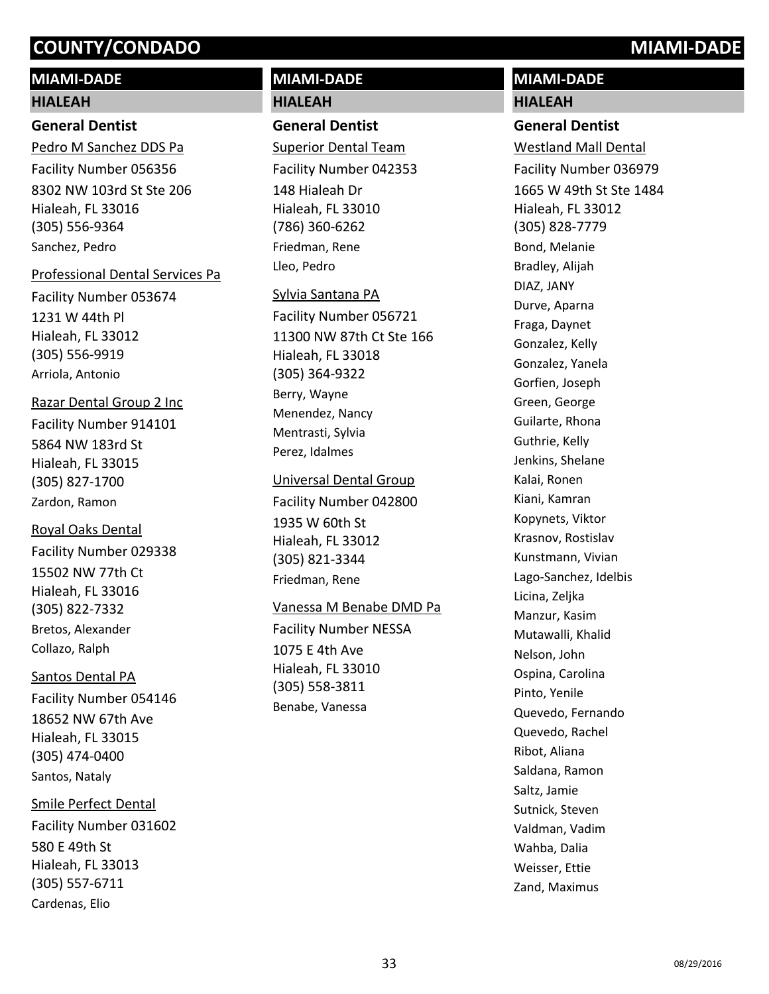# **MIAMI-DADE**

#### **HIALEAH**

### **General Dentist**

8302 NW 103rd St Ste 206 Hialeah, FL 33016 (305) 556-9364 Pedro M Sanchez DDS Pa Facility Number 056356 Sanchez, Pedro

#### Professional Dental Services Pa

1231 W 44th Pl Hialeah, FL 33012 (305) 556-9919 Facility Number 053674 Arriola, Antonio

# Razar Dental Group 2 Inc

5864 NW 183rd St Hialeah, FL 33015 (305) 827-1700 Facility Number 914101 Zardon, Ramon

## Royal Oaks Dental

15502 NW 77th Ct Hialeah, FL 33016 (305) 822-7332 Facility Number 029338 Bretos, Alexander Collazo, Ralph

## Santos Dental PA

18652 NW 67th Ave Hialeah, FL 33015 (305) 474-0400 Facility Number 054146 Santos, Nataly

## Smile Perfect Dental

580 E 49th St Hialeah, FL 33013 (305) 557-6711 Facility Number 031602 Cardenas, Elio

# **MIAMI-DADE HIALEAH**

# **General Dentist**

148 Hialeah Dr Hialeah, FL 33010 (786) 360-6262 Superior Dental Team Facility Number 042353 Friedman, Rene Lleo, Pedro

#### Sylvia Santana PA

11300 NW 87th Ct Ste 166 Hialeah, FL 33018 (305) 364-9322 Facility Number 056721 Berry, Wayne Menendez, Nancy Mentrasti, Sylvia Perez, Idalmes

## Universal Dental Group

1935 W 60th St Hialeah, FL 33012 (305) 821-3344 Facility Number 042800 Friedman, Rene

## Vanessa M Benabe DMD Pa

1075 E 4th Ave Hialeah, FL 33010 (305) 558-3811 Facility Number NESSA Benabe, Vanessa

# **MIAMI-DADE HIALEAH**

## **General Dentist**

1665 W 49th St Ste 1484 Hialeah, FL 33012 (305) 828-7779 Westland Mall Dental Facility Number 036979 Bond, Melanie Bradley, Alijah DIAZ, JANY Durve, Aparna Fraga, Daynet Gonzalez, Kelly Gonzalez, Yanela Gorfien, Joseph Green, George Guilarte, Rhona Guthrie, Kelly Jenkins, Shelane Kalai, Ronen Kiani, Kamran Kopynets, Viktor Krasnov, Rostislav Kunstmann, Vivian Lago-Sanchez, Idelbis Licina, Zeljka Manzur, Kasim Mutawalli, Khalid Nelson, John Ospina, Carolina Pinto, Yenile Quevedo, Fernando Quevedo, Rachel Ribot, Aliana Saldana, Ramon Saltz, Jamie Sutnick, Steven Valdman, Vadim Wahba, Dalia Weisser, Ettie Zand, Maximus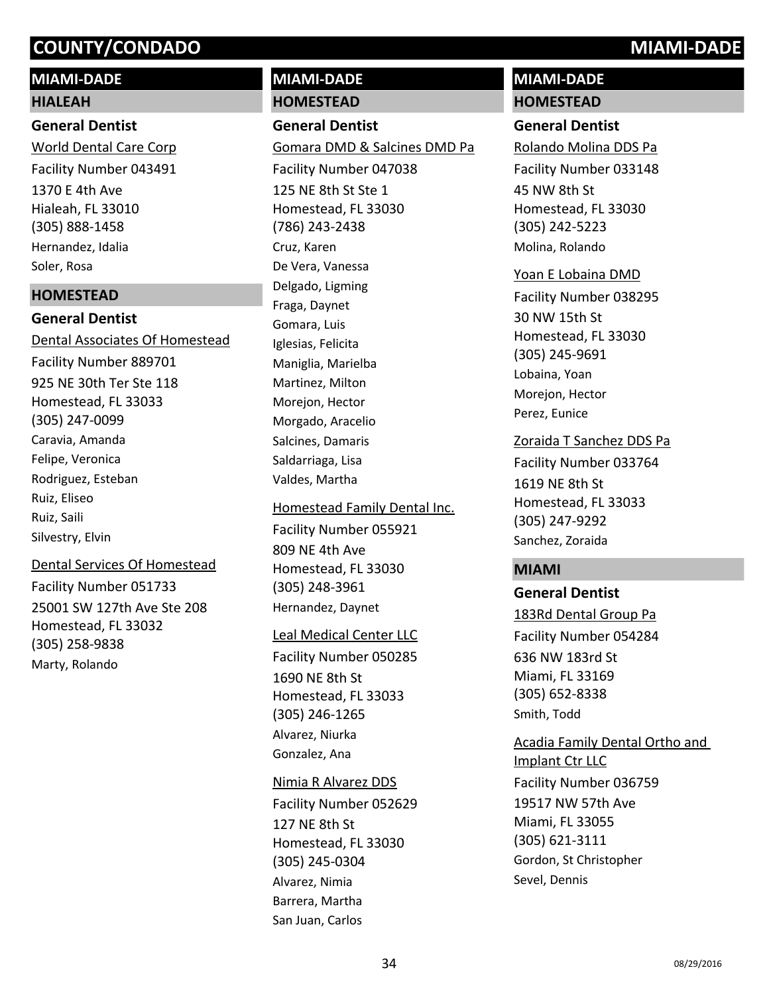# **MIAMI-DADE**

# **HIALEAH**

# **General Dentist**

1370 E 4th Ave Hialeah, FL 33010 (305) 888-1458 World Dental Care Corp Facility Number 043491 Hernandez, Idalia Soler, Rosa

# **HOMESTEAD**

**General Dentist** 925 NE 30th Ter Ste 118 Homestead, FL 33033 (305) 247-0099 Dental Associates Of Homestead Facility Number 889701 Caravia, Amanda Felipe, Veronica Rodriguez, Esteban Ruiz, Eliseo Ruiz, Saili Silvestry, Elvin

# Dental Services Of Homestead

25001 SW 127th Ave Ste 208 Homestead, FL 33032 (305) 258-9838 Facility Number 051733 Marty, Rolando

# **MIAMI-DADE HOMESTEAD**

# **General Dentist**

125 NE 8th St Ste 1 Homestead, FL 33030 (786) 243-2438 Gomara DMD & Salcines DMD Pa Facility Number 047038 Cruz, Karen De Vera, Vanessa Delgado, Ligming Fraga, Daynet Gomara, Luis Iglesias, Felicita Maniglia, Marielba Martinez, Milton Morejon, Hector Morgado, Aracelio Salcines, Damaris Saldarriaga, Lisa Valdes, Martha

# 809 NE 4th Ave Homestead, FL 33030 Homestead Family Dental Inc. Facility Number 055921

(305) 248-3961 Hernandez, Daynet

# Leal Medical Center LLC

1690 NE 8th St Homestead, FL 33033 (305) 246-1265 Facility Number 050285 Alvarez, Niurka Gonzalez, Ana

# Nimia R Alvarez DDS

127 NE 8th St Homestead, FL 33030 (305) 245-0304 Facility Number 052629 Alvarez, Nimia Barrera, Martha San Juan, Carlos

# **MIAMI-DADE HOMESTEAD**

# **General Dentist**

45 NW 8th St Homestead, FL 33030 (305) 242-5223 Rolando Molina DDS Pa Facility Number 033148 Molina, Rolando

# Yoan E Lobaina DMD

30 NW 15th St Homestead, FL 33030 (305) 245-9691 Facility Number 038295 Lobaina, Yoan Morejon, Hector Perez, Eunice

# Zoraida T Sanchez DDS Pa

1619 NE 8th St Homestead, FL 33033 (305) 247-9292 Facility Number 033764 Sanchez, Zoraida

# **MIAMI**

# **General Dentist**

636 NW 183rd St Miami, FL 33169 (305) 652-8338 183Rd Dental Group Pa Facility Number 054284 Smith, Todd

Gordon, St Christopher

Sevel, Dennis

# 19517 NW 57th Ave Miami, FL 33055 (305) 621-3111 Acadia Family Dental Ortho and Implant Ctr LLC Facility Number 036759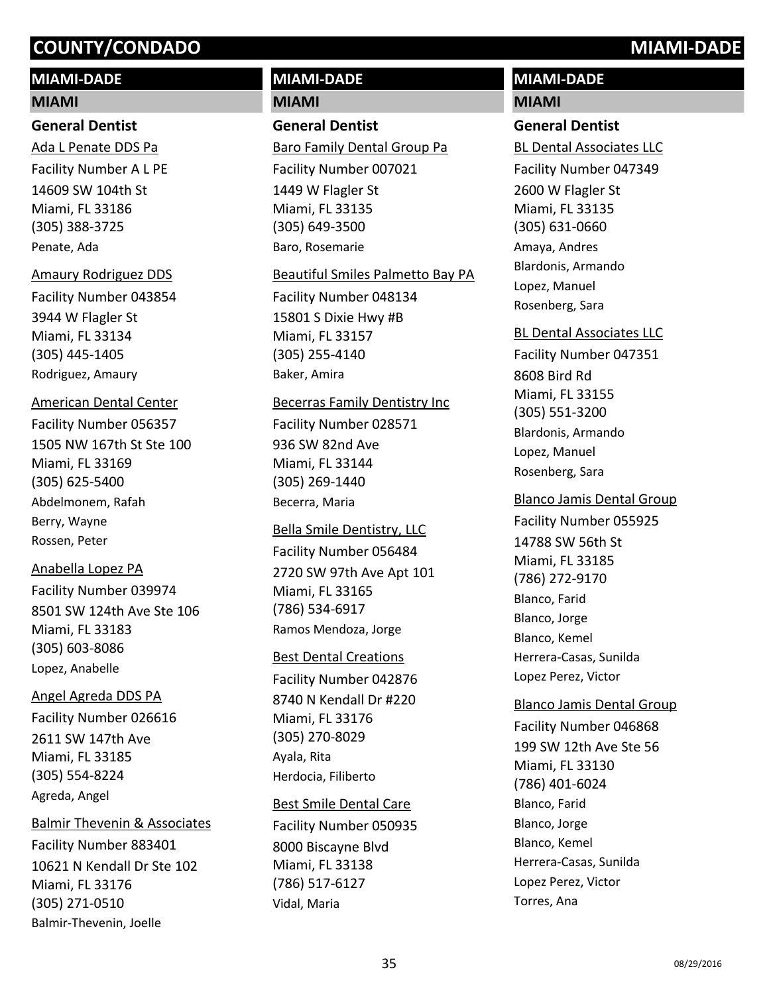# **MIAMI-DADE**

#### **MIAMI**

# **General Dentist**

14609 SW 104th St Miami, FL 33186 (305) 388-3725 Ada L Penate DDS Pa Facility Number A L PE Penate, Ada

#### Amaury Rodriguez DDS

3944 W Flagler St Miami, FL 33134 (305) 445-1405 Facility Number 043854 Rodriguez, Amaury

# American Dental Center

1505 NW 167th St Ste 100 Miami, FL 33169 (305) 625-5400 Facility Number 056357 Abdelmonem, Rafah Berry, Wayne Rossen, Peter

# Anabella Lopez PA

8501 SW 124th Ave Ste 106 Miami, FL 33183 (305) 603-8086 Facility Number 039974 Lopez, Anabelle

# Angel Agreda DDS PA

2611 SW 147th Ave Miami, FL 33185 (305) 554-8224 Facility Number 026616 Agreda, Angel

# Balmir Thevenin & Associates

10621 N Kendall Dr Ste 102 Miami, FL 33176 (305) 271-0510 Facility Number 883401 Balmir-Thevenin, Joelle

# **MIAMI-DADE MIAMI**

# **General Dentist**

1449 W Flagler St Miami, FL 33135 (305) 649-3500 Baro Family Dental Group Pa Facility Number 007021 Baro, Rosemarie

## Beautiful Smiles Palmetto Bay PA

15801 S Dixie Hwy #B Miami, FL 33157 (305) 255-4140 Facility Number 048134 Baker, Amira

## Becerras Family Dentistry Inc

936 SW 82nd Ave Miami, FL 33144 (305) 269-1440 Facility Number 028571 Becerra, Maria

## Bella Smile Dentistry, LLC

2720 SW 97th Ave Apt 101 Miami, FL 33165 (786) 534-6917 Facility Number 056484 Ramos Mendoza, Jorge

# Best Dental Creations

8740 N Kendall Dr #220 Miami, FL 33176 (305) 270-8029 Facility Number 042876 Ayala, Rita Herdocia, Filiberto

# Best Smile Dental Care

8000 Biscayne Blvd Miami, FL 33138 (786) 517-6127 Facility Number 050935 Vidal, Maria

# **MIAMI-DADE MIAMI**

# **General Dentist**

2600 W Flagler St Miami, FL 33135 (305) 631-0660 BL Dental Associates LLC Facility Number 047349 Amaya, Andres Blardonis, Armando Lopez, Manuel Rosenberg, Sara

# BL Dental Associates LLC

8608 Bird Rd Miami, FL 33155 (305) 551-3200 Facility Number 047351 Blardonis, Armando Lopez, Manuel Rosenberg, Sara

# Blanco Jamis Dental Group

14788 SW 56th St Miami, FL 33185 (786) 272-9170 Facility Number 055925 Blanco, Farid Blanco, Jorge Blanco, Kemel Herrera-Casas, Sunilda Lopez Perez, Victor

# 199 SW 12th Ave Ste 56 Miami, FL 33130 (786) 401-6024 Blanco Jamis Dental Group Facility Number 046868 Blanco, Farid Blanco, Jorge Blanco, Kemel Herrera-Casas, Sunilda Lopez Perez, Victor Torres, Ana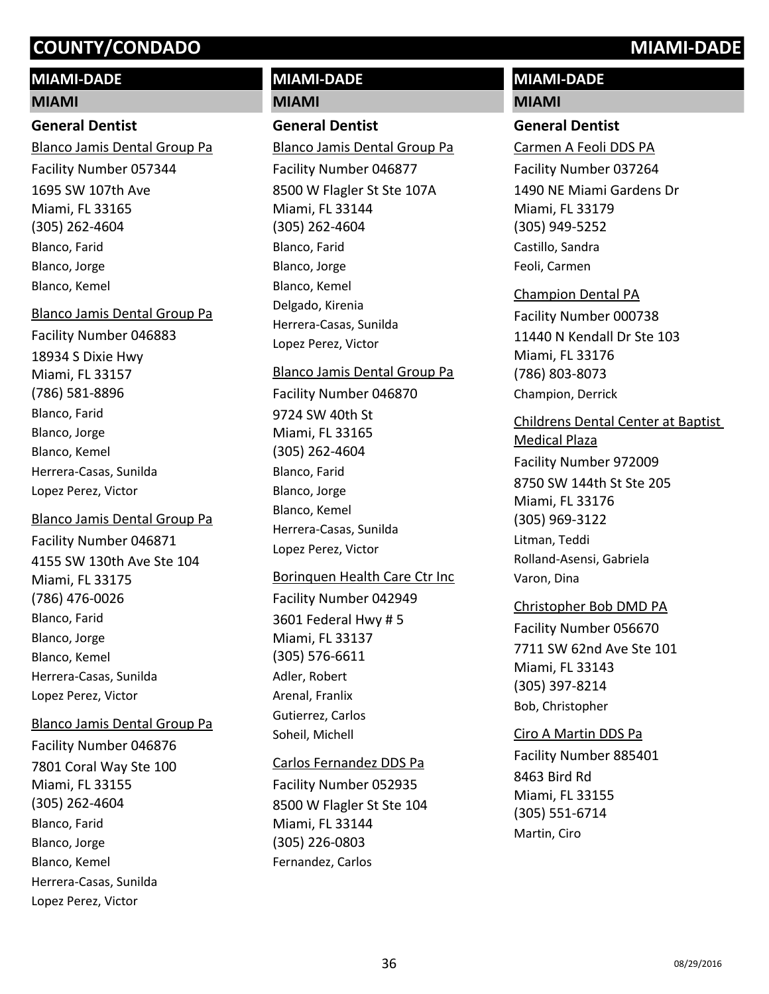# **MIAMI-DADE**

## **MIAMI**

#### **General Dentist**

1695 SW 107th Ave Miami, FL 33165 (305) 262-4604 Blanco Jamis Dental Group Pa Facility Number 057344 Blanco, Farid Blanco, Jorge Blanco, Kemel

#### Blanco Jamis Dental Group Pa

18934 S Dixie Hwy Miami, FL 33157 (786) 581-8896 Facility Number 046883 Blanco, Farid Blanco, Jorge Blanco, Kemel Herrera-Casas, Sunilda Lopez Perez, Victor

## Blanco Jamis Dental Group Pa

4155 SW 130th Ave Ste 104 Miami, FL 33175 (786) 476-0026 Facility Number 046871 Blanco, Farid Blanco, Jorge Blanco, Kemel Herrera-Casas, Sunilda Lopez Perez, Victor

## Blanco Jamis Dental Group Pa

7801 Coral Way Ste 100 Miami, FL 33155 (305) 262-4604 Facility Number 046876 Blanco, Farid Blanco, Jorge Blanco, Kemel Herrera-Casas, Sunilda Lopez Perez, Victor

# **MIAMI-DADE**

#### **MIAMI**

# **General Dentist**

8500 W Flagler St Ste 107A Miami, FL 33144 (305) 262-4604 Blanco Jamis Dental Group Pa Facility Number 046877 Blanco, Farid Blanco, Jorge Blanco, Kemel Delgado, Kirenia Herrera-Casas, Sunilda Lopez Perez, Victor

#### Blanco Jamis Dental Group Pa

9724 SW 40th St Miami, FL 33165 (305) 262-4604 Facility Number 046870 Blanco, Farid Blanco, Jorge Blanco, Kemel Herrera-Casas, Sunilda Lopez Perez, Victor

## Borinquen Health Care Ctr Inc

3601 Federal Hwy # 5 Miami, FL 33137 (305) 576-6611 Facility Number 042949 Adler, Robert Arenal, Franlix Gutierrez, Carlos Soheil, Michell

## Carlos Fernandez DDS Pa

8500 W Flagler St Ste 104 Miami, FL 33144 (305) 226-0803 Facility Number 052935 Fernandez, Carlos

# **MIAMI-DADE**

## **MIAMI**

#### **General Dentist**

1490 NE Miami Gardens Dr Miami, FL 33179 (305) 949-5252 Carmen A Feoli DDS PA Facility Number 037264 Castillo, Sandra Feoli, Carmen

# Champion Dental PA

11440 N Kendall Dr Ste 103 Miami, FL 33176 (786) 803-8073 Facility Number 000738 Champion, Derrick

# Childrens Dental Center at Baptist

8750 SW 144th St Ste 205 Miami, FL 33176 (305) 969-3122 Medical Plaza Facility Number 972009 Litman, Teddi Rolland-Asensi, Gabriela Varon, Dina

## Christopher Bob DMD PA

7711 SW 62nd Ave Ste 101 Miami, FL 33143 (305) 397-8214 Facility Number 056670 Bob, Christopher

#### Ciro A Martin DDS Pa

8463 Bird Rd Miami, FL 33155 (305) 551-6714 Facility Number 885401 Martin, Ciro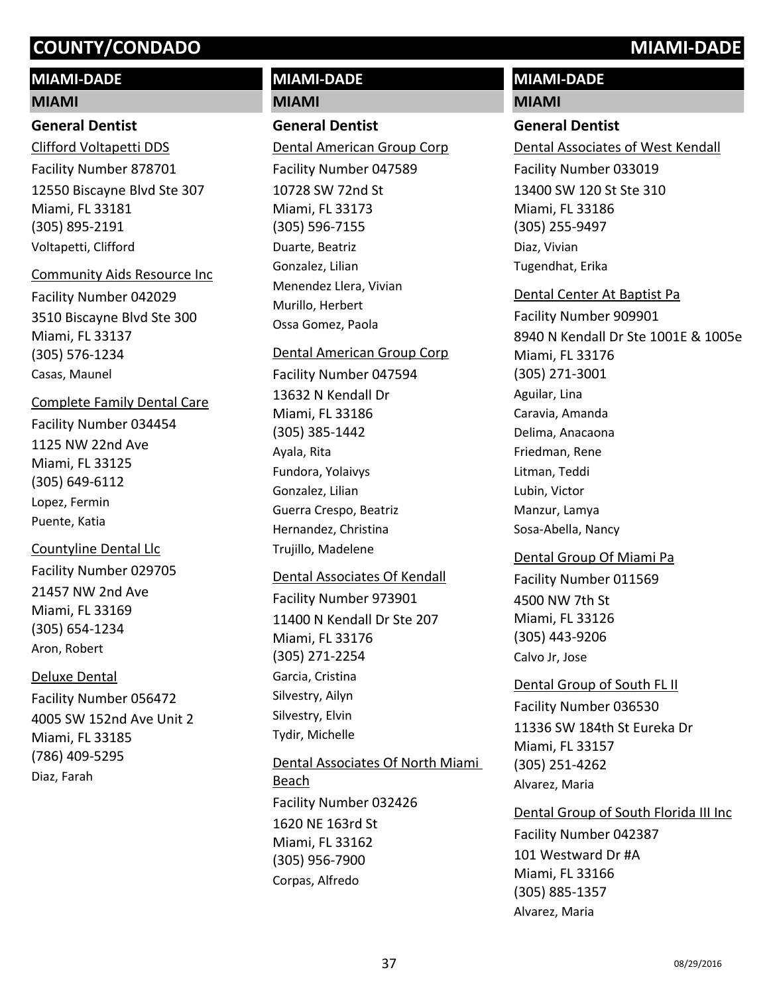# **MIAMI-DADE**

#### **MIAMI**

## **General Dentist**

12550 Biscayne Blvd Ste 307 Miami, FL 33181 (305) 895-2191 Clifford Voltapetti DDS Facility Number 878701 Voltapetti, Clifford

#### Community Aids Resource Inc

3510 Biscayne Blvd Ste 300 Miami, FL 33137 (305) 576-1234 Facility Number 042029 Casas, Maunel

# Complete Family Dental Care

1125 NW 22nd Ave Miami, FL 33125 (305) 649-6112 Facility Number 034454 Lopez, Fermin Puente, Katia

# Countyline Dental Llc

21457 NW 2nd Ave Miami, FL 33169 (305) 654-1234 Facility Number 029705 Aron, Robert

# Deluxe Dental

4005 SW 152nd Ave Unit 2 Miami, FL 33185 (786) 409-5295 Facility Number 056472 Diaz, Farah

# **MIAMI-DADE MIAMI**

# **General Dentist**

10728 SW 72nd St Miami, FL 33173 (305) 596-7155 Dental American Group Corp Facility Number 047589 Duarte, Beatriz Gonzalez, Lilian Menendez Llera, Vivian Murillo, Herbert Ossa Gomez, Paola

#### Dental American Group Corp

13632 N Kendall Dr Miami, FL 33186 (305) 385-1442 Facility Number 047594 Ayala, Rita Fundora, Yolaivys Gonzalez, Lilian Guerra Crespo, Beatriz Hernandez, Christina Trujillo, Madelene

## Dental Associates Of Kendall

11400 N Kendall Dr Ste 207 Miami, FL 33176 (305) 271-2254 Facility Number 973901 Garcia, Cristina Silvestry, Ailyn Silvestry, Elvin Tydir, Michelle

# 1620 NE 163rd St Miami, FL 33162 (305) 956-7900 Dental Associates Of North Miami Beach Facility Number 032426 Corpas, Alfredo

# **MIAMI-DADE**

## **MIAMI**

# **General Dentist**

13400 SW 120 St Ste 310 Miami, FL 33186 (305) 255-9497 Dental Associates of West Kendall Facility Number 033019 Diaz, Vivian Tugendhat, Erika

# Dental Center At Baptist Pa

8940 N Kendall Dr Ste 1001E & 1005e Miami, FL 33176 (305) 271-3001 Facility Number 909901 Aguilar, Lina Caravia, Amanda Delima, Anacaona Friedman, Rene Litman, Teddi Lubin, Victor Manzur, Lamya Sosa-Abella, Nancy

## Dental Group Of Miami Pa

4500 NW 7th St Miami, FL 33126 (305) 443-9206 Facility Number 011569 Calvo Jr, Jose

## Dental Group of South FL II

11336 SW 184th St Eureka Dr Miami, FL 33157 (305) 251-4262 Facility Number 036530 Alvarez, Maria

# Dental Group of South Florida III Inc

101 Westward Dr #A Miami, FL 33166 (305) 885-1357 Facility Number 042387 Alvarez, Maria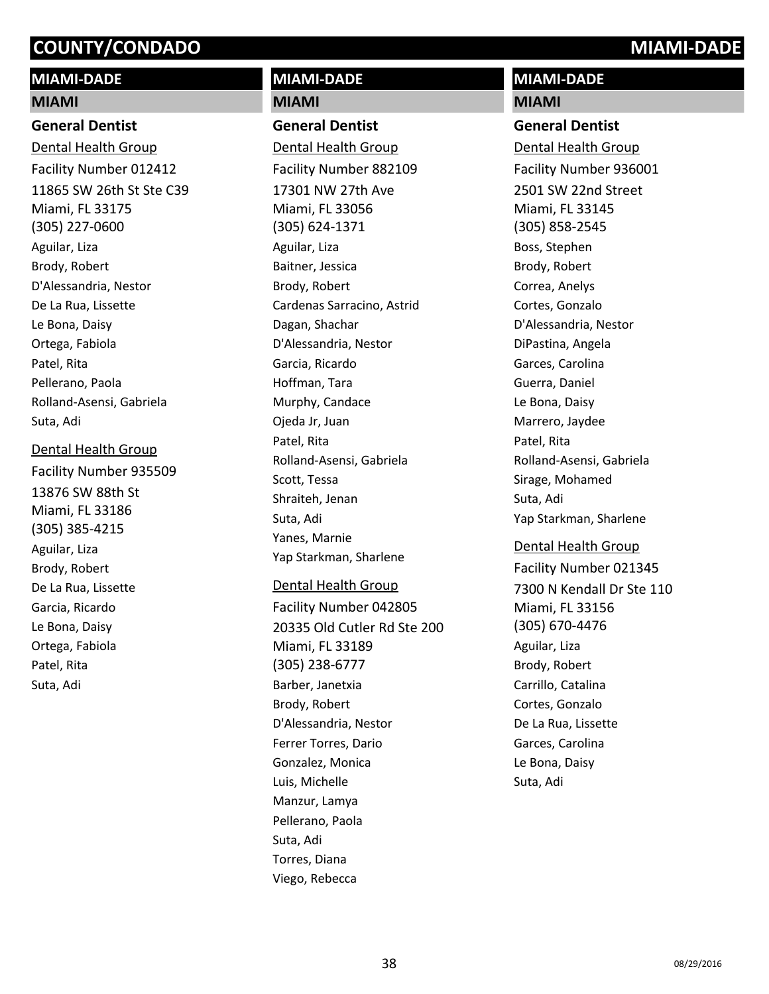# **MIAMI-DADE**

#### **MIAMI**

#### **General Dentist**

11865 SW 26th St Ste C39 Miami, FL 33175 (305) 227-0600 Dental Health Group Facility Number 012412 Aguilar, Liza Brody, Robert D'Alessandria, Nestor De La Rua, Lissette Le Bona, Daisy Ortega, Fabiola Patel, Rita Pellerano, Paola Rolland-Asensi, Gabriela Suta, Adi

#### Dental Health Group

13876 SW 88th St Miami, FL 33186 (305) 385-4215 Facility Number 935509 Aguilar, Liza Brody, Robert De La Rua, Lissette Garcia, Ricardo Le Bona, Daisy Ortega, Fabiola Patel, Rita Suta, Adi

# **MIAMI-DADE MIAMI**

**General Dentist** 17301 NW 27th Ave Miami, FL 33056 (305) 624-1371 Dental Health Group Facility Number 882109 Aguilar, Liza Baitner, Jessica Brody, Robert Cardenas Sarracino, Astrid Dagan, Shachar D'Alessandria, Nestor Garcia, Ricardo Hoffman, Tara Murphy, Candace Ojeda Jr, Juan Patel, Rita Rolland-Asensi, Gabriela Scott, Tessa Shraiteh, Jenan Suta, Adi Yanes, Marnie Yap Starkman, Sharlene

#### Dental Health Group

20335 Old Cutler Rd Ste 200 Miami, FL 33189 (305) 238-6777 Facility Number 042805 Barber, Janetxia Brody, Robert D'Alessandria, Nestor Ferrer Torres, Dario Gonzalez, Monica Luis, Michelle Manzur, Lamya Pellerano, Paola Suta, Adi Torres, Diana Viego, Rebecca

# **MIAMI-DADE MIAMI**

### **General Dentist**

2501 SW 22nd Street Miami, FL 33145 (305) 858-2545 Dental Health Group Facility Number 936001 Boss, Stephen Brody, Robert Correa, Anelys Cortes, Gonzalo D'Alessandria, Nestor DiPastina, Angela Garces, Carolina Guerra, Daniel Le Bona, Daisy Marrero, Jaydee Patel, Rita Rolland-Asensi, Gabriela Sirage, Mohamed Suta, Adi Yap Starkman, Sharlene

## Dental Health Group

7300 N Kendall Dr Ste 110 Miami, FL 33156 (305) 670-4476 Facility Number 021345 Aguilar, Liza Brody, Robert Carrillo, Catalina Cortes, Gonzalo De La Rua, Lissette Garces, Carolina Le Bona, Daisy Suta, Adi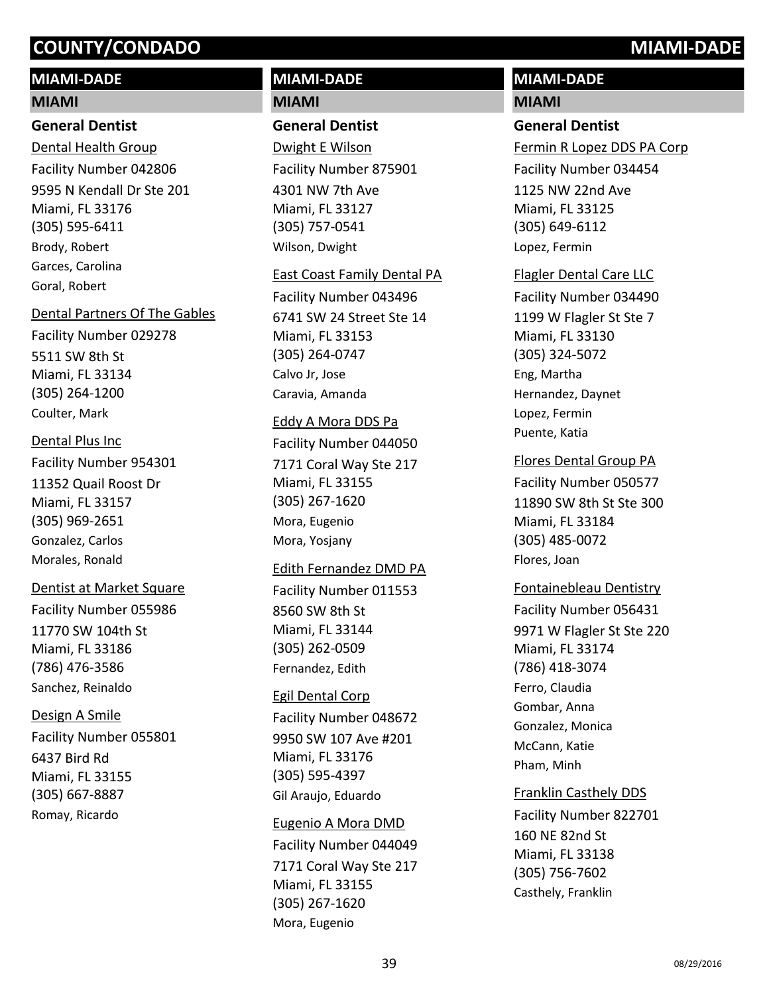# **MIAMI-DADE**

#### **MIAMI**

#### **General Dentist**

9595 N Kendall Dr Ste 201 Miami, FL 33176 (305) 595-6411 Dental Health Group Facility Number 042806 Brody, Robert Garces, Carolina Goral, Robert

## Dental Partners Of The Gables

5511 SW 8th St Miami, FL 33134 (305) 264-1200 Facility Number 029278 Coulter, Mark

## Dental Plus Inc

11352 Quail Roost Dr Miami, FL 33157 (305) 969-2651 Facility Number 954301 Gonzalez, Carlos Morales, Ronald

## Dentist at Market Square

11770 SW 104th St Miami, FL 33186 (786) 476-3586 Facility Number 055986 Sanchez, Reinaldo

## Design A Smile

6437 Bird Rd Miami, FL 33155 (305) 667-8887 Facility Number 055801 Romay, Ricardo

# **MIAMI-DADE MIAMI**

# **General Dentist**

4301 NW 7th Ave Miami, FL 33127 (305) 757-0541 Dwight E Wilson Facility Number 875901 Wilson, Dwight

#### East Coast Family Dental PA

6741 SW 24 Street Ste 14 Miami, FL 33153 (305) 264-0747 Facility Number 043496 Calvo Jr, Jose Caravia, Amanda

## Eddy A Mora DDS Pa

7171 Coral Way Ste 217 Miami, FL 33155 (305) 267-1620 Facility Number 044050 Mora, Eugenio Mora, Yosjany

#### Edith Fernandez DMD PA

8560 SW 8th St Miami, FL 33144 (305) 262-0509 Facility Number 011553 Fernandez, Edith

## Egil Dental Corp

9950 SW 107 Ave #201 Miami, FL 33176 (305) 595-4397 Facility Number 048672 Gil Araujo, Eduardo

## Eugenio A Mora DMD

7171 Coral Way Ste 217 Miami, FL 33155 (305) 267-1620 Facility Number 044049 Mora, Eugenio

# **MIAMI-DADE**

## **MIAMI**

## **General Dentist**

1125 NW 22nd Ave Miami, FL 33125 (305) 649-6112 Fermin R Lopez DDS PA Corp Facility Number 034454 Lopez, Fermin

## Flagler Dental Care LLC

1199 W Flagler St Ste 7 Miami, FL 33130 (305) 324-5072 Facility Number 034490 Eng, Martha Hernandez, Daynet Lopez, Fermin Puente, Katia

# Flores Dental Group PA

11890 SW 8th St Ste 300 Miami, FL 33184 (305) 485-0072 Facility Number 050577 Flores, Joan

## Fontainebleau Dentistry

9971 W Flagler St Ste 220 Miami, FL 33174 (786) 418-3074 Facility Number 056431 Ferro, Claudia Gombar, Anna Gonzalez, Monica McCann, Katie Pham, Minh

## Franklin Casthely DDS

160 NE 82nd St Miami, FL 33138 (305) 756-7602 Facility Number 822701 Casthely, Franklin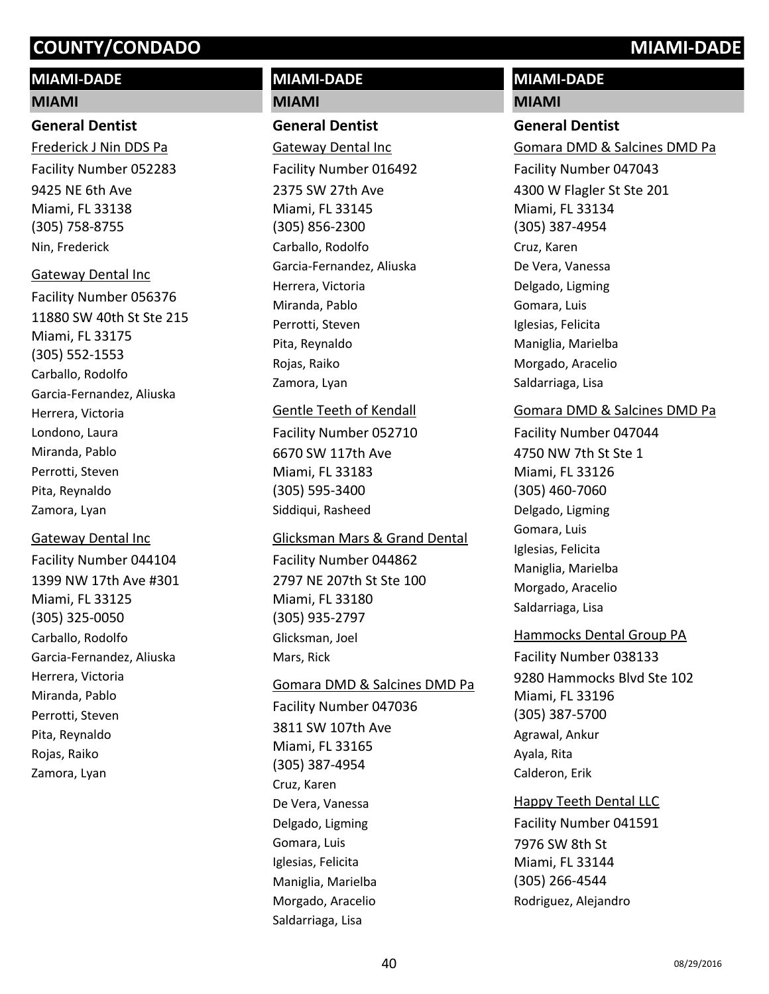# **MIAMI-DADE**

#### **MIAMI**

#### **General Dentist**

9425 NE 6th Ave Miami, FL 33138 (305) 758-8755 Frederick J Nin DDS Pa Facility Number 052283 Nin, Frederick

11880 SW 40th St Ste 215 Miami, FL 33175 (305) 552-1553 Gateway Dental Inc Facility Number 056376 Carballo, Rodolfo Garcia-Fernandez, Aliuska Herrera, Victoria Londono, Laura Miranda, Pablo Perrotti, Steven Pita, Reynaldo Zamora, Lyan

#### Gateway Dental Inc

1399 NW 17th Ave #301 Miami, FL 33125 (305) 325-0050 Facility Number 044104 Carballo, Rodolfo Garcia-Fernandez, Aliuska Herrera, Victoria Miranda, Pablo Perrotti, Steven Pita, Reynaldo Rojas, Raiko Zamora, Lyan

# **MIAMI-DADE MIAMI**

# **General Dentist**

2375 SW 27th Ave Miami, FL 33145 (305) 856-2300 Gateway Dental Inc Facility Number 016492 Carballo, Rodolfo Garcia-Fernandez, Aliuska Herrera, Victoria Miranda, Pablo Perrotti, Steven Pita, Reynaldo Rojas, Raiko Zamora, Lyan

#### Gentle Teeth of Kendall

6670 SW 117th Ave Miami, FL 33183 (305) 595-3400 Facility Number 052710 Siddiqui, Rasheed

## Glicksman Mars & Grand Dental

2797 NE 207th St Ste 100 Miami, FL 33180 (305) 935-2797 Facility Number 044862 Glicksman, Joel Mars, Rick

## Gomara DMD & Salcines DMD Pa

3811 SW 107th Ave Miami, FL 33165 (305) 387-4954 Facility Number 047036 Cruz, Karen De Vera, Vanessa Delgado, Ligming Gomara, Luis Iglesias, Felicita Maniglia, Marielba Morgado, Aracelio Saldarriaga, Lisa

# **MIAMI-DADE**

#### **MIAMI**

### **General Dentist**

4300 W Flagler St Ste 201 Miami, FL 33134 (305) 387-4954 Gomara DMD & Salcines DMD Pa Facility Number 047043 Cruz, Karen De Vera, Vanessa Delgado, Ligming Gomara, Luis Iglesias, Felicita Maniglia, Marielba Morgado, Aracelio Saldarriaga, Lisa

# Gomara DMD & Salcines DMD Pa

4750 NW 7th St Ste 1 Miami, FL 33126 (305) 460-7060 Facility Number 047044 Delgado, Ligming Gomara, Luis Iglesias, Felicita Maniglia, Marielba Morgado, Aracelio Saldarriaga, Lisa

## Hammocks Dental Group PA

9280 Hammocks Blvd Ste 102 Miami, FL 33196 (305) 387-5700 Facility Number 038133 Agrawal, Ankur Ayala, Rita Calderon, Erik

# Happy Teeth Dental LLC

7976 SW 8th St Miami, FL 33144 (305) 266-4544 Facility Number 041591 Rodriguez, Alejandro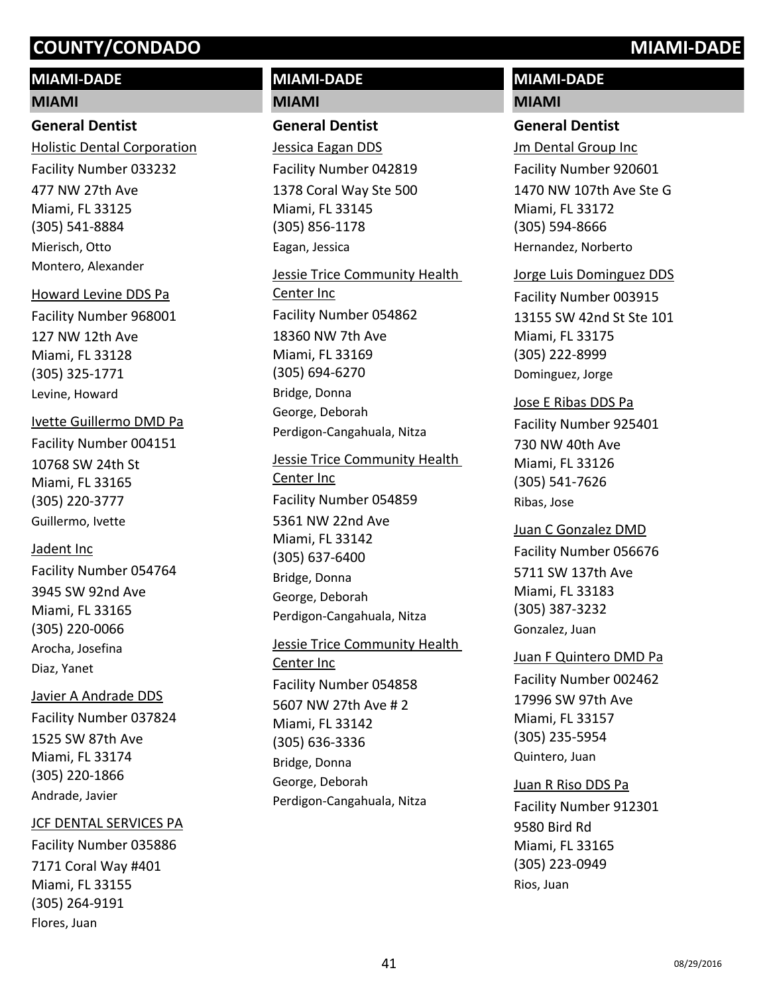# **MIAMI-DADE**

#### **MIAMI**

### **General Dentist**

477 NW 27th Ave Miami, FL 33125 (305) 541-8884 Holistic Dental Corporation Facility Number 033232 Mierisch, Otto Montero, Alexander

#### Howard Levine DDS Pa

127 NW 12th Ave Miami, FL 33128 (305) 325-1771 Facility Number 968001 Levine, Howard

#### Ivette Guillermo DMD Pa

10768 SW 24th St Miami, FL 33165 (305) 220-3777 Facility Number 004151 Guillermo, Ivette

## Jadent Inc

3945 SW 92nd Ave Miami, FL 33165 (305) 220-0066 Facility Number 054764 Arocha, Josefina Diaz, Yanet

## Javier A Andrade DDS

1525 SW 87th Ave Miami, FL 33174 (305) 220-1866 Facility Number 037824 Andrade, Javier

## JCF DENTAL SERVICES PA

7171 Coral Way #401 Miami, FL 33155 (305) 264-9191 Facility Number 035886 Flores, Juan

# **MIAMI-DADE MIAMI**

**General Dentist** 1378 Coral Way Ste 500 Miami, FL 33145 (305) 856-1178 Jessica Eagan DDS Facility Number 042819 Eagan, Jessica

18360 NW 7th Ave Miami, FL 33169 (305) 694-6270 Jessie Trice Community Health Center Inc Facility Number 054862 Bridge, Donna George, Deborah Perdigon-Cangahuala, Nitza

# 5361 NW 22nd Ave Miami, FL 33142 (305) 637-6400 Jessie Trice Community Health Center Inc Facility Number 054859 Bridge, Donna George, Deborah Perdigon-Cangahuala, Nitza

5607 NW 27th Ave # 2 Miami, FL 33142 (305) 636-3336 Jessie Trice Community Health Center Inc Facility Number 054858 Bridge, Donna George, Deborah Perdigon-Cangahuala, Nitza

# **MIAMI-DADE**

# **MIAMI**

# **General Dentist**

1470 NW 107th Ave Ste G Miami, FL 33172 (305) 594-8666 Jm Dental Group Inc Facility Number 920601 Hernandez, Norberto

## Jorge Luis Dominguez DDS

13155 SW 42nd St Ste 101 Miami, FL 33175 (305) 222-8999 Facility Number 003915 Dominguez, Jorge

## Jose E Ribas DDS Pa

730 NW 40th Ave Miami, FL 33126 (305) 541-7626 Facility Number 925401 Ribas, Jose

## Juan C Gonzalez DMD

5711 SW 137th Ave Miami, FL 33183 (305) 387-3232 Facility Number 056676 Gonzalez, Juan

## Juan F Quintero DMD Pa

17996 SW 97th Ave Miami, FL 33157 (305) 235-5954 Facility Number 002462 Quintero, Juan

# Juan R Riso DDS Pa

9580 Bird Rd Miami, FL 33165 (305) 223-0949 Facility Number 912301 Rios, Juan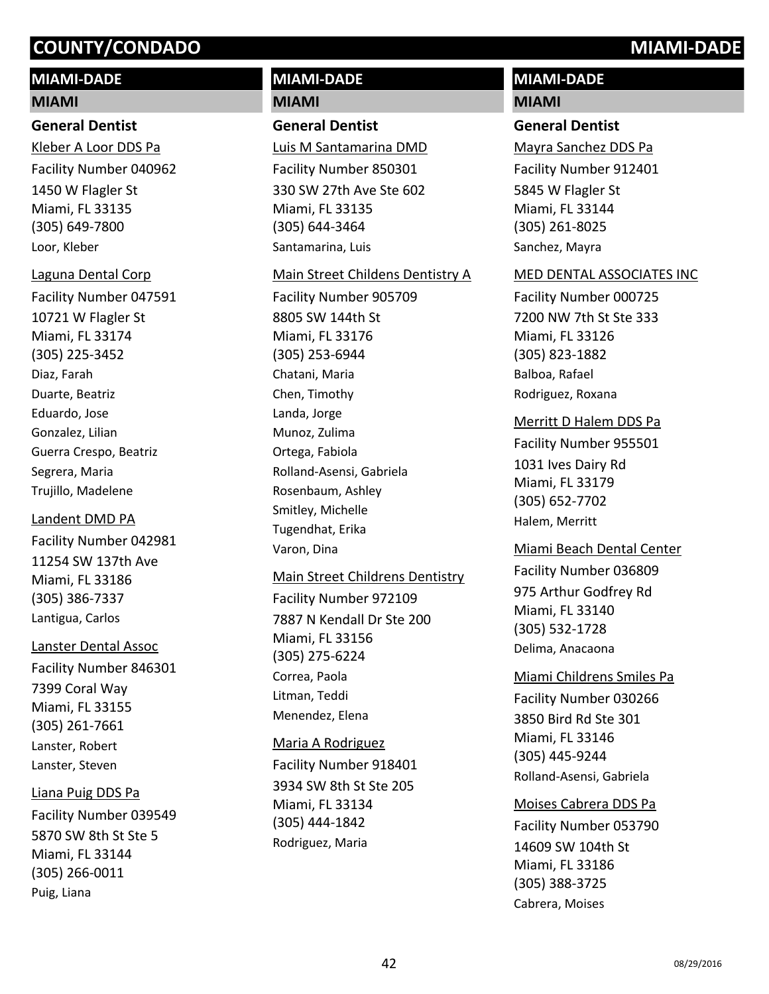# **MIAMI-DADE**

#### **MIAMI**

### **General Dentist**

1450 W Flagler St Miami, FL 33135 (305) 649-7800 Kleber A Loor DDS Pa Facility Number 040962 Loor, Kleber

#### Laguna Dental Corp

10721 W Flagler St Miami, FL 33174 (305) 225-3452 Facility Number 047591 Diaz, Farah Duarte, Beatriz Eduardo, Jose Gonzalez, Lilian Guerra Crespo, Beatriz Segrera, Maria Trujillo, Madelene

# 11254 SW 137th Ave Landent DMD PA Facility Number 042981

Miami, FL 33186 (305) 386-7337 Lantigua, Carlos

# Lanster Dental Assoc

7399 Coral Way Miami, FL 33155 (305) 261-7661 Facility Number 846301 Lanster, Robert Lanster, Steven

# Liana Puig DDS Pa

5870 SW 8th St Ste 5 Miami, FL 33144 (305) 266-0011 Facility Number 039549 Puig, Liana

# **MIAMI-DADE MIAMI**

# **General Dentist**

330 SW 27th Ave Ste 602 Miami, FL 33135 (305) 644-3464 Luis M Santamarina DMD Facility Number 850301 Santamarina, Luis

#### Main Street Childens Dentistry A

8805 SW 144th St Miami, FL 33176 (305) 253-6944 Facility Number 905709 Chatani, Maria Chen, Timothy Landa, Jorge Munoz, Zulima Ortega, Fabiola Rolland-Asensi, Gabriela Rosenbaum, Ashley Smitley, Michelle Tugendhat, Erika Varon, Dina

## Main Street Childrens Dentistry

7887 N Kendall Dr Ste 200 Miami, FL 33156 (305) 275-6224 Facility Number 972109 Correa, Paola Litman, Teddi Menendez, Elena

# 3934 SW 8th St Ste 205 Miami, FL 33134 (305) 444-1842 Maria A Rodriguez Facility Number 918401 Rodriguez, Maria

# **MIAMI-DADE**

# **MIAMI**

## **General Dentist**

5845 W Flagler St Miami, FL 33144 (305) 261-8025 Mayra Sanchez DDS Pa Facility Number 912401 Sanchez, Mayra

#### MED DENTAL ASSOCIATES INC

7200 NW 7th St Ste 333 Miami, FL 33126 (305) 823-1882 Facility Number 000725 Balboa, Rafael Rodriguez, Roxana

## Merritt D Halem DDS Pa

1031 Ives Dairy Rd Miami, FL 33179 (305) 652-7702 Facility Number 955501 Halem, Merritt

# Miami Beach Dental Center Facility Number 036809

975 Arthur Godfrey Rd Miami, FL 33140 (305) 532-1728 Delima, Anacaona

# Miami Childrens Smiles Pa

3850 Bird Rd Ste 301 Miami, FL 33146 (305) 445-9244 Facility Number 030266 Rolland-Asensi, Gabriela

# Moises Cabrera DDS Pa

14609 SW 104th St Miami, FL 33186 (305) 388-3725 Facility Number 053790 Cabrera, Moises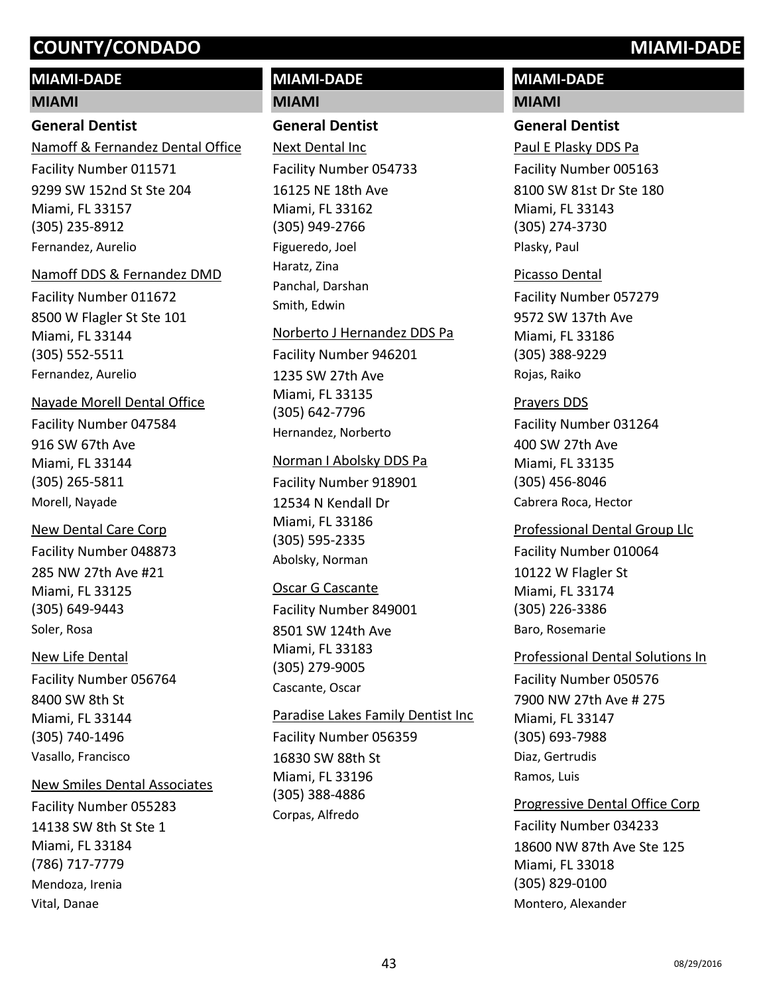# **MIAMI-DADE**

#### **MIAMI**

## **General Dentist**

9299 SW 152nd St Ste 204 Miami, FL 33157 (305) 235-8912 Namoff & Fernandez Dental Office Facility Number 011571 Fernandez, Aurelio

#### Namoff DDS & Fernandez DMD

8500 W Flagler St Ste 101 Miami, FL 33144 (305) 552-5511 Facility Number 011672 Fernandez, Aurelio

#### Nayade Morell Dental Office

916 SW 67th Ave Miami, FL 33144 (305) 265-5811 Facility Number 047584 Morell, Nayade

#### New Dental Care Corp

285 NW 27th Ave #21 Miami, FL 33125 (305) 649-9443 Facility Number 048873 Soler, Rosa

#### New Life Dental

8400 SW 8th St Miami, FL 33144 (305) 740-1496 Facility Number 056764 Vasallo, Francisco

#### New Smiles Dental Associates

14138 SW 8th St Ste 1 Miami, FL 33184 (786) 717-7779 Facility Number 055283 Mendoza, Irenia Vital, Danae

# **MIAMI-DADE MIAMI**

# **General Dentist**

16125 NE 18th Ave Miami, FL 33162 (305) 949-2766 Next Dental Inc Facility Number 054733 Figueredo, Joel Haratz, Zina Panchal, Darshan Smith, Edwin

#### Norberto J Hernandez DDS Pa

1235 SW 27th Ave Miami, FL 33135 (305) 642-7796 Facility Number 946201 Hernandez, Norberto

#### Norman I Abolsky DDS Pa

12534 N Kendall Dr Miami, FL 33186 (305) 595-2335 Facility Number 918901 Abolsky, Norman

## Oscar G Cascante

8501 SW 124th Ave Miami, FL 33183 (305) 279-9005 Facility Number 849001 Cascante, Oscar

16830 SW 88th St Miami, FL 33196 (305) 388-4886 Paradise Lakes Family Dentist Inc Facility Number 056359 Corpas, Alfredo

# **MIAMI-DADE**

# **MIAMI**

#### **General Dentist**

8100 SW 81st Dr Ste 180 Miami, FL 33143 (305) 274-3730 Paul E Plasky DDS Pa Facility Number 005163 Plasky, Paul

#### Picasso Dental

9572 SW 137th Ave Miami, FL 33186 (305) 388-9229 Facility Number 057279 Rojas, Raiko

### Prayers DDS

400 SW 27th Ave Miami, FL 33135 (305) 456-8046 Facility Number 031264 Cabrera Roca, Hector

#### Professional Dental Group Llc

10122 W Flagler St Miami, FL 33174 (305) 226-3386 Facility Number 010064 Baro, Rosemarie

#### Professional Dental Solutions In

7900 NW 27th Ave # 275 Miami, FL 33147 (305) 693-7988 Facility Number 050576 Diaz, Gertrudis Ramos, Luis

18600 NW 87th Ave Ste 125 Miami, FL 33018 (305) 829-0100 Progressive Dental Office Corp Facility Number 034233 Montero, Alexander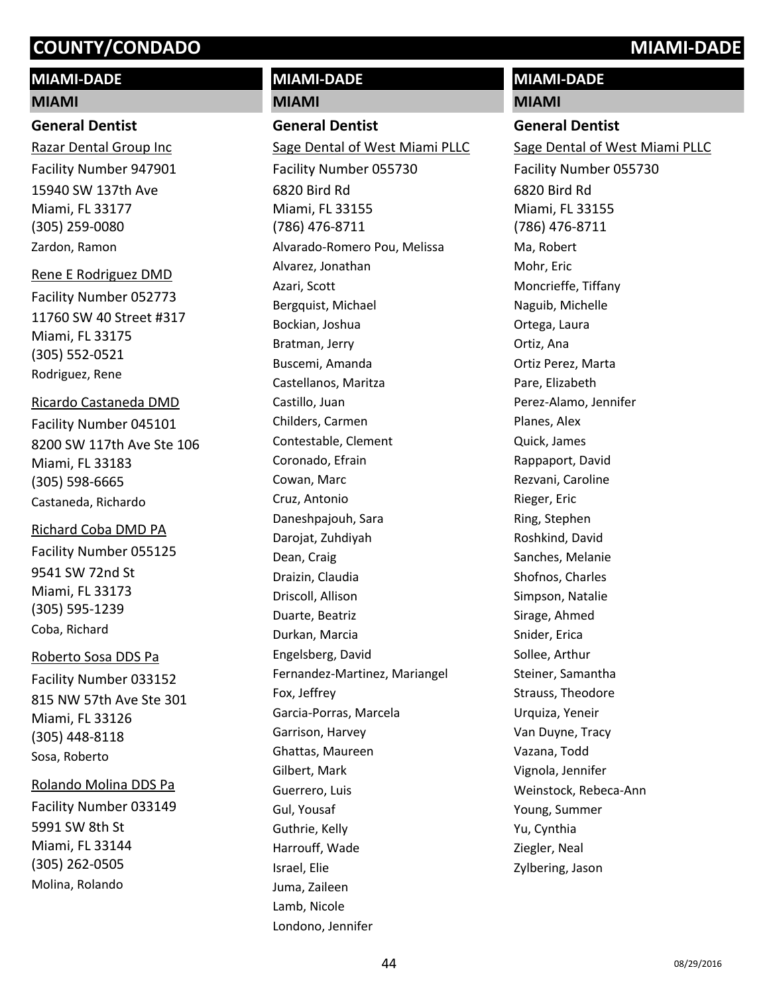# **MIAMI-DADE**

#### **MIAMI**

### **General Dentist**

15940 SW 137th Ave Miami, FL 33177 (305) 259-0080 Razar Dental Group Inc Facility Number 947901 Zardon, Ramon

Rene E Rodriguez DMD

11760 SW 40 Street #317 Miami, FL 33175 (305) 552-0521 Facility Number 052773 Rodriguez, Rene

## Ricardo Castaneda DMD

8200 SW 117th Ave Ste 106 Miami, FL 33183 (305) 598-6665 Facility Number 045101 Castaneda, Richardo

#### Richard Coba DMD PA

9541 SW 72nd St Miami, FL 33173 (305) 595-1239 Facility Number 055125 Coba, Richard

## Roberto Sosa DDS Pa

815 NW 57th Ave Ste 301 Miami, FL 33126 (305) 448-8118 Facility Number 033152 Sosa, Roberto

#### Rolando Molina DDS Pa

5991 SW 8th St Miami, FL 33144 (305) 262-0505 Facility Number 033149 Molina, Rolando

# **MIAMI-DADE**

#### **MIAMI**

# **General Dentist**

6820 Bird Rd Miami, FL 33155 (786) 476-8711 Sage Dental of West Miami PLLC Facility Number 055730 Alvarado-Romero Pou, Melissa Alvarez, Jonathan Azari, Scott Bergquist, Michael Bockian, Joshua Bratman, Jerry Buscemi, Amanda Castellanos, Maritza Castillo, Juan Childers, Carmen Contestable, Clement Coronado, Efrain Cowan, Marc Cruz, Antonio Daneshpajouh, Sara Darojat, Zuhdiyah Dean, Craig Draizin, Claudia Driscoll, Allison Duarte, Beatriz Durkan, Marcia Engelsberg, David Fernandez-Martinez, Mariangel Fox, Jeffrey Garcia-Porras, Marcela Garrison, Harvey Ghattas, Maureen Gilbert, Mark Guerrero, Luis Gul, Yousaf Guthrie, Kelly Harrouff, Wade Israel, Elie Juma, Zaileen Lamb, Nicole Londono, Jennifer

# **MIAMI-DADE**

#### **MIAMI**

#### **General Dentist**

6820 Bird Rd Miami, FL 33155 (786) 476-8711 Sage Dental of West Miami PLLC Facility Number 055730 Ma, Robert Mohr, Eric Moncrieffe, Tiffany Naguib, Michelle Ortega, Laura Ortiz, Ana Ortiz Perez, Marta Pare, Elizabeth Perez-Alamo, Jennifer Planes, Alex Quick, James Rappaport, David Rezvani, Caroline Rieger, Eric Ring, Stephen Roshkind, David Sanches, Melanie Shofnos, Charles Simpson, Natalie Sirage, Ahmed Snider, Erica Sollee, Arthur Steiner, Samantha Strauss, Theodore Urquiza, Yeneir Van Duyne, Tracy Vazana, Todd Vignola, Jennifer Weinstock, Rebeca-Ann Young, Summer Yu, Cynthia Ziegler, Neal Zylbering, Jason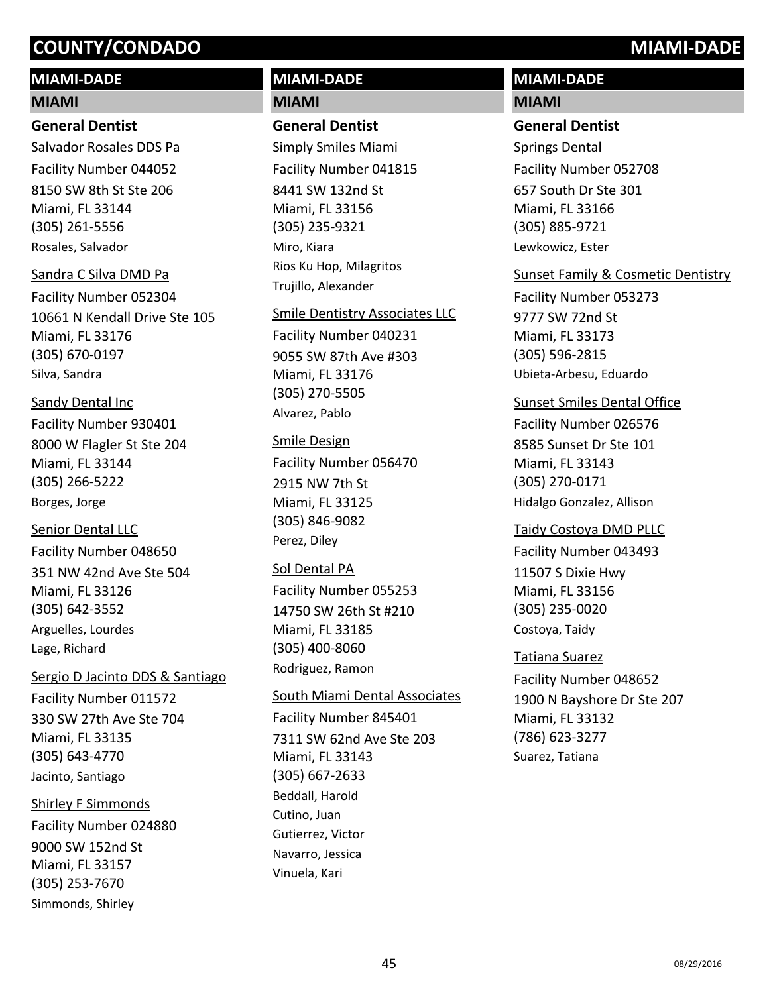# **MIAMI-DADE**

#### **MIAMI**

## **General Dentist**

8150 SW 8th St Ste 206 Miami, FL 33144 (305) 261-5556 Salvador Rosales DDS Pa Facility Number 044052 Rosales, Salvador

#### Sandra C Silva DMD Pa

10661 N Kendall Drive Ste 105 Miami, FL 33176 (305) 670-0197 Facility Number 052304 Silva, Sandra

# Sandy Dental Inc

8000 W Flagler St Ste 204 Miami, FL 33144 (305) 266-5222 Facility Number 930401 Borges, Jorge

# Senior Dental LLC

351 NW 42nd Ave Ste 504 Miami, FL 33126 (305) 642-3552 Facility Number 048650 Arguelles, Lourdes Lage, Richard

## Sergio D Jacinto DDS & Santiago

330 SW 27th Ave Ste 704 Miami, FL 33135 (305) 643-4770 Facility Number 011572 Jacinto, Santiago

# Shirley F Simmonds

9000 SW 152nd St Miami, FL 33157 (305) 253-7670 Facility Number 024880 Simmonds, Shirley

# **MIAMI-DADE MIAMI**

# **General Dentist**

8441 SW 132nd St Miami, FL 33156 (305) 235-9321 Simply Smiles Miami Facility Number 041815 Miro, Kiara Rios Ku Hop, Milagritos Trujillo, Alexander

#### Smile Dentistry Associates LLC

9055 SW 87th Ave #303 Miami, FL 33176 (305) 270-5505 Facility Number 040231 Alvarez, Pablo

## Smile Design

2915 NW 7th St Miami, FL 33125 (305) 846-9082 Facility Number 056470 Perez, Diley

# Sol Dental PA

14750 SW 26th St #210 Miami, FL 33185 (305) 400-8060 Facility Number 055253 Rodriguez, Ramon

## South Miami Dental Associates

7311 SW 62nd Ave Ste 203 Miami, FL 33143 (305) 667-2633 Facility Number 845401 Beddall, Harold Cutino, Juan Gutierrez, Victor Navarro, Jessica Vinuela, Kari

# **MIAMI-DADE MIAMI**

# **General Dentist**

657 South Dr Ste 301 Miami, FL 33166 (305) 885-9721 Springs Dental Facility Number 052708 Lewkowicz, Ester

# Sunset Family & Cosmetic Dentistry

9777 SW 72nd St Miami, FL 33173 (305) 596-2815 Facility Number 053273 Ubieta-Arbesu, Eduardo

# Sunset Smiles Dental Office

8585 Sunset Dr Ste 101 Miami, FL 33143 (305) 270-0171 Facility Number 026576 Hidalgo Gonzalez, Allison

## Taidy Costoya DMD PLLC

11507 S Dixie Hwy Miami, FL 33156 (305) 235-0020 Facility Number 043493 Costoya, Taidy

## Tatiana Suarez

1900 N Bayshore Dr Ste 207 Miami, FL 33132 (786) 623-3277 Facility Number 048652 Suarez, Tatiana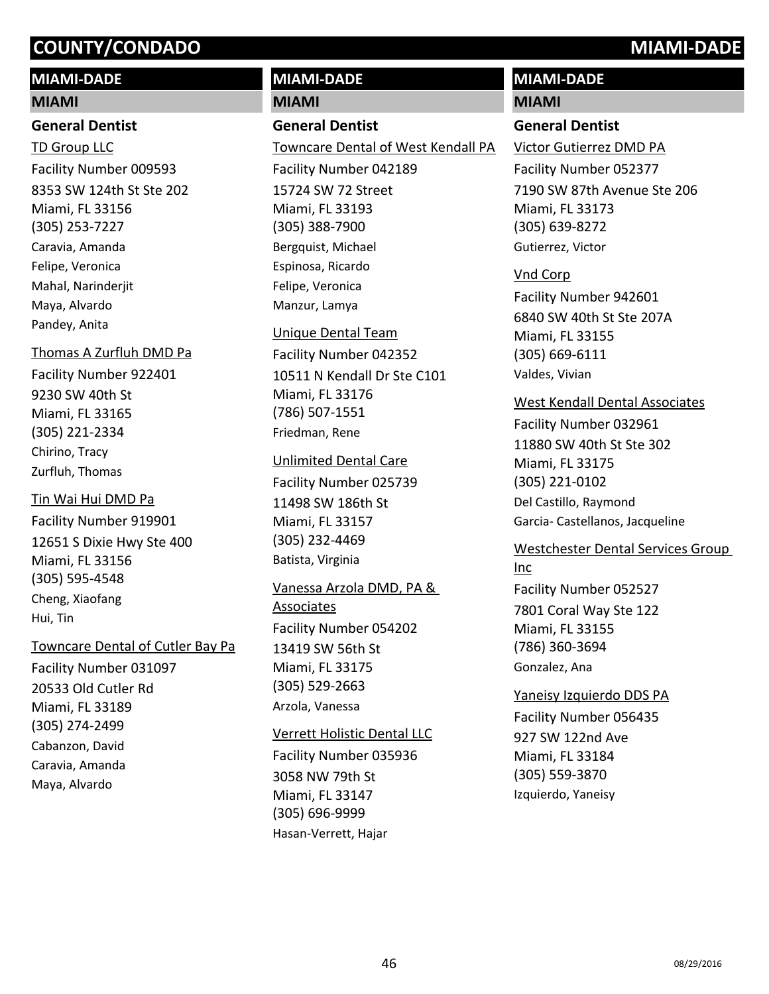# **MIAMI-DADE**

#### **MIAMI**

### **General Dentist**

8353 SW 124th St Ste 202 Miami, FL 33156 (305) 253-7227 TD Group LLC Facility Number 009593 Caravia, Amanda Felipe, Veronica Mahal, Narinderjit Maya, Alvardo Pandey, Anita

# 9230 SW 40th St Miami, FL 33165 Thomas A Zurfluh DMD Pa Facility Number 922401

(305) 221-2334 Chirino, Tracy Zurfluh, Thomas

## Tin Wai Hui DMD Pa

12651 S Dixie Hwy Ste 400 Miami, FL 33156 (305) 595-4548 Facility Number 919901 Cheng, Xiaofang Hui, Tin

## Towncare Dental of Cutler Bay Pa

20533 Old Cutler Rd Miami, FL 33189 (305) 274-2499 Facility Number 031097 Cabanzon, David Caravia, Amanda Maya, Alvardo

# **MIAMI-DADE**

# **MIAMI**

### **General Dentist**

15724 SW 72 Street Miami, FL 33193 (305) 388-7900 Towncare Dental of West Kendall PA Facility Number 042189 Bergquist, Michael Espinosa, Ricardo Felipe, Veronica Manzur, Lamya

## Unique Dental Team

10511 N Kendall Dr Ste C101 Miami, FL 33176 (786) 507-1551 Facility Number 042352 Friedman, Rene

#### Unlimited Dental Care

11498 SW 186th St Miami, FL 33157 (305) 232-4469 Facility Number 025739 Batista, Virginia

# 13419 SW 56th St Miami, FL 33175 Vanessa Arzola DMD, PA & Associates Facility Number 054202

(305) 529-2663 Arzola, Vanessa

## Verrett Holistic Dental LLC

3058 NW 79th St Miami, FL 33147 (305) 696-9999 Facility Number 035936 Hasan-Verrett, Hajar

# **MIAMI-DADE**

#### **MIAMI**

#### **General Dentist**

7190 SW 87th Avenue Ste 206 Miami, FL 33173 (305) 639-8272 Victor Gutierrez DMD PA Facility Number 052377 Gutierrez, Victor

## Vnd Corp

6840 SW 40th St Ste 207A Miami, FL 33155 (305) 669-6111 Facility Number 942601 Valdes, Vivian

#### West Kendall Dental Associates

11880 SW 40th St Ste 302 Miami, FL 33175 (305) 221-0102 Facility Number 032961 Del Castillo, Raymond Garcia- Castellanos, Jacqueline

## Westchester Dental Services Group Inc

7801 Coral Way Ste 122 Miami, FL 33155 (786) 360-3694 Facility Number 052527 Gonzalez, Ana

#### Yaneisy Izquierdo DDS PA

927 SW 122nd Ave Miami, FL 33184 (305) 559-3870 Facility Number 056435 Izquierdo, Yaneisy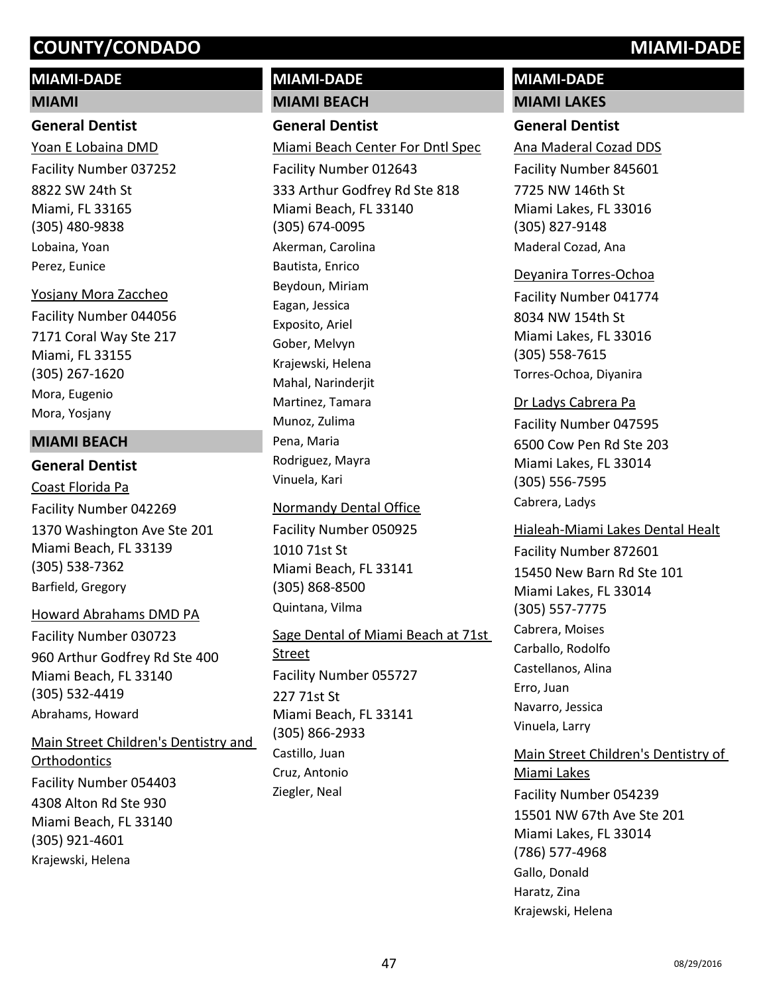# **MIAMI-DADE**

# **MIAMI**

# **General Dentist**

8822 SW 24th St Miami, FL 33165 (305) 480-9838 Yoan E Lobaina DMD Facility Number 037252 Lobaina, Yoan Perez, Eunice

7171 Coral Way Ste 217 Miami, FL 33155 (305) 267-1620 Yosjany Mora Zaccheo Facility Number 044056 Mora, Eugenio Mora, Yosjany

## **MIAMI BEACH**

# **General Dentist**

1370 Washington Ave Ste 201 Miami Beach, FL 33139 (305) 538-7362 Coast Florida Pa Facility Number 042269 Barfield, Gregory

#### Howard Abrahams DMD PA

960 Arthur Godfrey Rd Ste 400 Miami Beach, FL 33140 (305) 532-4419 Facility Number 030723 Abrahams, Howard

4308 Alton Rd Ste 930 Miami Beach, FL 33140 (305) 921-4601 Main Street Children's Dentistry and **Orthodontics** Facility Number 054403

Krajewski, Helena

# **MIAMI-DADE**

**MIAMI BEACH**

# **General Dentist**

333 Arthur Godfrey Rd Ste 818 Miami Beach, FL 33140 (305) 674-0095 Miami Beach Center For Dntl Spec Facility Number 012643 Akerman, Carolina Bautista, Enrico Beydoun, Miriam Eagan, Jessica Exposito, Ariel Gober, Melvyn Krajewski, Helena Mahal, Narinderjit Martinez, Tamara Munoz, Zulima Pena, Maria Rodriguez, Mayra Vinuela, Kari

## Normandy Dental Office

1010 71st St Miami Beach, FL 33141 (305) 868-8500 Facility Number 050925 Quintana, Vilma

#### Sage Dental of Miami Beach at 71st

227 71st St Miami Beach, FL 33141 (305) 866-2933 **Street** Facility Number 055727 Castillo, Juan Cruz, Antonio Ziegler, Neal

# **MIAMI-DADE**

**MIAMI LAKES**

# **General Dentist**

7725 NW 146th St Miami Lakes, FL 33016 (305) 827-9148 Ana Maderal Cozad DDS Facility Number 845601 Maderal Cozad, Ana

#### Deyanira Torres-Ochoa

8034 NW 154th St Miami Lakes, FL 33016 (305) 558-7615 Facility Number 041774 Torres-Ochoa, Diyanira

## Dr Ladys Cabrera Pa

6500 Cow Pen Rd Ste 203 Miami Lakes, FL 33014 (305) 556-7595 Facility Number 047595 Cabrera, Ladys

#### Hialeah-Miami Lakes Dental Healt

15450 New Barn Rd Ste 101 Miami Lakes, FL 33014 (305) 557-7775 Facility Number 872601 Cabrera, Moises Carballo, Rodolfo Castellanos, Alina Erro, Juan Navarro, Jessica Vinuela, Larry

# 15501 NW 67th Ave Ste 201 Miami Lakes, FL 33014 (786) 577-4968 Main Street Children's Dentistry of Miami Lakes Facility Number 054239 Gallo, Donald Haratz, Zina

Krajewski, Helena

47 os/29/2016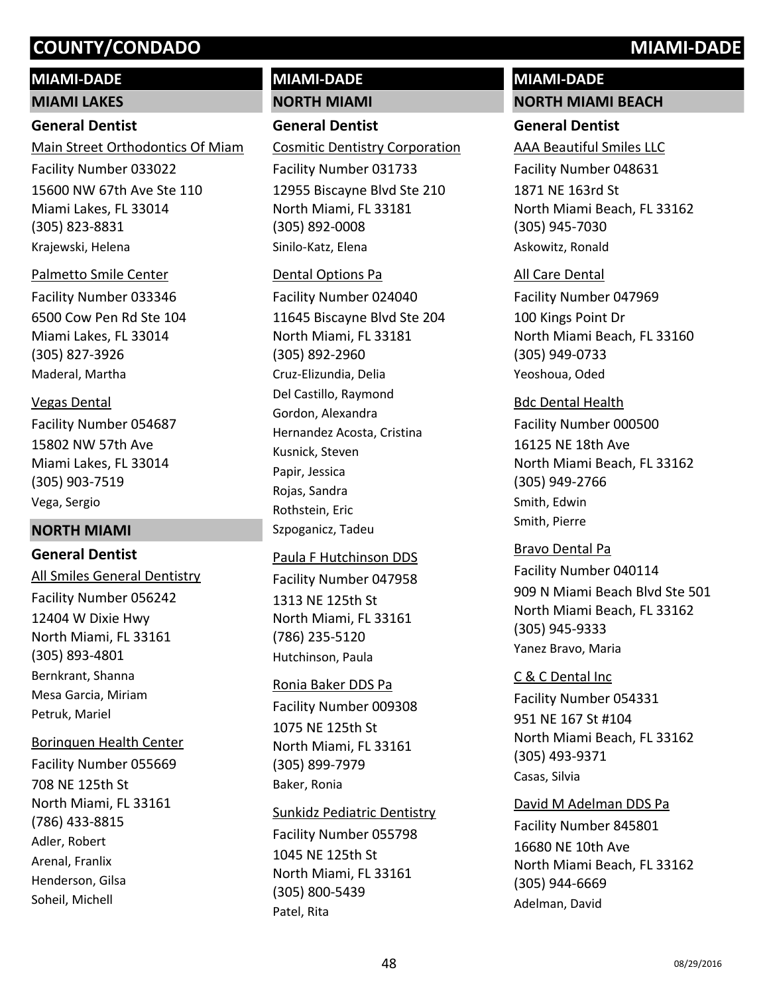# **MIAMI-DADE MIAMI LAKES**

# **General Dentist**

15600 NW 67th Ave Ste 110 Miami Lakes, FL 33014 (305) 823-8831 Main Street Orthodontics Of Miam Facility Number 033022 Krajewski, Helena

#### Palmetto Smile Center

6500 Cow Pen Rd Ste 104 Miami Lakes, FL 33014 (305) 827-3926 Facility Number 033346 Maderal, Martha

## Vegas Dental

15802 NW 57th Ave Miami Lakes, FL 33014 (305) 903-7519 Facility Number 054687 Vega, Sergio

# **NORTH MIAMI**

## **General Dentist**

12404 W Dixie Hwy North Miami, FL 33161 (305) 893-4801 All Smiles General Dentistry Facility Number 056242 Bernkrant, Shanna Mesa Garcia, Miriam Petruk, Mariel

## Borinquen Health Center

708 NE 125th St North Miami, FL 33161 (786) 433-8815 Facility Number 055669 Adler, Robert Arenal, Franlix Henderson, Gilsa Soheil, Michell

# **MIAMI-DADE**

# **NORTH MIAMI**

# **General Dentist**

12955 Biscayne Blvd Ste 210 North Miami, FL 33181 (305) 892-0008 Cosmitic Dentistry Corporation Facility Number 031733 Sinilo-Katz, Elena

#### Dental Options Pa

11645 Biscayne Blvd Ste 204 North Miami, FL 33181 (305) 892-2960 Facility Number 024040 Cruz-Elizundia, Delia Del Castillo, Raymond Gordon, Alexandra Hernandez Acosta, Cristina Kusnick, Steven Papir, Jessica Rojas, Sandra Rothstein, Eric Szpoganicz, Tadeu

# 1313 NE 125th St North Miami, FL 33161 (786) 235-5120 Paula F Hutchinson DDS Facility Number 047958 Hutchinson, Paula

1075 NE 125th St North Miami, FL 33161 (305) 899-7979 Ronia Baker DDS Pa Facility Number 009308 Baker, Ronia

## Sunkidz Pediatric Dentistry

1045 NE 125th St North Miami, FL 33161 (305) 800-5439 Facility Number 055798 Patel, Rita

# **MIAMI-DADE**

#### **NORTH MIAMI BEACH**

## **General Dentist**

1871 NE 163rd St North Miami Beach, FL 33162 (305) 945-7030 AAA Beautiful Smiles LLC Facility Number 048631 Askowitz, Ronald

## All Care Dental

100 Kings Point Dr North Miami Beach, FL 33160 (305) 949-0733 Facility Number 047969 Yeoshoua, Oded

#### Bdc Dental Health

16125 NE 18th Ave North Miami Beach, FL 33162 (305) 949-2766 Facility Number 000500 Smith, Edwin Smith, Pierre

# Bravo Dental Pa

909 N Miami Beach Blvd Ste 501 North Miami Beach, FL 33162 (305) 945-9333 Facility Number 040114 Yanez Bravo, Maria

# C & C Dental Inc

951 NE 167 St #104 North Miami Beach, FL 33162 (305) 493-9371 Facility Number 054331 Casas, Silvia

#### David M Adelman DDS Pa

16680 NE 10th Ave North Miami Beach, FL 33162 (305) 944-6669 Facility Number 845801 Adelman, David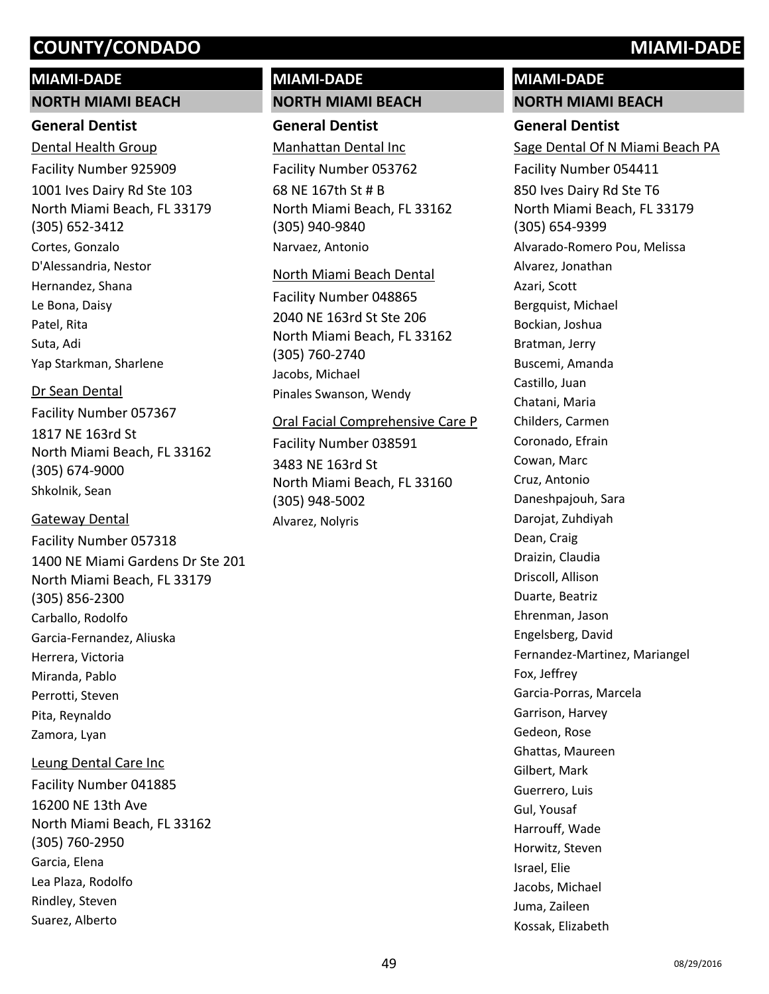#### **MIAMI-DADE**

#### **NORTH MIAMI BEACH**

### **General Dentist**

1001 Ives Dairy Rd Ste 103 North Miami Beach, FL 33179 (305) 652-3412 Dental Health Group Facility Number 925909 Cortes, Gonzalo D'Alessandria, Nestor Hernandez, Shana Le Bona, Daisy Patel, Rita Suta, Adi Yap Starkman, Sharlene

#### Dr Sean Dental

1817 NE 163rd St North Miami Beach, FL 33162 (305) 674-9000 Facility Number 057367 Shkolnik, Sean

## Gateway Dental

1400 NE Miami Gardens Dr Ste 201 North Miami Beach, FL 33179 (305) 856-2300 Facility Number 057318 Carballo, Rodolfo Garcia-Fernandez, Aliuska Herrera, Victoria Miranda, Pablo Perrotti, Steven Pita, Reynaldo Zamora, Lyan

## Leung Dental Care Inc

16200 NE 13th Ave North Miami Beach, FL 33162 (305) 760-2950 Facility Number 041885 Garcia, Elena Lea Plaza, Rodolfo Rindley, Steven Suarez, Alberto

# **MIAMI-DADE NORTH MIAMI BEACH**

# **General Dentist**

68 NE 167th St # B North Miami Beach, FL 33162 (305) 940-9840 Manhattan Dental Inc Facility Number 053762 Narvaez, Antonio

#### North Miami Beach Dental

2040 NE 163rd St Ste 206 North Miami Beach, FL 33162 (305) 760-2740 Facility Number 048865 Jacobs, Michael Pinales Swanson, Wendy

#### Oral Facial Comprehensive Care P

3483 NE 163rd St North Miami Beach, FL 33160 (305) 948-5002 Facility Number 038591 Alvarez, Nolyris

# **MIAMI-DADE**

**NORTH MIAMI BEACH**

# **General Dentist**

850 Ives Dairy Rd Ste T6 North Miami Beach, FL 33179 (305) 654-9399 Sage Dental Of N Miami Beach PA Facility Number 054411 Alvarado-Romero Pou, Melissa Alvarez, Jonathan Azari, Scott Bergquist, Michael Bockian, Joshua Bratman, Jerry Buscemi, Amanda Castillo, Juan Chatani, Maria Childers, Carmen Coronado, Efrain Cowan, Marc Cruz, Antonio Daneshpajouh, Sara Darojat, Zuhdiyah Dean, Craig Draizin, Claudia Driscoll, Allison Duarte, Beatriz Ehrenman, Jason Engelsberg, David Fernandez-Martinez, Mariangel Fox, Jeffrey Garcia-Porras, Marcela Garrison, Harvey Gedeon, Rose Ghattas, Maureen Gilbert, Mark Guerrero, Luis Gul, Yousaf Harrouff, Wade Horwitz, Steven Israel, Elie Jacobs, Michael Juma, Zaileen Kossak, Elizabeth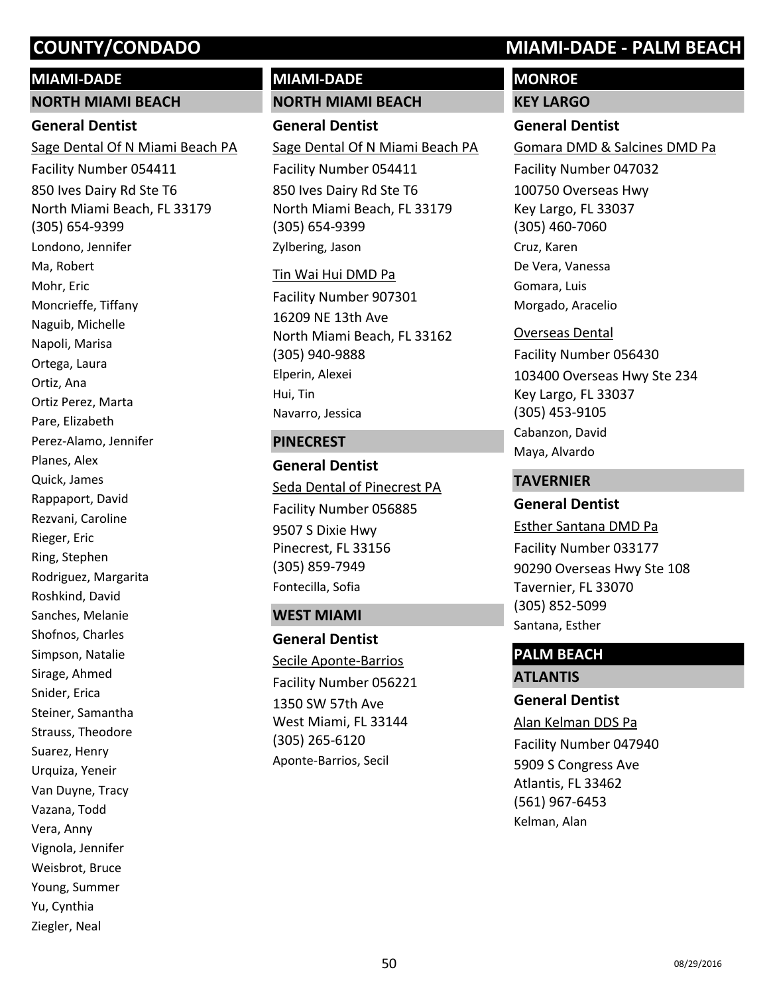#### **MIAMI-DADE**

#### **NORTH MIAMI BEACH**

## **General Dentist**

850 Ives Dairy Rd Ste T6 North Miami Beach, FL 33179 (305) 654-9399 Sage Dental Of N Miami Beach PA Facility Number 054411 Londono, Jennifer Ma, Robert Mohr, Eric Moncrieffe, Tiffany Naguib, Michelle Napoli, Marisa Ortega, Laura Ortiz, Ana Ortiz Perez, Marta Pare, Elizabeth Perez-Alamo, Jennifer Planes, Alex Quick, James Rappaport, David Rezvani, Caroline Rieger, Eric Ring, Stephen Rodriguez, Margarita Roshkind, David Sanches, Melanie Shofnos, Charles Simpson, Natalie Sirage, Ahmed Snider, Erica Steiner, Samantha Strauss, Theodore Suarez, Henry Urquiza, Yeneir Van Duyne, Tracy Vazana, Todd Vera, Anny Vignola, Jennifer Weisbrot, Bruce Young, Summer Yu, Cynthia Ziegler, Neal

# **MIAMI-DADE**

# **NORTH MIAMI BEACH**

# **General Dentist**

850 Ives Dairy Rd Ste T6 North Miami Beach, FL 33179 (305) 654-9399 Sage Dental Of N Miami Beach PA Facility Number 054411 Zylbering, Jason

#### Tin Wai Hui DMD Pa

16209 NE 13th Ave North Miami Beach, FL 33162 (305) 940-9888 Facility Number 907301 Elperin, Alexei Hui, Tin Navarro, Jessica

#### **PINECREST**

**General Dentist** 9507 S Dixie Hwy Pinecrest, FL 33156 (305) 859-7949 Seda Dental of Pinecrest PA Facility Number 056885 Fontecilla, Sofia

#### **WEST MIAMI**

**General Dentist** 1350 SW 57th Ave West Miami, FL 33144 (305) 265-6120 Secile Aponte-Barrios Facility Number 056221 Aponte-Barrios, Secil

# **COUNTY/CONDADO MIAMI-DADE - PALM BEACH**

# **MONROE**

**KEY LARGO**

# **General Dentist**

100750 Overseas Hwy Key Largo, FL 33037 (305) 460-7060 Gomara DMD & Salcines DMD Pa Facility Number 047032 Cruz, Karen De Vera, Vanessa Gomara, Luis Morgado, Aracelio

#### Overseas Dental

103400 Overseas Hwy Ste 234 Key Largo, FL 33037 (305) 453-9105 Facility Number 056430 Cabanzon, David Maya, Alvardo

# **TAVERNIER**

**General Dentist** 90290 Overseas Hwy Ste 108 Tavernier, FL 33070 (305) 852-5099 Esther Santana DMD Pa Facility Number 033177 Santana, Esther

# **PALM BEACH ATLANTIS**

**General Dentist** 5909 S Congress Ave Atlantis, FL 33462 (561) 967-6453 Alan Kelman DDS Pa Facility Number 047940 Kelman, Alan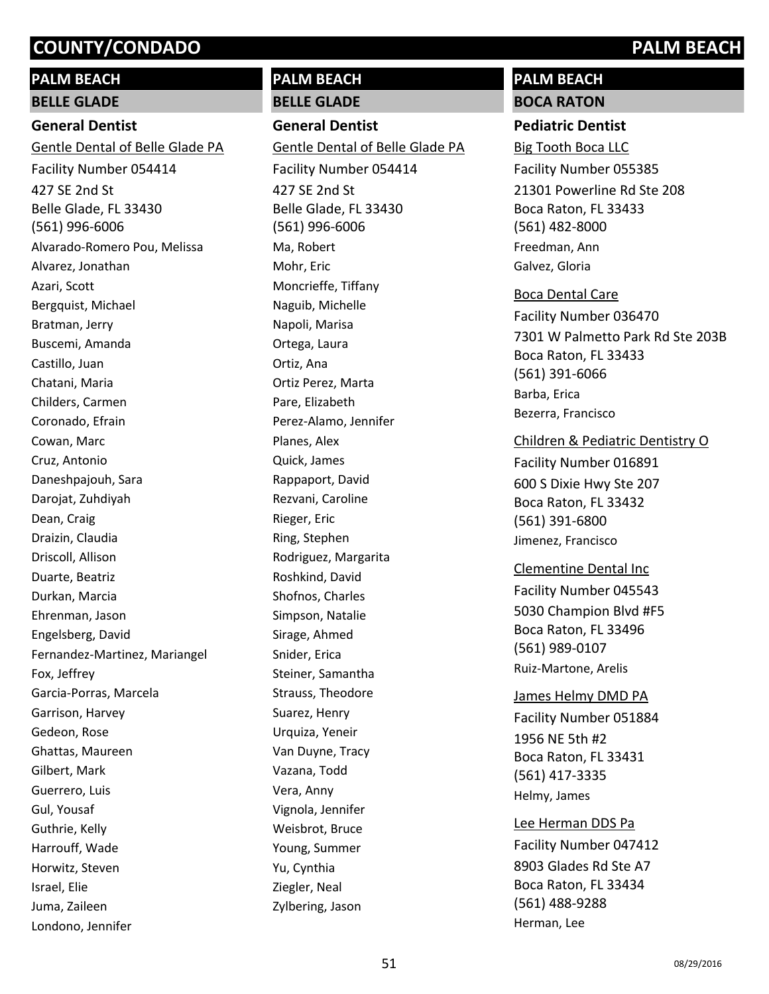# **PALM BEACH BELLE GLADE**

# **General Dentist**

427 SE 2nd St Belle Glade, FL 33430 (561) 996-6006 Gentle Dental of Belle Glade PA Facility Number 054414 Alvarado-Romero Pou, Melissa Alvarez, Jonathan Azari, Scott Bergquist, Michael Bratman, Jerry Buscemi, Amanda Castillo, Juan Chatani, Maria Childers, Carmen Coronado, Efrain Cowan, Marc Cruz, Antonio Daneshpajouh, Sara Darojat, Zuhdiyah Dean, Craig Draizin, Claudia Driscoll, Allison Duarte, Beatriz Durkan, Marcia Ehrenman, Jason Engelsberg, David Fernandez-Martinez, Mariangel Fox, Jeffrey Garcia-Porras, Marcela Garrison, Harvey Gedeon, Rose Ghattas, Maureen Gilbert, Mark Guerrero, Luis Gul, Yousaf Guthrie, Kelly Harrouff, Wade Horwitz, Steven Israel, Elie Juma, Zaileen Londono, Jennifer

# **PALM BEACH**

**BELLE GLADE**

**General Dentist** 427 SE 2nd St Belle Glade, FL 33430 (561) 996-6006 Gentle Dental of Belle Glade PA Facility Number 054414 Ma, Robert Mohr, Eric Moncrieffe, Tiffany Naguib, Michelle Napoli, Marisa Ortega, Laura Ortiz, Ana Ortiz Perez, Marta Pare, Elizabeth Perez-Alamo, Jennifer Planes, Alex

# Quick, James Rappaport, David Rezvani, Caroline Rieger, Eric Ring, Stephen Rodriguez, Margarita Roshkind, David Shofnos, Charles Simpson, Natalie Sirage, Ahmed Snider, Erica Steiner, Samantha Strauss, Theodore Suarez, Henry Urquiza, Yeneir Van Duyne, Tracy Vazana, Todd Vera, Anny Vignola, Jennifer Weisbrot, Bruce Young, Summer Yu, Cynthia Ziegler, Neal

# **PALM BEACH BOCA RATON**

# **Pediatric Dentist**

21301 Powerline Rd Ste 208 Boca Raton, FL 33433 (561) 482-8000 Big Tooth Boca LLC Facility Number 055385 Freedman, Ann Galvez, Gloria

7301 W Palmetto Park Rd Ste 203B Boca Raton, FL 33433 (561) 391-6066 Boca Dental Care Facility Number 036470 Barba, Erica Bezerra, Francisco

## Children & Pediatric Dentistry O

600 S Dixie Hwy Ste 207 Boca Raton, FL 33432 (561) 391-6800 Facility Number 016891 Jimenez, Francisco

## Clementine Dental Inc

5030 Champion Blvd #F5 Boca Raton, FL 33496 (561) 989-0107 Facility Number 045543 Ruiz-Martone, Arelis

## James Helmy DMD PA

1956 NE 5th #2 Boca Raton, FL 33431 (561) 417-3335 Facility Number 051884 Helmy, James

## Lee Herman DDS Pa

8903 Glades Rd Ste A7 Boca Raton, FL 33434 (561) 488-9288 Facility Number 047412 Herman, Lee

Zylbering, Jason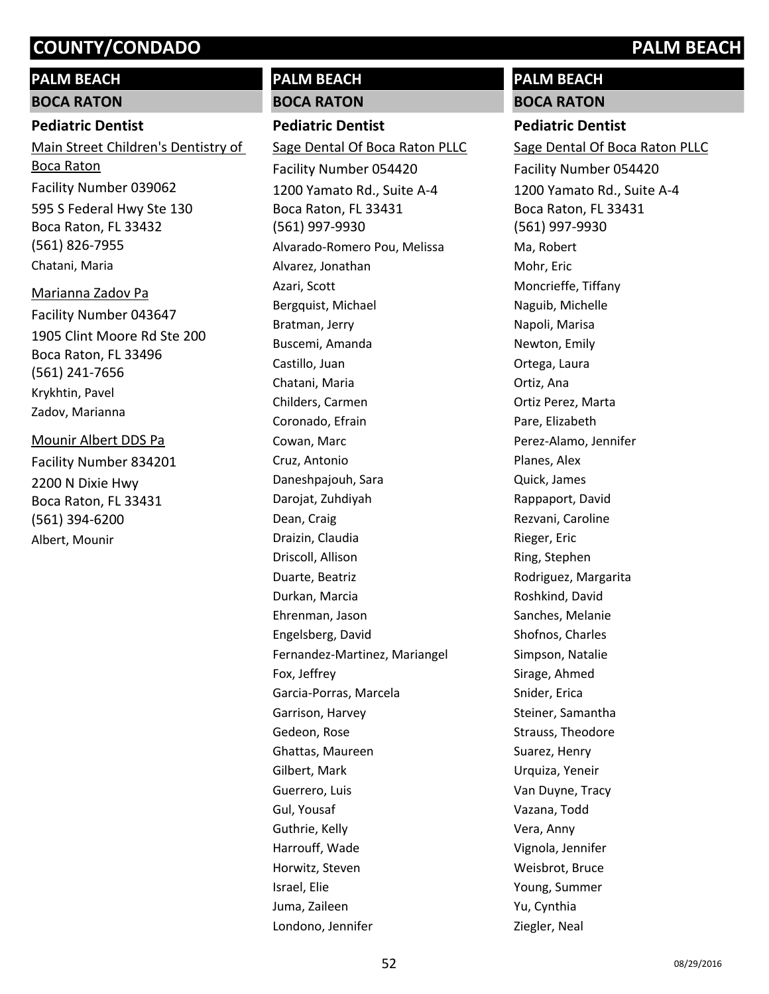# **PALM BEACH BOCA RATON**

# **Pediatric Dentist**

595 S Federal Hwy Ste 130 Boca Raton, FL 33432 (561) 826-7955 Main Street Children's Dentistry of Boca Raton Facility Number 039062

Chatani, Maria

1905 Clint Moore Rd Ste 200 Boca Raton, FL 33496 (561) 241-7656 Marianna Zadov Pa Facility Number 043647 Krykhtin, Pavel Zadov, Marianna

2200 N Dixie Hwy Boca Raton, FL 33431 (561) 394-6200 Mounir Albert DDS Pa Facility Number 834201

Albert, Mounir

# **PALM BEACH**

**BOCA RATON**

# **Pediatric Dentist**

1200 Yamato Rd., Suite A-4 Boca Raton, FL 33431 (561) 997-9930 Sage Dental Of Boca Raton PLLC Facility Number 054420 Alvarado-Romero Pou, Melissa Alvarez, Jonathan Azari, Scott Bergquist, Michael Bratman, Jerry Buscemi, Amanda Castillo, Juan Chatani, Maria Childers, Carmen Coronado, Efrain Cowan, Marc Cruz, Antonio Daneshpajouh, Sara Darojat, Zuhdiyah Dean, Craig Draizin, Claudia Driscoll, Allison Duarte, Beatriz Durkan, Marcia Ehrenman, Jason Engelsberg, David Fernandez-Martinez, Mariangel Fox, Jeffrey Garcia-Porras, Marcela Garrison, Harvey Gedeon, Rose Ghattas, Maureen Gilbert, Mark Guerrero, Luis Gul, Yousaf Guthrie, Kelly Harrouff, Wade Horwitz, Steven Israel, Elie Juma, Zaileen Londono, Jennifer

# **PALM BEACH**

**BOCA RATON**

# **Pediatric Dentist**

1200 Yamato Rd., Suite A-4 Boca Raton, FL 33431 (561) 997-9930 Sage Dental Of Boca Raton PLLC Facility Number 054420 Ma, Robert Mohr, Eric Moncrieffe, Tiffany Naguib, Michelle Napoli, Marisa Newton, Emily Ortega, Laura Ortiz, Ana Ortiz Perez, Marta Pare, Elizabeth Perez-Alamo, Jennifer Planes, Alex Quick, James Rappaport, David Rezvani, Caroline Rieger, Eric Ring, Stephen Rodriguez, Margarita Roshkind, David Sanches, Melanie Shofnos, Charles Simpson, Natalie Sirage, Ahmed Snider, Erica Steiner, Samantha Strauss, Theodore Suarez, Henry Urquiza, Yeneir Van Duyne, Tracy Vazana, Todd Vera, Anny Vignola, Jennifer Weisbrot, Bruce Young, Summer Yu, Cynthia Ziegler, Neal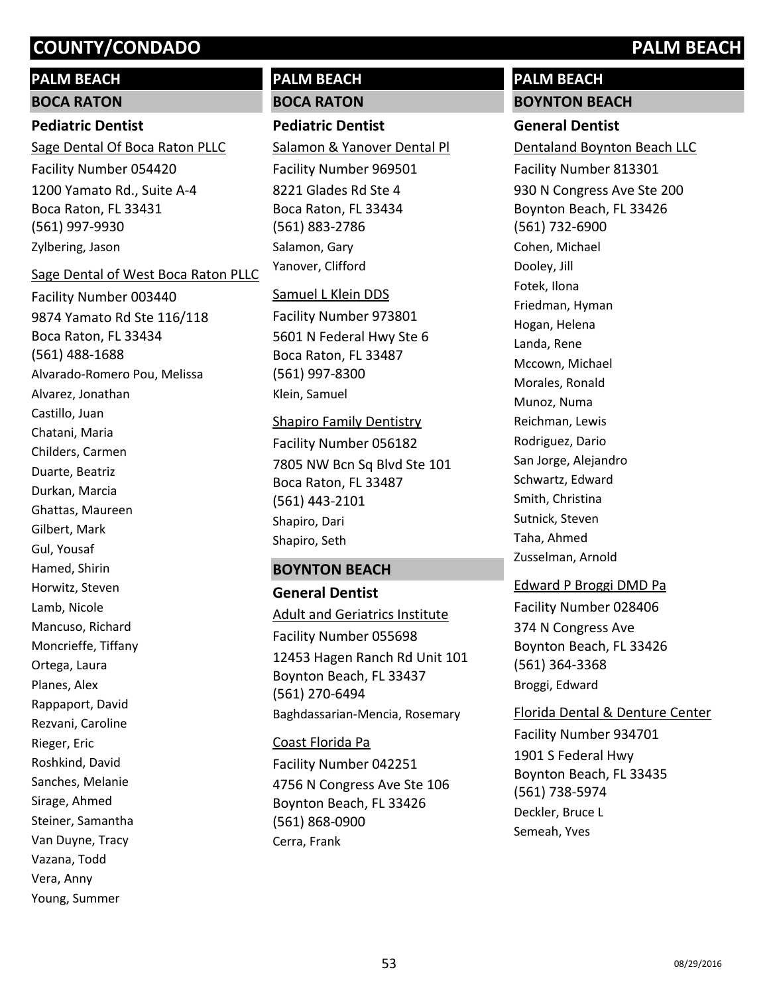# **PALM BEACH**

### **BOCA RATON**

# **Pediatric Dentist**

1200 Yamato Rd., Suite A-4 Boca Raton, FL 33431 (561) 997-9930 Sage Dental Of Boca Raton PLLC Facility Number 054420 Zylbering, Jason

#### Sage Dental of West Boca Raton PLLC

9874 Yamato Rd Ste 116/118 Boca Raton, FL 33434 (561) 488-1688 Facility Number 003440 Alvarado-Romero Pou, Melissa Alvarez, Jonathan Castillo, Juan Chatani, Maria Childers, Carmen Duarte, Beatriz Durkan, Marcia Ghattas, Maureen Gilbert, Mark Gul, Yousaf Hamed, Shirin Horwitz, Steven Lamb, Nicole Mancuso, Richard Moncrieffe, Tiffany Ortega, Laura Planes, Alex Rappaport, David Rezvani, Caroline Rieger, Eric Roshkind, David Sanches, Melanie Sirage, Ahmed Steiner, Samantha Van Duyne, Tracy Vazana, Todd Vera, Anny Young, Summer

# **PALM BEACH BOCA RATON**

# **Pediatric Dentist**

8221 Glades Rd Ste 4 Boca Raton, FL 33434 (561) 883-2786 Salamon & Yanover Dental Pl Facility Number 969501 Salamon, Gary Yanover, Clifford

## Samuel L Klein DDS

5601 N Federal Hwy Ste 6 Boca Raton, FL 33487 (561) 997-8300 Facility Number 973801 Klein, Samuel

## Shapiro Family Dentistry

7805 NW Bcn Sq Blvd Ste 101 Boca Raton, FL 33487 (561) 443-2101 Facility Number 056182 Shapiro, Dari Shapiro, Seth

# **BOYNTON BEACH**

**General Dentist** 12453 Hagen Ranch Rd Unit 101 Boynton Beach, FL 33437 (561) 270-6494 Adult and Geriatrics Institute Facility Number 055698 Baghdassarian-Mencia, Rosemary

# 4756 N Congress Ave Ste 106 Boynton Beach, FL 33426 (561) 868-0900 Coast Florida Pa Facility Number 042251 Cerra, Frank

# **PALM BEACH**

# **BOYNTON BEACH**

**General Dentist** 930 N Congress Ave Ste 200 Boynton Beach, FL 33426 (561) 732-6900 Dentaland Boynton Beach LLC Facility Number 813301 Cohen, Michael Dooley, Jill Fotek, Ilona Friedman, Hyman Hogan, Helena Landa, Rene Mccown, Michael Morales, Ronald Munoz, Numa Reichman, Lewis Rodriguez, Dario San Jorge, Alejandro Schwartz, Edward Smith, Christina Sutnick, Steven Taha, Ahmed Zusselman, Arnold

# Edward P Broggi DMD Pa

374 N Congress Ave Boynton Beach, FL 33426 (561) 364-3368 Facility Number 028406 Broggi, Edward

## Florida Dental & Denture Center

1901 S Federal Hwy Boynton Beach, FL 33435 (561) 738-5974 Facility Number 934701 Deckler, Bruce L Semeah, Yves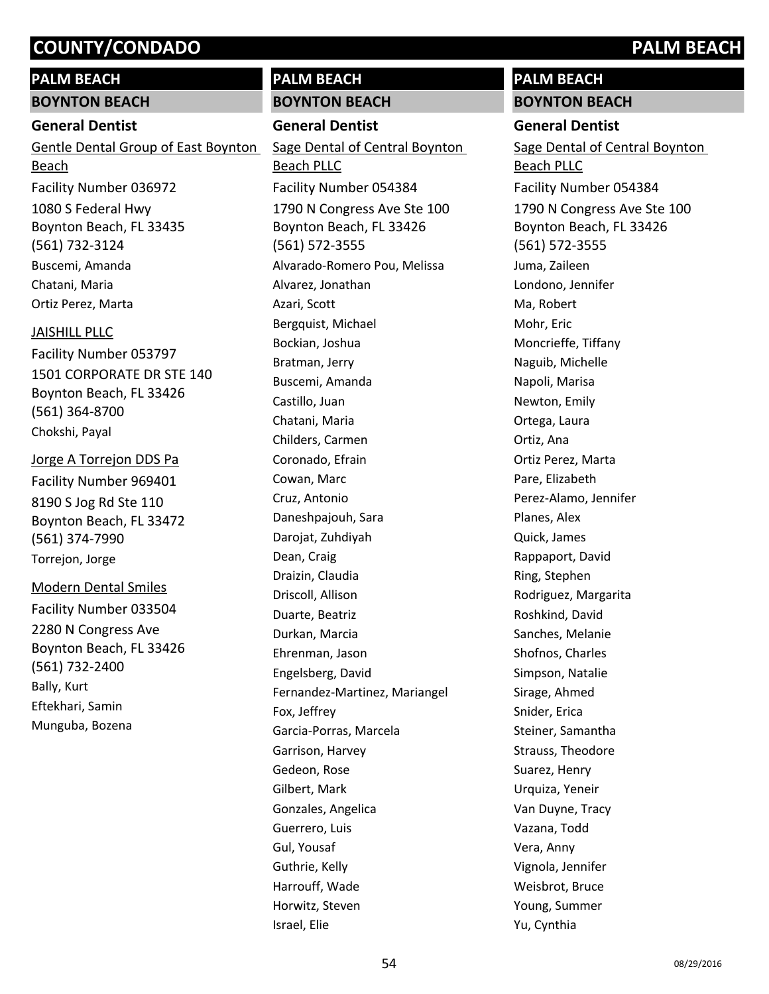# **PALM BEACH**

## **BOYNTON BEACH**

# **General Dentist**

Gentle Dental Group of East Boynton Beach Facility Number 036972

1080 S Federal Hwy Boynton Beach, FL 33435 (561) 732-3124 Buscemi, Amanda Chatani, Maria Ortiz Perez, Marta

#### JAISHILL PLLC

1501 CORPORATE DR STE 140 Boynton Beach, FL 33426 (561) 364-8700 Facility Number 053797 Chokshi, Payal

8190 S Jog Rd Ste 110 Boynton Beach, FL 33472 Jorge A Torrejon DDS Pa Facility Number 969401

(561) 374-7990 Torrejon, Jorge

#### Modern Dental Smiles

2280 N Congress Ave Boynton Beach, FL 33426 (561) 732-2400 Facility Number 033504 Bally, Kurt Eftekhari, Samin Munguba, Bozena

# **PALM BEACH**

## **BOYNTON BEACH**

# **General Dentist**

1790 N Congress Ave Ste 100 Boynton Beach, FL 33426 (561) 572-3555 Sage Dental of Central Boynton Beach PLLC Facility Number 054384 Alvarado-Romero Pou, Melissa Alvarez, Jonathan Azari, Scott Bergquist, Michael Bockian, Joshua Bratman, Jerry Buscemi, Amanda Castillo, Juan Chatani, Maria Childers, Carmen Coronado, Efrain Cowan, Marc Cruz, Antonio Daneshpajouh, Sara Darojat, Zuhdiyah Dean, Craig Draizin, Claudia Driscoll, Allison Duarte, Beatriz Durkan, Marcia Ehrenman, Jason Engelsberg, David Fernandez-Martinez, Mariangel Fox, Jeffrey Garcia-Porras, Marcela Garrison, Harvey Gedeon, Rose Gilbert, Mark Gonzales, Angelica Guerrero, Luis Gul, Yousaf Guthrie, Kelly Harrouff, Wade Horwitz, Steven Israel, Elie

# **PALM BEACH BOYNTON BEACH**

# **General Dentist**

1790 N Congress Ave Ste 100 Boynton Beach, FL 33426 (561) 572-3555 Sage Dental of Central Boynton Beach PLLC Facility Number 054384 Juma, Zaileen Londono, Jennifer Ma, Robert Mohr, Eric Moncrieffe, Tiffany Naguib, Michelle Napoli, Marisa Newton, Emily Ortega, Laura Ortiz, Ana Ortiz Perez, Marta Pare, Elizabeth Perez-Alamo, Jennifer Planes, Alex Quick, James Rappaport, David Ring, Stephen Rodriguez, Margarita Roshkind, David Sanches, Melanie Shofnos, Charles Simpson, Natalie Sirage, Ahmed Snider, Erica Steiner, Samantha Strauss, Theodore Suarez, Henry Urquiza, Yeneir Van Duyne, Tracy Vazana, Todd Vera, Anny Vignola, Jennifer Weisbrot, Bruce Young, Summer Yu, Cynthia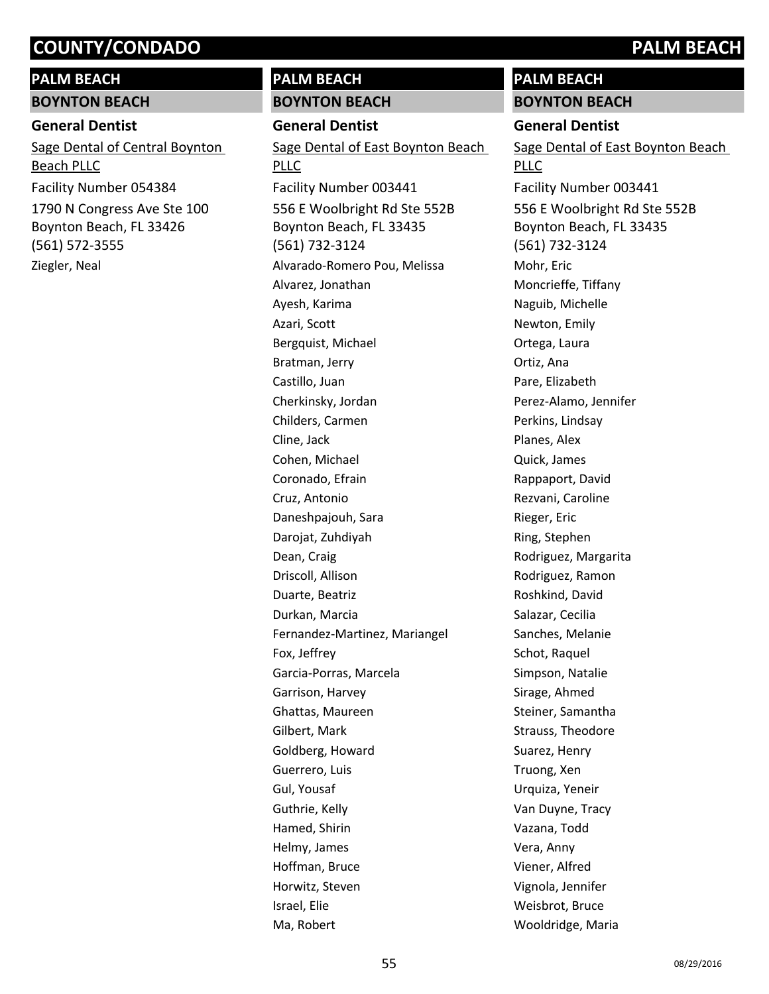#### **PALM BEACH**

#### **BOYNTON BEACH**

#### **General Dentist**

1790 N Congress Ave Ste 100 Boynton Beach, FL 33426 (561) 572-3555 Sage Dental of Central Boynton Beach PLLC Facility Number 054384

## Ziegler, Neal

# **PALM BEACH**

#### **BOYNTON BEACH**

**General Dentist**

556 E Woolbright Rd Ste 552B Boynton Beach, FL 33435 (561) 732-3124 Sage Dental of East Boynton Beach **PLLC** Facility Number 003441 Alvarado-Romero Pou, Melissa Alvarez, Jonathan Ayesh, Karima Azari, Scott Bergquist, Michael Bratman, Jerry Castillo, Juan Cherkinsky, Jordan Childers, Carmen Cline, Jack Cohen, Michael Coronado, Efrain Cruz, Antonio Daneshpajouh, Sara Darojat, Zuhdiyah Dean, Craig Driscoll, Allison Duarte, Beatriz Durkan, Marcia Fernandez-Martinez, Mariangel Fox, Jeffrey Garcia-Porras, Marcela Garrison, Harvey Ghattas, Maureen Gilbert, Mark Goldberg, Howard Guerrero, Luis Gul, Yousaf Guthrie, Kelly Hamed, Shirin Helmy, James Hoffman, Bruce Horwitz, Steven Israel, Elie Ma, Robert

# **PALM BEACH**

**BOYNTON BEACH**

### **General Dentist**

556 E Woolbright Rd Ste 552B Boynton Beach, FL 33435 (561) 732-3124 Sage Dental of East Boynton Beach PLLC Facility Number 003441 Mohr, Eric Moncrieffe, Tiffany Naguib, Michelle Newton, Emily Ortega, Laura Ortiz, Ana Pare, Elizabeth Perez-Alamo, Jennifer Perkins, Lindsay Planes, Alex Quick, James Rappaport, David Rezvani, Caroline Rieger, Eric Ring, Stephen Rodriguez, Margarita Rodriguez, Ramon Roshkind, David Salazar, Cecilia Sanches, Melanie Schot, Raquel Simpson, Natalie Sirage, Ahmed Steiner, Samantha Strauss, Theodore Suarez, Henry Truong, Xen Urquiza, Yeneir Van Duyne, Tracy Vazana, Todd Vera, Anny Viener, Alfred Vignola, Jennifer Weisbrot, Bruce Wooldridge, Maria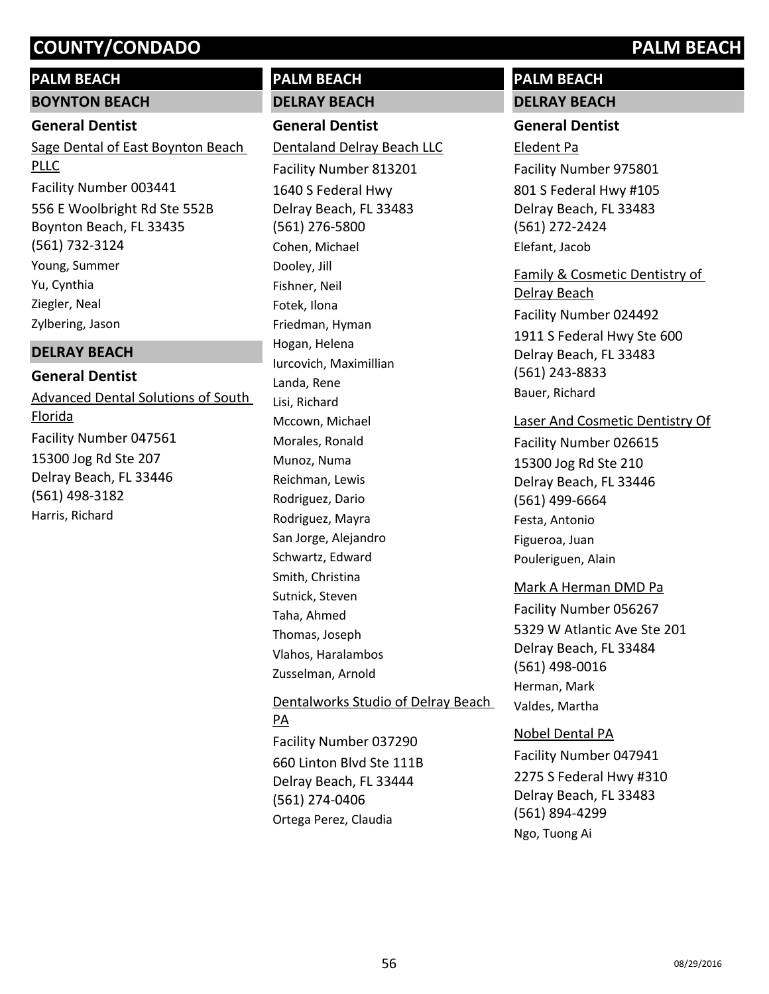# **PALM BEACH**

# **BOYNTON BEACH**

# **General Dentist**

Sage Dental of East Boynton Beach PLLC Facility Number 003441

556 E Woolbright Rd Ste 552B Boynton Beach, FL 33435 (561) 732-3124 Young, Summer Yu, Cynthia Ziegler, Neal Zylbering, Jason

## **DELRAY BEACH**

# **General Dentist**

15300 Jog Rd Ste 207 Delray Beach, FL 33446 (561) 498-3182 Advanced Dental Solutions of South Florida Facility Number 047561 Harris, Richard

# **PALM BEACH**

# **DELRAY BEACH**

**General Dentist**

1640 S Federal Hwy Delray Beach, FL 33483 (561) 276-5800 Dentaland Delray Beach LLC Facility Number 813201 Cohen, Michael Dooley, Jill Fishner, Neil Fotek, Ilona Friedman, Hyman Hogan, Helena Iurcovich, Maximillian Landa, Rene Lisi, Richard Mccown, Michael Morales, Ronald Munoz, Numa Reichman, Lewis Rodriguez, Dario Rodriguez, Mayra San Jorge, Alejandro Schwartz, Edward Smith, Christina Sutnick, Steven Taha, Ahmed Thomas, Joseph Vlahos, Haralambos Zusselman, Arnold

660 Linton Blvd Ste 111B Delray Beach, FL 33444 (561) 274-0406 Dentalworks Studio of Delray Beach PA Facility Number 037290 Ortega Perez, Claudia

# **PALM BEACH DELRAY BEACH**

# **General Dentist**

801 S Federal Hwy #105 Delray Beach, FL 33483 (561) 272-2424 Eledent Pa Facility Number 975801 Elefant, Jacob

1911 S Federal Hwy Ste 600 Delray Beach, FL 33483 (561) 243-8833 Family & Cosmetic Dentistry of Delray Beach Facility Number 024492 Bauer, Richard

#### Laser And Cosmetic Dentistry Of

15300 Jog Rd Ste 210 Delray Beach, FL 33446 (561) 499-6664 Facility Number 026615 Festa, Antonio Figueroa, Juan Pouleriguen, Alain

## Mark A Herman DMD Pa

5329 W Atlantic Ave Ste 201 Delray Beach, FL 33484 (561) 498-0016 Facility Number 056267 Herman, Mark Valdes, Martha

## Nobel Dental PA

2275 S Federal Hwy #310 Delray Beach, FL 33483 (561) 894-4299 Facility Number 047941 Ngo, Tuong Ai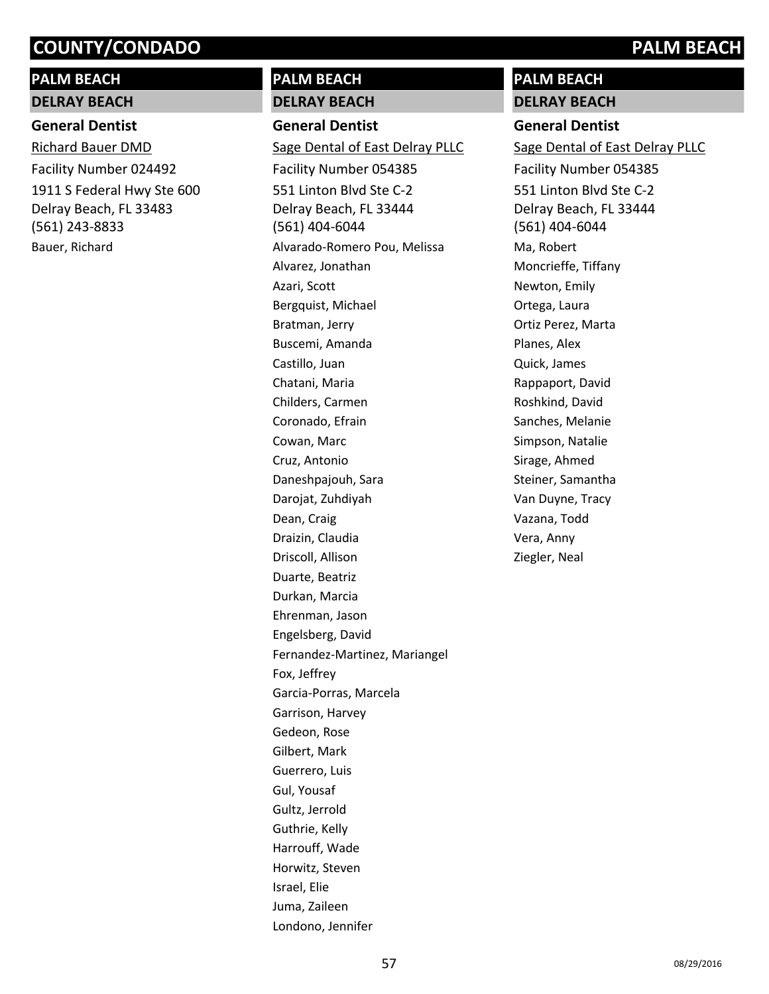# **PALM BEACH**

# **DELRAY BEACH**

# **General Dentist**

1911 S Federal Hwy Ste 600 Delray Beach, FL 33483 (561) 243-8833 Richard Bauer DMD Facility Number 024492 Bauer, Richard

# **PALM BEACH**

#### **DELRAY BEACH**

**General Dentist** 551 Linton Blvd Ste C-2 Delray Beach, FL 33444 (561) 404-6044 Sage Dental of East Delray PLLC Facility Number 054385 Alvarado-Romero Pou, Melissa Alvarez, Jonathan Azari, Scott Bergquist, Michael Bratman, Jerry Buscemi, Amanda Castillo, Juan Chatani, Maria Childers, Carmen Coronado, Efrain Cowan, Marc Cruz, Antonio Daneshpajouh, Sara Darojat, Zuhdiyah Dean, Craig Draizin, Claudia Driscoll, Allison Duarte, Beatriz Durkan, Marcia Ehrenman, Jason Engelsberg, David Fernandez-Martinez, Mariangel Fox, Jeffrey Garcia-Porras, Marcela Garrison, Harvey Gedeon, Rose Gilbert, Mark Guerrero, Luis Gul, Yousaf Gultz, Jerrold Guthrie, Kelly Harrouff, Wade Horwitz, Steven Israel, Elie Juma, Zaileen Londono, Jennifer

# **PALM BEACH**

**DELRAY BEACH**

# **General Dentist**

551 Linton Blvd Ste C-2 Delray Beach, FL 33444 (561) 404-6044 Sage Dental of East Delray PLLC Facility Number 054385 Ma, Robert Moncrieffe, Tiffany Newton, Emily Ortega, Laura Ortiz Perez, Marta Planes, Alex Quick, James Rappaport, David Roshkind, David Sanches, Melanie Simpson, Natalie Sirage, Ahmed Steiner, Samantha Van Duyne, Tracy Vazana, Todd Vera, Anny Ziegler, Neal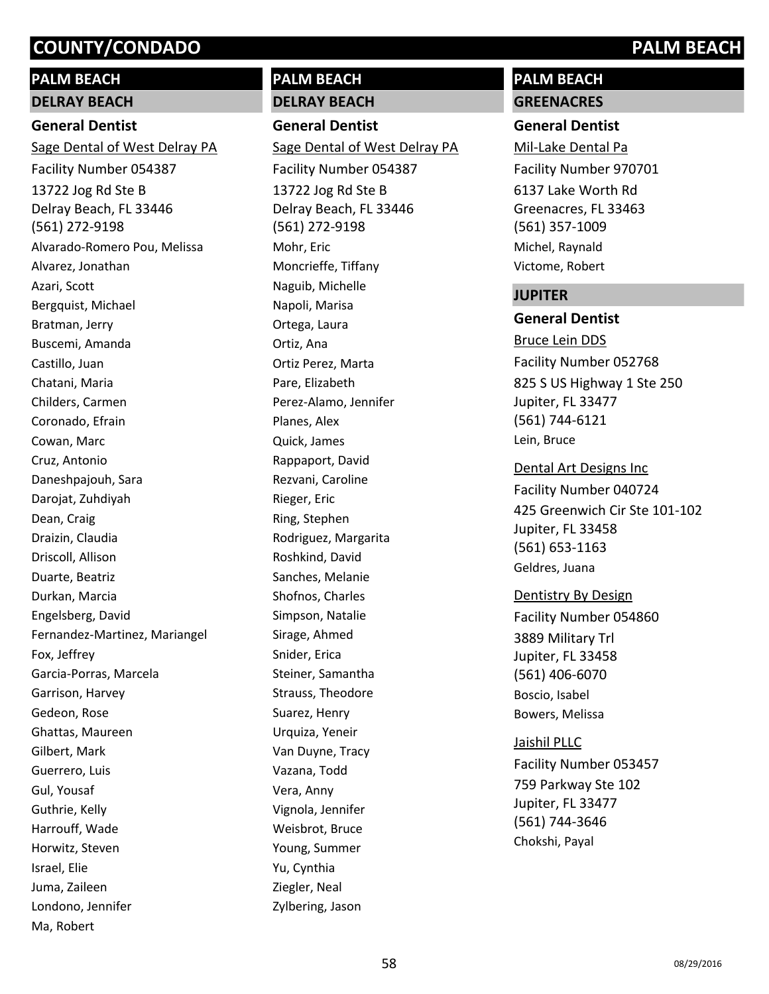# **PALM BEACH**

# **DELRAY BEACH**

# **General Dentist**

13722 Jog Rd Ste B Delray Beach, FL 33446 (561) 272-9198 Sage Dental of West Delray PA Facility Number 054387 Alvarado-Romero Pou, Melissa Alvarez, Jonathan Azari, Scott Bergquist, Michael Bratman, Jerry Buscemi, Amanda Castillo, Juan Chatani, Maria Childers, Carmen Coronado, Efrain Cowan, Marc Cruz, Antonio Daneshpajouh, Sara Darojat, Zuhdiyah Dean, Craig Draizin, Claudia Driscoll, Allison Duarte, Beatriz Durkan, Marcia Engelsberg, David Fernandez-Martinez, Mariangel Fox, Jeffrey Garcia-Porras, Marcela Garrison, Harvey Gedeon, Rose Ghattas, Maureen Gilbert, Mark Guerrero, Luis Gul, Yousaf Guthrie, Kelly Harrouff, Wade Horwitz, Steven Israel, Elie Juma, Zaileen Londono, Jennifer Ma, Robert

# **PALM BEACH**

**DELRAY BEACH**

**General Dentist** 13722 Jog Rd Ste B Delray Beach, FL 33446 (561) 272-9198 Sage Dental of West Delray PA Facility Number 054387 Mohr, Eric Moncrieffe, Tiffany Naguib, Michelle Napoli, Marisa Ortega, Laura Ortiz, Ana Ortiz Perez, Marta Pare, Elizabeth Perez-Alamo, Jennifer Planes, Alex Quick, James Rappaport, David Rezvani, Caroline Rieger, Eric Ring, Stephen Rodriguez, Margarita Roshkind, David Sanches, Melanie Shofnos, Charles Simpson, Natalie Sirage, Ahmed Snider, Erica Steiner, Samantha Strauss, Theodore Suarez, Henry Urquiza, Yeneir Van Duyne, Tracy Vazana, Todd Vera, Anny Vignola, Jennifer Weisbrot, Bruce Young, Summer Yu, Cynthia Ziegler, Neal Zylbering, Jason

# **PALM BEACH GREENACRES**

# **General Dentist**

6137 Lake Worth Rd Greenacres, FL 33463 (561) 357-1009 Mil-Lake Dental Pa Facility Number 970701 Michel, Raynald Victome, Robert

## **JUPITER**

# **General Dentist**

825 S US Highway 1 Ste 250 Jupiter, FL 33477 (561) 744-6121 Bruce Lein DDS Facility Number 052768 Lein, Bruce

425 Greenwich Cir Ste 101-102 Jupiter, FL 33458 (561) 653-1163 Dental Art Designs Inc Facility Number 040724 Geldres, Juana

## Dentistry By Design

3889 Military Trl Jupiter, FL 33458 (561) 406-6070 Facility Number 054860 Boscio, Isabel Bowers, Melissa

## Jaishil PLLC

759 Parkway Ste 102 Jupiter, FL 33477 (561) 744-3646 Facility Number 053457 Chokshi, Payal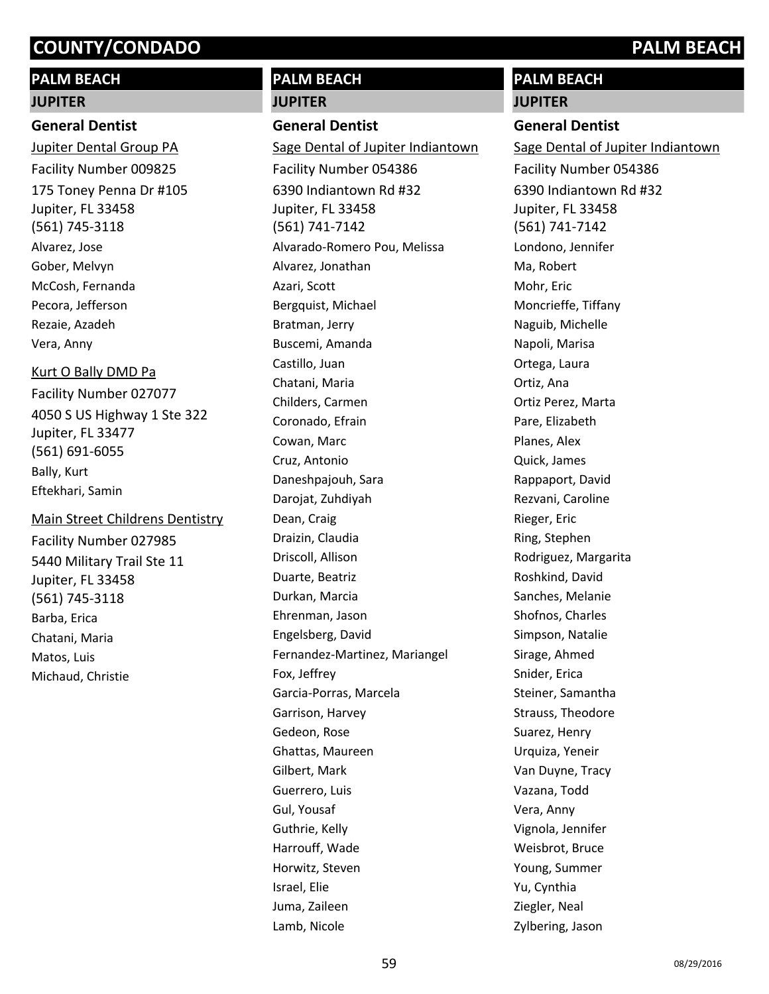# **PALM BEACH**

#### **JUPITER**

#### **General Dentist**

175 Toney Penna Dr #105 Jupiter, FL 33458 (561) 745-3118 Jupiter Dental Group PA Facility Number 009825 Alvarez, Jose Gober, Melvyn McCosh, Fernanda Pecora, Jefferson Rezaie, Azadeh Vera, Anny

#### Kurt O Bally DMD Pa

4050 S US Highway 1 Ste 322 Jupiter, FL 33477 (561) 691-6055 Facility Number 027077 Bally, Kurt Eftekhari, Samin

# 5440 Military Trail Ste 11 Jupiter, FL 33458 (561) 745-3118 Main Street Childrens Dentistry Facility Number 027985 Barba, Erica Chatani, Maria Matos, Luis Michaud, Christie

# **PALM BEACH**

# **JUPITER**

## **General Dentist**

6390 Indiantown Rd #32 Jupiter, FL 33458 (561) 741-7142 Sage Dental of Jupiter Indiantown Facility Number 054386 Alvarado-Romero Pou, Melissa Alvarez, Jonathan Azari, Scott Bergquist, Michael Bratman, Jerry Buscemi, Amanda Castillo, Juan Chatani, Maria Childers, Carmen Coronado, Efrain Cowan, Marc Cruz, Antonio Daneshpajouh, Sara Darojat, Zuhdiyah Dean, Craig Draizin, Claudia Driscoll, Allison Duarte, Beatriz Durkan, Marcia Ehrenman, Jason Engelsberg, David Fernandez-Martinez, Mariangel Fox, Jeffrey Garcia-Porras, Marcela Garrison, Harvey Gedeon, Rose Ghattas, Maureen Gilbert, Mark Guerrero, Luis Gul, Yousaf Guthrie, Kelly Harrouff, Wade Horwitz, Steven Israel, Elie Juma, Zaileen Lamb, Nicole

# **PALM BEACH**

# **JUPITER**

# **General Dentist**

6390 Indiantown Rd #32 Jupiter, FL 33458 (561) 741-7142 Sage Dental of Jupiter Indiantown Facility Number 054386 Londono, Jennifer Ma, Robert Mohr, Eric Moncrieffe, Tiffany Naguib, Michelle Napoli, Marisa Ortega, Laura Ortiz, Ana Ortiz Perez, Marta Pare, Elizabeth Planes, Alex Quick, James Rappaport, David Rezvani, Caroline Rieger, Eric Ring, Stephen Rodriguez, Margarita Roshkind, David Sanches, Melanie Shofnos, Charles Simpson, Natalie Sirage, Ahmed Snider, Erica Steiner, Samantha Strauss, Theodore Suarez, Henry Urquiza, Yeneir Van Duyne, Tracy Vazana, Todd Vera, Anny Vignola, Jennifer Weisbrot, Bruce Young, Summer Yu, Cynthia Ziegler, Neal Zylbering, Jason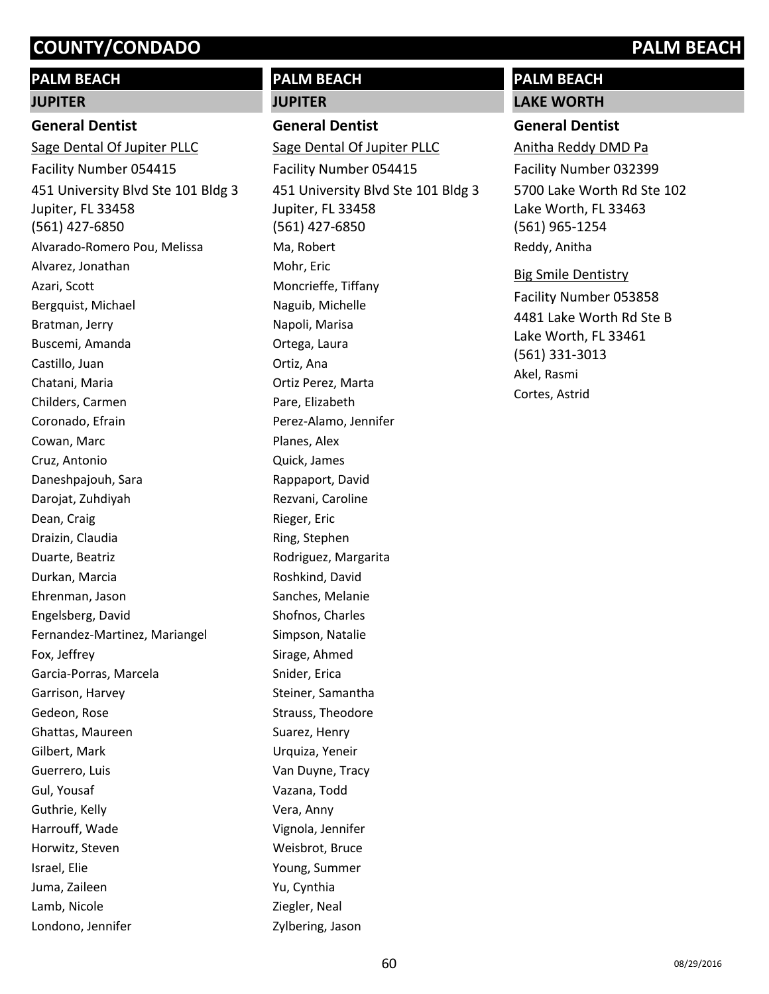# **PALM BEACH**

# **JUPITER**

# **General Dentist**

451 University Blvd Ste 101 Bldg 3 Jupiter, FL 33458 (561) 427-6850 Sage Dental Of Jupiter PLLC Facility Number 054415 Alvarado-Romero Pou, Melissa Alvarez, Jonathan Azari, Scott Bergquist, Michael Bratman, Jerry Buscemi, Amanda Castillo, Juan Chatani, Maria Childers, Carmen Coronado, Efrain Cowan, Marc Cruz, Antonio Daneshpajouh, Sara Darojat, Zuhdiyah Dean, Craig Draizin, Claudia Duarte, Beatriz Durkan, Marcia Ehrenman, Jason Engelsberg, David Fernandez-Martinez, Mariangel Fox, Jeffrey Garcia-Porras, Marcela Garrison, Harvey Gedeon, Rose Ghattas, Maureen Gilbert, Mark Guerrero, Luis Gul, Yousaf Guthrie, Kelly Harrouff, Wade Horwitz, Steven Israel, Elie Juma, Zaileen Lamb, Nicole Londono, Jennifer

# **PALM BEACH JUPITER**

# **General Dentist**

451 University Blvd Ste 101 Bldg 3 Jupiter, FL 33458 (561) 427-6850 Sage Dental Of Jupiter PLLC Facility Number 054415 Ma, Robert Mohr, Eric Moncrieffe, Tiffany Naguib, Michelle Napoli, Marisa Ortega, Laura Ortiz, Ana Ortiz Perez, Marta Pare, Elizabeth Perez-Alamo, Jennifer Planes, Alex Quick, James Rappaport, David Rezvani, Caroline Rieger, Eric Ring, Stephen Rodriguez, Margarita Roshkind, David Sanches, Melanie Shofnos, Charles Simpson, Natalie Sirage, Ahmed Snider, Erica Steiner, Samantha Strauss, Theodore Suarez, Henry Urquiza, Yeneir Van Duyne, Tracy Vazana, Todd Vera, Anny Vignola, Jennifer Weisbrot, Bruce Young, Summer Yu, Cynthia Ziegler, Neal Zylbering, Jason

# **PALM BEACH LAKE WORTH**

# **General Dentist**

5700 Lake Worth Rd Ste 102 Lake Worth, FL 33463 (561) 965-1254 Anitha Reddy DMD Pa Facility Number 032399 Reddy, Anitha

## Big Smile Dentistry

4481 Lake Worth Rd Ste B Lake Worth, FL 33461 (561) 331-3013 Facility Number 053858 Akel, Rasmi Cortes, Astrid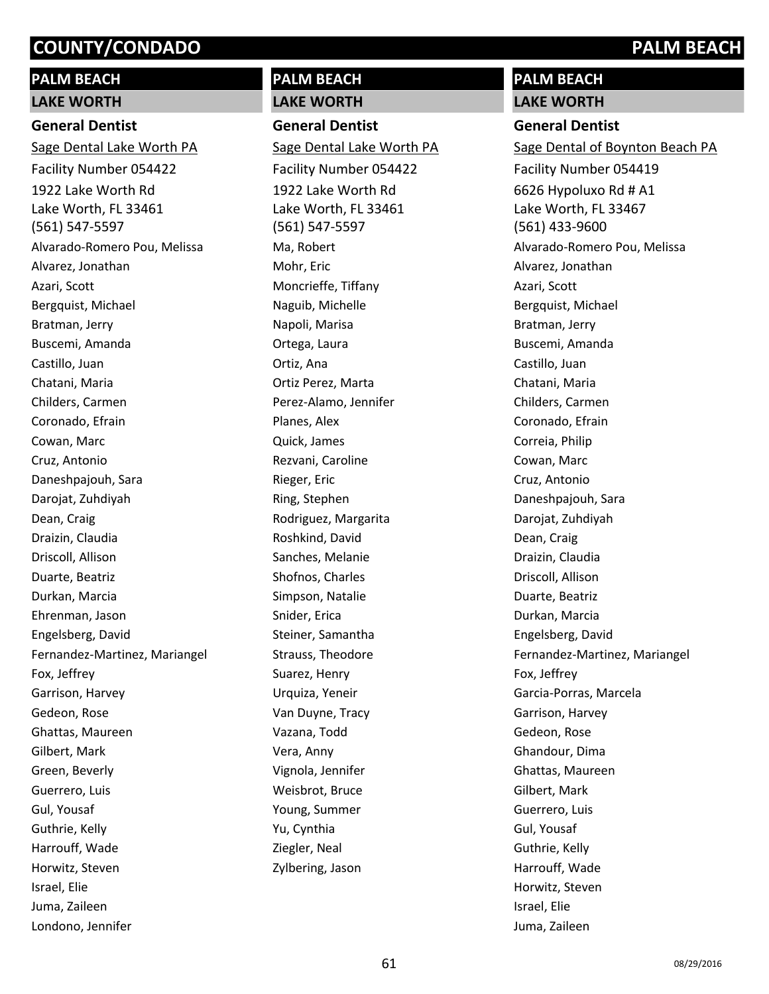# **PALM BEACH LAKE WORTH**

# **General Dentist**

1922 Lake Worth Rd Lake Worth, FL 33461 (561) 547-5597 Sage Dental Lake Worth PA Facility Number 054422 Alvarado-Romero Pou, Melissa Alvarez, Jonathan Azari, Scott Bergquist, Michael Bratman, Jerry Buscemi, Amanda Castillo, Juan Chatani, Maria Childers, Carmen Coronado, Efrain Cowan, Marc Cruz, Antonio Daneshpajouh, Sara Darojat, Zuhdiyah Dean, Craig Draizin, Claudia Driscoll, Allison Duarte, Beatriz Durkan, Marcia Ehrenman, Jason Engelsberg, David Fernandez-Martinez, Mariangel Fox, Jeffrey Garrison, Harvey Gedeon, Rose Ghattas, Maureen Gilbert, Mark Green, Beverly Guerrero, Luis Gul, Yousaf Guthrie, Kelly Harrouff, Wade Horwitz, Steven Israel, Elie Juma, Zaileen Londono, Jennifer

# **PALM BEACH**

**LAKE WORTH General Dentist** Sage Dental Lake Worth PA

1922 Lake Worth Rd Lake Worth, FL 33461 (561) 547-5597 Facility Number 054422 Ma, Robert Mohr, Eric Moncrieffe, Tiffany Naguib, Michelle Napoli, Marisa Ortega, Laura Ortiz, Ana Ortiz Perez, Marta Perez-Alamo, Jennifer Planes, Alex Quick, James Rezvani, Caroline Rieger, Eric Ring, Stephen Rodriguez, Margarita Roshkind, David Sanches, Melanie Shofnos, Charles Simpson, Natalie Snider, Erica Steiner, Samantha Strauss, Theodore Suarez, Henry Urquiza, Yeneir Van Duyne, Tracy Vazana, Todd Vera, Anny Vignola, Jennifer Weisbrot, Bruce Young, Summer Yu, Cynthia Ziegler, Neal Zylbering, Jason

# **PALM BEACH LAKE WORTH**

# **General Dentist**

6626 Hypoluxo Rd # A1 Lake Worth, FL 33467 (561) 433-9600 Sage Dental of Boynton Beach PA Facility Number 054419 Alvarado-Romero Pou, Melissa Alvarez, Jonathan Azari, Scott Bergquist, Michael Bratman, Jerry Buscemi, Amanda Castillo, Juan Chatani, Maria Childers, Carmen Coronado, Efrain Correia, Philip Cowan, Marc Cruz, Antonio Daneshpajouh, Sara Darojat, Zuhdiyah Dean, Craig Draizin, Claudia Driscoll, Allison Duarte, Beatriz Durkan, Marcia Engelsberg, David Fernandez-Martinez, Mariangel Fox, Jeffrey Garcia-Porras, Marcela Garrison, Harvey Gedeon, Rose Ghandour, Dima Ghattas, Maureen Gilbert, Mark Guerrero, Luis Gul, Yousaf Guthrie, Kelly Harrouff, Wade Horwitz, Steven Israel, Elie Juma, Zaileen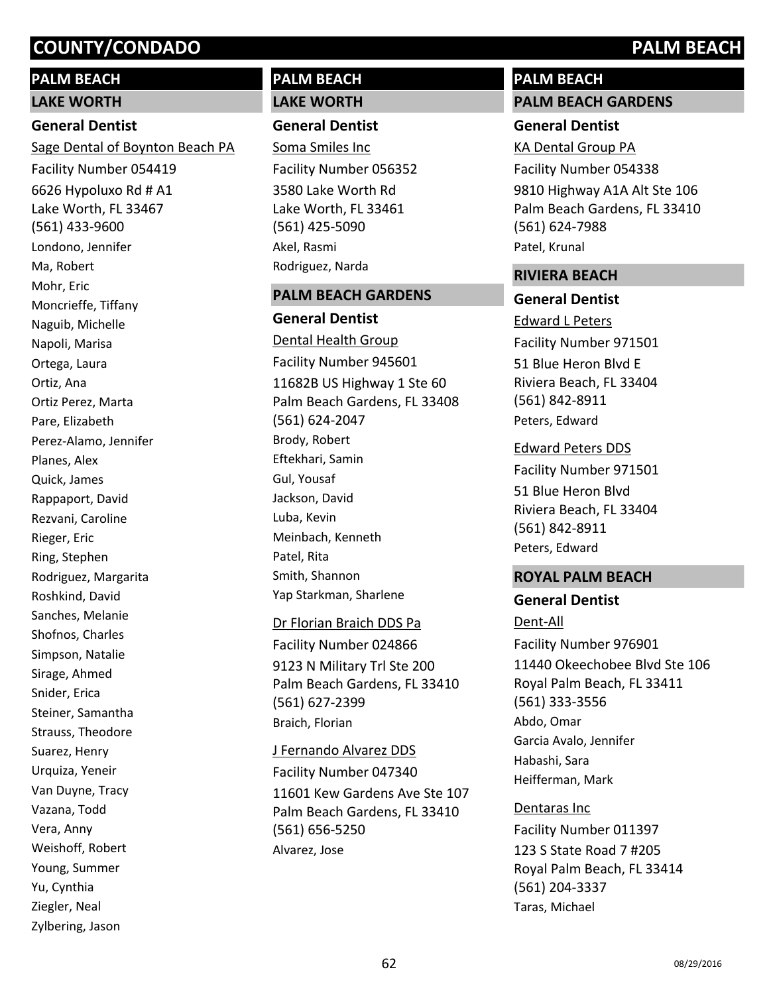# **PALM BEACH**

#### **LAKE WORTH**

#### **General Dentist**

6626 Hypoluxo Rd # A1 Lake Worth, FL 33467 (561) 433-9600 Sage Dental of Boynton Beach PA Facility Number 054419 Londono, Jennifer Ma, Robert Mohr, Eric Moncrieffe, Tiffany Naguib, Michelle Napoli, Marisa Ortega, Laura Ortiz, Ana Ortiz Perez, Marta Pare, Elizabeth Perez-Alamo, Jennifer Planes, Alex Quick, James Rappaport, David Rezvani, Caroline Rieger, Eric Ring, Stephen Rodriguez, Margarita Roshkind, David Sanches, Melanie Shofnos, Charles Simpson, Natalie Sirage, Ahmed Snider, Erica Steiner, Samantha Strauss, Theodore Suarez, Henry Urquiza, Yeneir Van Duyne, Tracy Vazana, Todd Vera, Anny Weishoff, Robert Young, Summer Yu, Cynthia Ziegler, Neal Zylbering, Jason

# **PALM BEACH LAKE WORTH**

# **General Dentist**

3580 Lake Worth Rd Lake Worth, FL 33461 (561) 425-5090 Soma Smiles Inc Facility Number 056352 Akel, Rasmi Rodriguez, Narda

#### **PALM BEACH GARDENS**

**General Dentist** 11682B US Highway 1 Ste 60 Palm Beach Gardens, FL 33408 (561) 624-2047 Dental Health Group Facility Number 945601 Brody, Robert Eftekhari, Samin Gul, Yousaf Jackson, David Luba, Kevin Meinbach, Kenneth Patel, Rita Smith, Shannon Yap Starkman, Sharlene

## Dr Florian Braich DDS Pa

9123 N Military Trl Ste 200 Palm Beach Gardens, FL 33410 (561) 627-2399 Facility Number 024866 Braich, Florian

## J Fernando Alvarez DDS

11601 Kew Gardens Ave Ste 107 Palm Beach Gardens, FL 33410 (561) 656-5250 Facility Number 047340 Alvarez, Jose

# **PALM BEACH**

**PALM BEACH GARDENS**

# **General Dentist**

9810 Highway A1A Alt Ste 106 Palm Beach Gardens, FL 33410 (561) 624-7988 KA Dental Group PA Facility Number 054338 Patel, Krunal

## **RIVIERA BEACH**

# **General Dentist**

Edward L Peters

51 Blue Heron Blvd E Riviera Beach, FL 33404 (561) 842-8911 Facility Number 971501 Peters, Edward

#### Edward Peters DDS

51 Blue Heron Blvd Riviera Beach, FL 33404 (561) 842-8911 Facility Number 971501 Peters, Edward

## **ROYAL PALM BEACH**

## **General Dentist**

11440 Okeechobee Blvd Ste 106 Royal Palm Beach, FL 33411 (561) 333-3556 Dent-All Facility Number 976901 Abdo, Omar Garcia Avalo, Jennifer Habashi, Sara Heifferman, Mark

123 S State Road 7 #205 Royal Palm Beach, FL 33414 (561) 204-3337 Dentaras Inc Facility Number 011397 Taras, Michael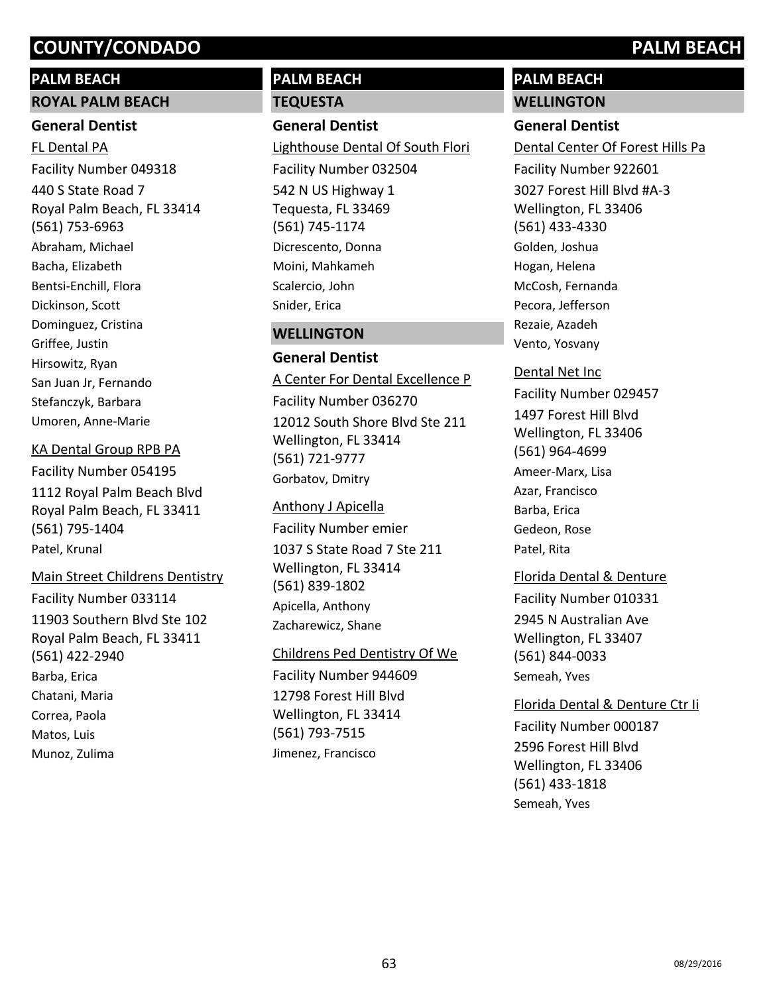## **PALM BEACH**

### **ROYAL PALM BEACH**

## **General Dentist**

440 S State Road 7 Royal Palm Beach, FL 33414 (561) 753-6963 FL Dental PA Facility Number 049318 Abraham, Michael Bacha, Elizabeth Bentsi-Enchill, Flora Dickinson, Scott Dominguez, Cristina Griffee, Justin Hirsowitz, Ryan San Juan Jr, Fernando Stefanczyk, Barbara Umoren, Anne-Marie

## KA Dental Group RPB PA

1112 Royal Palm Beach Blvd Royal Palm Beach, FL 33411 (561) 795-1404 Facility Number 054195 Patel, Krunal

# Main Street Childrens Dentistry

11903 Southern Blvd Ste 102 Royal Palm Beach, FL 33411 (561) 422-2940 Facility Number 033114 Barba, Erica Chatani, Maria Correa, Paola Matos, Luis Munoz, Zulima

# **PALM BEACH**

## **TEQUESTA**

### **General Dentist**

542 N US Highway 1 Tequesta, FL 33469 (561) 745-1174 Lighthouse Dental Of South Flori Facility Number 032504 Dicrescento, Donna Moini, Mahkameh Scalercio, John Snider, Erica

# **WELLINGTON**

# **General Dentist**

A Center For Dental Excellence P

12012 South Shore Blvd Ste 211 Wellington, FL 33414 (561) 721-9777 Facility Number 036270 Gorbatov, Dmitry

## Anthony J Apicella

1037 S State Road 7 Ste 211 Wellington, FL 33414 (561) 839-1802 Facility Number emier Apicella, Anthony Zacharewicz, Shane

## Childrens Ped Dentistry Of We

12798 Forest Hill Blvd Wellington, FL 33414 (561) 793-7515 Facility Number 944609 Jimenez, Francisco

# **PALM BEACH WELLINGTON**

# **General Dentist**

3027 Forest Hill Blvd #A-3 Wellington, FL 33406 (561) 433-4330 Dental Center Of Forest Hills Pa Facility Number 922601 Golden, Joshua Hogan, Helena McCosh, Fernanda Pecora, Jefferson Rezaie, Azadeh Vento, Yosvany

# 1497 Forest Hill Blvd Wellington, FL 33406 (561) 964-4699 Dental Net Inc Facility Number 029457 Ameer-Marx, Lisa Azar, Francisco Barba, Erica Gedeon, Rose Patel, Rita

2945 N Australian Ave Wellington, FL 33407 (561) 844-0033 Florida Dental & Denture Facility Number 010331 Semeah, Yves

# 2596 Forest Hill Blvd Wellington, FL 33406 (561) 433-1818 Florida Dental & Denture Ctr Ii Facility Number 000187 Semeah, Yves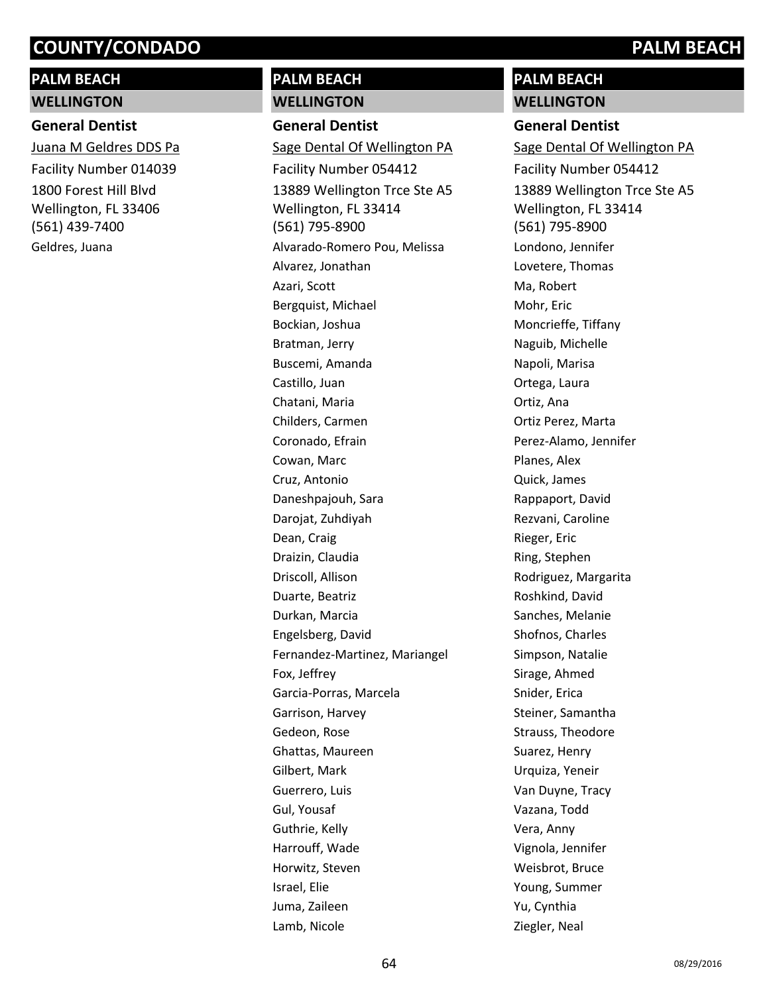# **PALM BEACH WELLINGTON**

# **General Dentist**

1800 Forest Hill Blvd Wellington, FL 33406 (561) 439-7400 Juana M Geldres DDS Pa Facility Number 014039 Geldres, Juana

# **PALM BEACH**

# **WELLINGTON**

**General Dentist** 13889 Wellington Trce Ste A5 Wellington, FL 33414 (561) 795-8900 Sage Dental Of Wellington PA Facility Number 054412 Alvarado-Romero Pou, Melissa Alvarez, Jonathan Azari, Scott Bergquist, Michael Bockian, Joshua Bratman, Jerry Buscemi, Amanda Castillo, Juan Chatani, Maria Childers, Carmen Coronado, Efrain Cowan, Marc Cruz, Antonio Daneshpajouh, Sara Darojat, Zuhdiyah Dean, Craig Draizin, Claudia Driscoll, Allison Duarte, Beatriz Durkan, Marcia Engelsberg, David Fernandez-Martinez, Mariangel Fox, Jeffrey Garcia-Porras, Marcela Garrison, Harvey Gedeon, Rose Ghattas, Maureen Gilbert, Mark Guerrero, Luis Gul, Yousaf Guthrie, Kelly Harrouff, Wade Horwitz, Steven Israel, Elie Juma, Zaileen Lamb, Nicole

# **PALM BEACH WELLINGTON**

# **General Dentist**

13889 Wellington Trce Ste A5 Wellington, FL 33414 (561) 795-8900 Sage Dental Of Wellington PA Facility Number 054412 Londono, Jennifer Lovetere, Thomas Ma, Robert Mohr, Eric Moncrieffe, Tiffany Naguib, Michelle Napoli, Marisa Ortega, Laura Ortiz, Ana Ortiz Perez, Marta Perez-Alamo, Jennifer Planes, Alex Quick, James Rappaport, David Rezvani, Caroline Rieger, Eric Ring, Stephen Rodriguez, Margarita Roshkind, David Sanches, Melanie Shofnos, Charles Simpson, Natalie Sirage, Ahmed Snider, Erica Steiner, Samantha Strauss, Theodore Suarez, Henry Urquiza, Yeneir Van Duyne, Tracy Vazana, Todd Vera, Anny Vignola, Jennifer Weisbrot, Bruce Young, Summer Yu, Cynthia Ziegler, Neal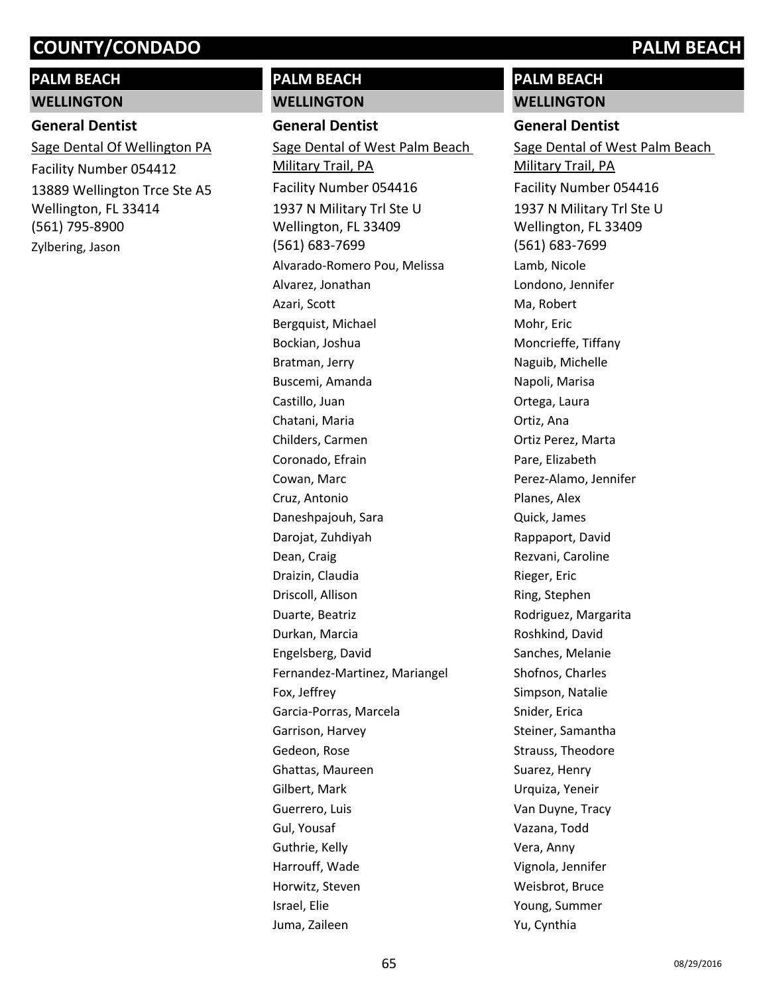# **PALM BEACH WELLINGTON**

# **General Dentist**

13889 Wellington Trce Ste A5 Wellington, FL 33414 (561) 795-8900 Sage Dental Of Wellington PA Facility Number 054412 Zylbering, Jason

# **PALM BEACH**

### **WELLINGTON**

**General Dentist**

1937 N Military Trl Ste U Wellington, FL 33409 (561) 683-7699 Sage Dental of West Palm Beach Military Trail, PA Facility Number 054416 Alvarado-Romero Pou, Melissa Alvarez, Jonathan Azari, Scott Bergquist, Michael Bockian, Joshua Bratman, Jerry Buscemi, Amanda Castillo, Juan Chatani, Maria Childers, Carmen Coronado, Efrain Cowan, Marc Cruz, Antonio Daneshpajouh, Sara Darojat, Zuhdiyah Dean, Craig Draizin, Claudia Driscoll, Allison Duarte, Beatriz Durkan, Marcia Engelsberg, David Fernandez-Martinez, Mariangel Fox, Jeffrey Garcia-Porras, Marcela Garrison, Harvey Gedeon, Rose Ghattas, Maureen Gilbert, Mark Guerrero, Luis Gul, Yousaf Guthrie, Kelly Harrouff, Wade Horwitz, Steven Israel, Elie Juma, Zaileen

# **PALM BEACH WELLINGTON**

### **General Dentist**

1937 N Military Trl Ste U Wellington, FL 33409 (561) 683-7699 Sage Dental of West Palm Beach Military Trail, PA Facility Number 054416 Lamb, Nicole Londono, Jennifer Ma, Robert Mohr, Eric Moncrieffe, Tiffany Naguib, Michelle Napoli, Marisa Ortega, Laura Ortiz, Ana Ortiz Perez, Marta Pare, Elizabeth Perez-Alamo, Jennifer Planes, Alex Quick, James Rappaport, David Rezvani, Caroline Rieger, Eric Ring, Stephen Rodriguez, Margarita Roshkind, David Sanches, Melanie Shofnos, Charles Simpson, Natalie Snider, Erica Steiner, Samantha Strauss, Theodore Suarez, Henry Urquiza, Yeneir Van Duyne, Tracy Vazana, Todd Vera, Anny Vignola, Jennifer Weisbrot, Bruce Young, Summer Yu, Cynthia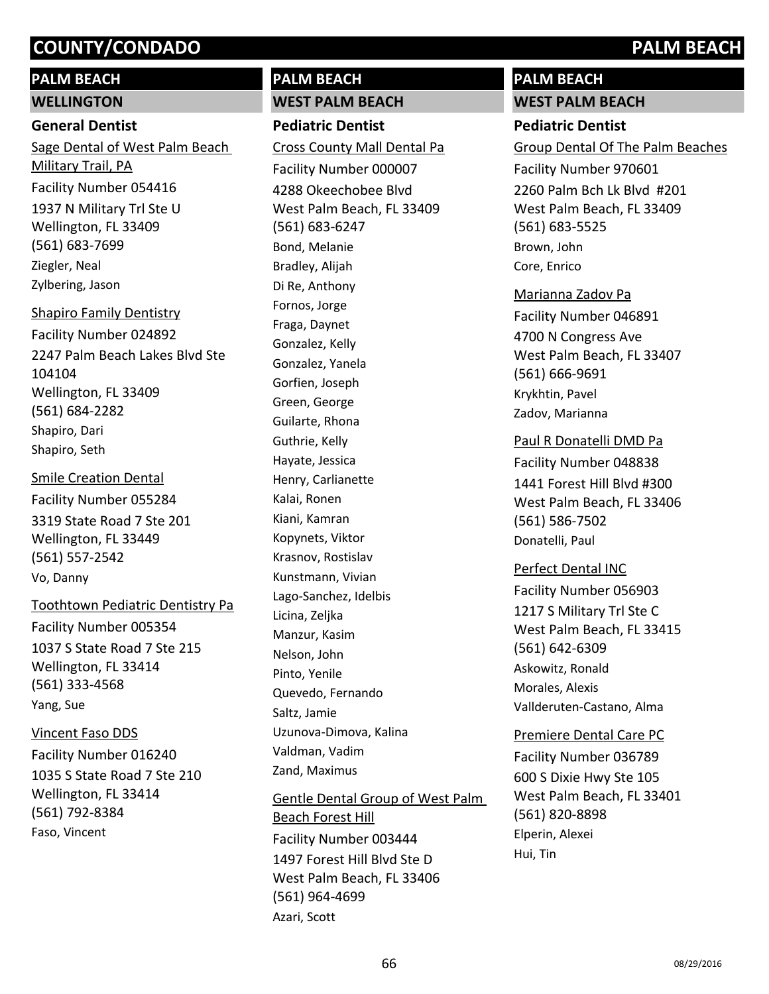# **PALM BEACH WELLINGTON**

# **General Dentist**

1937 N Military Trl Ste U Wellington, FL 33409 (561) 683-7699 Sage Dental of West Palm Beach Military Trail, PA Facility Number 054416 Ziegler, Neal Zylbering, Jason

2247 Palm Beach Lakes Blvd Ste 104104 Wellington, FL 33409 (561) 684-2282 Shapiro Family Dentistry Facility Number 024892 Shapiro, Dari Shapiro, Seth

3319 State Road 7 Ste 201 Wellington, FL 33449 (561) 557-2542 Smile Creation Dental Facility Number 055284 Vo, Danny

1037 S State Road 7 Ste 215 Wellington, FL 33414 (561) 333-4568 Toothtown Pediatric Dentistry Pa Facility Number 005354 Yang, Sue

Vincent Faso DDS

1035 S State Road 7 Ste 210 Wellington, FL 33414 (561) 792-8384 Facility Number 016240 Faso, Vincent

# **PALM BEACH WEST PALM BEACH**

**Pediatric Dentist** 4288 Okeechobee Blvd West Palm Beach, FL 33409 (561) 683-6247 Cross County Mall Dental Pa Facility Number 000007 Bond, Melanie Bradley, Alijah Di Re, Anthony Fornos, Jorge Fraga, Daynet Gonzalez, Kelly Gonzalez, Yanela Gorfien, Joseph Green, George Guilarte, Rhona Guthrie, Kelly Hayate, Jessica Henry, Carlianette Kalai, Ronen Kiani, Kamran Kopynets, Viktor Krasnov, Rostislav Kunstmann, Vivian Lago-Sanchez, Idelbis Licina, Zeljka Manzur, Kasim Nelson, John Pinto, Yenile Quevedo, Fernando Saltz, Jamie Uzunova-Dimova, Kalina Valdman, Vadim Zand, Maximus Gentle Dental Group of West Palm

1497 Forest Hill Blvd Ste D West Palm Beach, FL 33406 (561) 964-4699 Beach Forest Hill Facility Number 003444 Azari, Scott

# **PALM BEACH**

**WEST PALM BEACH**

# **Pediatric Dentist**

2260 Palm Bch Lk Blvd #201 West Palm Beach, FL 33409 (561) 683-5525 Group Dental Of The Palm Beaches Facility Number 970601 Brown, John Core, Enrico

Marianna Zadov Pa

4700 N Congress Ave West Palm Beach, FL 33407 (561) 666-9691 Facility Number 046891 Krykhtin, Pavel Zadov, Marianna

## Paul R Donatelli DMD Pa

1441 Forest Hill Blvd #300 West Palm Beach, FL 33406 (561) 586-7502 Facility Number 048838 Donatelli, Paul

## Perfect Dental INC

1217 S Military Trl Ste C West Palm Beach, FL 33415 (561) 642-6309 Facility Number 056903 Askowitz, Ronald Morales, Alexis Vallderuten-Castano, Alma

## Premiere Dental Care PC

600 S Dixie Hwy Ste 105 West Palm Beach, FL 33401 (561) 820-8898 Facility Number 036789 Elperin, Alexei Hui, Tin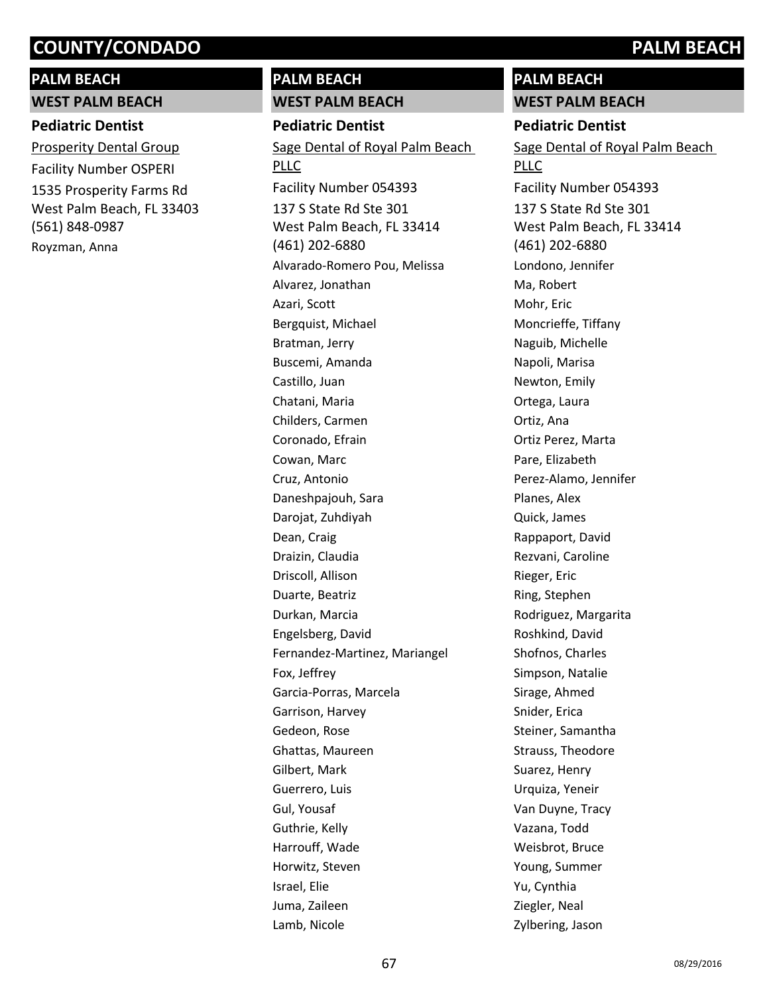# **PALM BEACH**

**WEST PALM BEACH**

# **Pediatric Dentist**

1535 Prosperity Farms Rd West Palm Beach, FL 33403 (561) 848-0987 Prosperity Dental Group Facility Number OSPERI Royzman, Anna

# **PALM BEACH**

**WEST PALM BEACH Pediatric Dentist**

137 S State Rd Ste 301 West Palm Beach, FL 33414 (461) 202-6880 Sage Dental of Royal Palm Beach **PLLC** Facility Number 054393 Alvarado-Romero Pou, Melissa Alvarez, Jonathan Azari, Scott Bergquist, Michael Bratman, Jerry Buscemi, Amanda Castillo, Juan Chatani, Maria Childers, Carmen Coronado, Efrain Cowan, Marc Cruz, Antonio Daneshpajouh, Sara Darojat, Zuhdiyah Dean, Craig Draizin, Claudia Driscoll, Allison Duarte, Beatriz Durkan, Marcia Engelsberg, David Fernandez-Martinez, Mariangel Fox, Jeffrey Garcia-Porras, Marcela Garrison, Harvey Gedeon, Rose Ghattas, Maureen Gilbert, Mark Guerrero, Luis Gul, Yousaf Guthrie, Kelly Harrouff, Wade Horwitz, Steven Israel, Elie Juma, Zaileen Lamb, Nicole

# **PALM BEACH**

**WEST PALM BEACH**

# **Pediatric Dentist**

137 S State Rd Ste 301 West Palm Beach, FL 33414 (461) 202-6880 Sage Dental of Royal Palm Beach PLLC Facility Number 054393 Londono, Jennifer Ma, Robert Mohr, Eric Moncrieffe, Tiffany Naguib, Michelle Napoli, Marisa Newton, Emily Ortega, Laura Ortiz, Ana Ortiz Perez, Marta Pare, Elizabeth Perez-Alamo, Jennifer Planes, Alex Quick, James Rappaport, David Rezvani, Caroline Rieger, Eric Ring, Stephen Rodriguez, Margarita Roshkind, David Shofnos, Charles Simpson, Natalie Sirage, Ahmed Snider, Erica Steiner, Samantha Strauss, Theodore Suarez, Henry Urquiza, Yeneir Van Duyne, Tracy Vazana, Todd Weisbrot, Bruce Young, Summer Yu, Cynthia Ziegler, Neal Zylbering, Jason